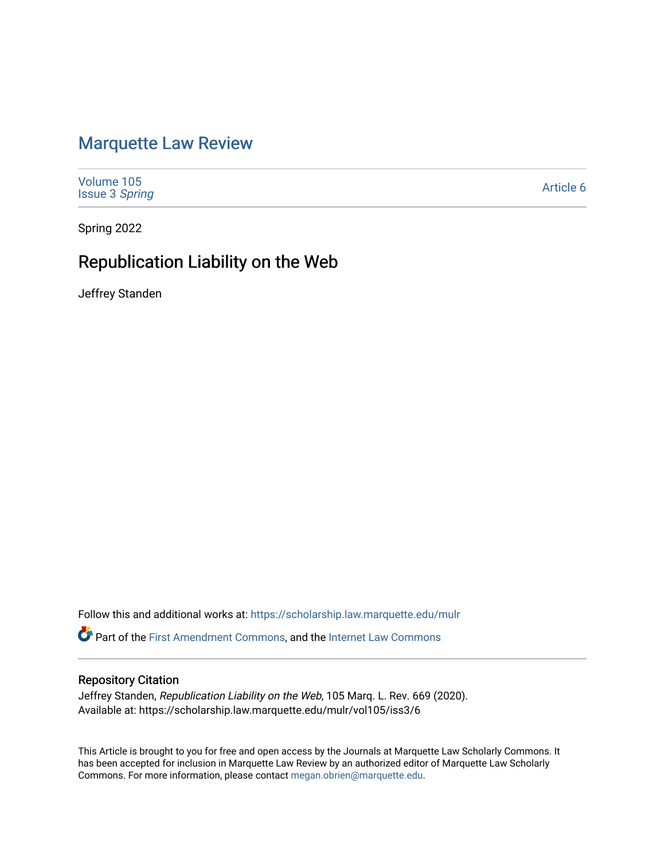# [Marquette Law Review](https://scholarship.law.marquette.edu/mulr)

| Volume 105<br><b>Issue 3 Spring</b> | Article 6 |
|-------------------------------------|-----------|
|                                     |           |

Spring 2022

# Republication Liability on the Web

Jeffrey Standen

Follow this and additional works at: [https://scholarship.law.marquette.edu/mulr](https://scholarship.law.marquette.edu/mulr?utm_source=scholarship.law.marquette.edu%2Fmulr%2Fvol105%2Fiss3%2F6&utm_medium=PDF&utm_campaign=PDFCoverPages) 

Part of the [First Amendment Commons,](https://network.bepress.com/hgg/discipline/1115?utm_source=scholarship.law.marquette.edu%2Fmulr%2Fvol105%2Fiss3%2F6&utm_medium=PDF&utm_campaign=PDFCoverPages) and the [Internet Law Commons](https://network.bepress.com/hgg/discipline/892?utm_source=scholarship.law.marquette.edu%2Fmulr%2Fvol105%2Fiss3%2F6&utm_medium=PDF&utm_campaign=PDFCoverPages)

# Repository Citation

Jeffrey Standen, Republication Liability on the Web, 105 Marq. L. Rev. 669 (2020). Available at: https://scholarship.law.marquette.edu/mulr/vol105/iss3/6

This Article is brought to you for free and open access by the Journals at Marquette Law Scholarly Commons. It has been accepted for inclusion in Marquette Law Review by an authorized editor of Marquette Law Scholarly Commons. For more information, please contact [megan.obrien@marquette.edu](mailto:megan.obrien@marquette.edu).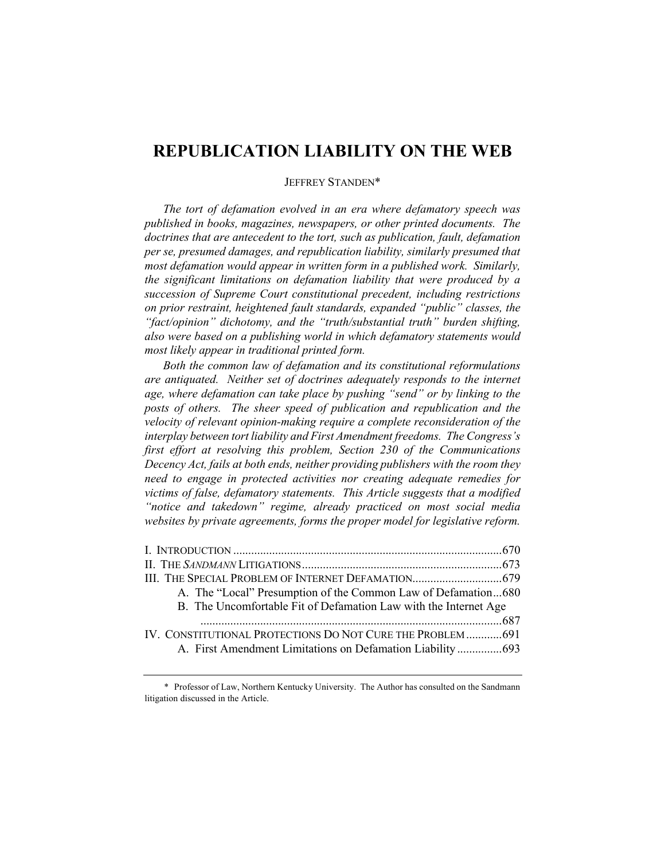# **REPUBLICATION LIABILITY ON THE WEB**

# JEFFREY STANDEN\*

*The tort of defamation evolved in an era where defamatory speech was published in books, magazines, newspapers, or other printed documents. The doctrines that are antecedent to the tort, such as publication, fault, defamation per se, presumed damages, and republication liability, similarly presumed that most defamation would appear in written form in a published work. Similarly, the significant limitations on defamation liability that were produced by a succession of Supreme Court constitutional precedent, including restrictions on prior restraint, heightened fault standards, expanded "public" classes, the "fact/opinion" dichotomy, and the "truth/substantial truth" burden shifting, also were based on a publishing world in which defamatory statements would most likely appear in traditional printed form.*

*Both the common law of defamation and its constitutional reformulations are antiquated. Neither set of doctrines adequately responds to the internet age, where defamation can take place by pushing "send" or by linking to the posts of others. The sheer speed of publication and republication and the velocity of relevant opinion-making require a complete reconsideration of the interplay between tort liability and First Amendment freedoms. The Congress's first effort at resolving this problem, Section 230 of the Communications Decency Act, fails at both ends, neither providing publishers with the room they need to engage in protected activities nor creating adequate remedies for victims of false, defamatory statements. This Article suggests that a modified "notice and takedown" regime, already practiced on most social media websites by private agreements, forms the proper model for legislative reform.*

| III. THE SPECIAL PROBLEM OF INTERNET DEFAMATION 679              |  |
|------------------------------------------------------------------|--|
| A. The "Local" Presumption of the Common Law of Defamation680    |  |
| B. The Uncomfortable Fit of Defamation Law with the Internet Age |  |
|                                                                  |  |
| IV. CONSTITUTIONAL PROTECTIONS DO NOT CURE THE PROBLEM 691       |  |
| A. First Amendment Limitations on Defamation Liability693        |  |

<sup>\*</sup> Professor of Law, Northern Kentucky University. The Author has consulted on the Sandmann litigation discussed in the Article.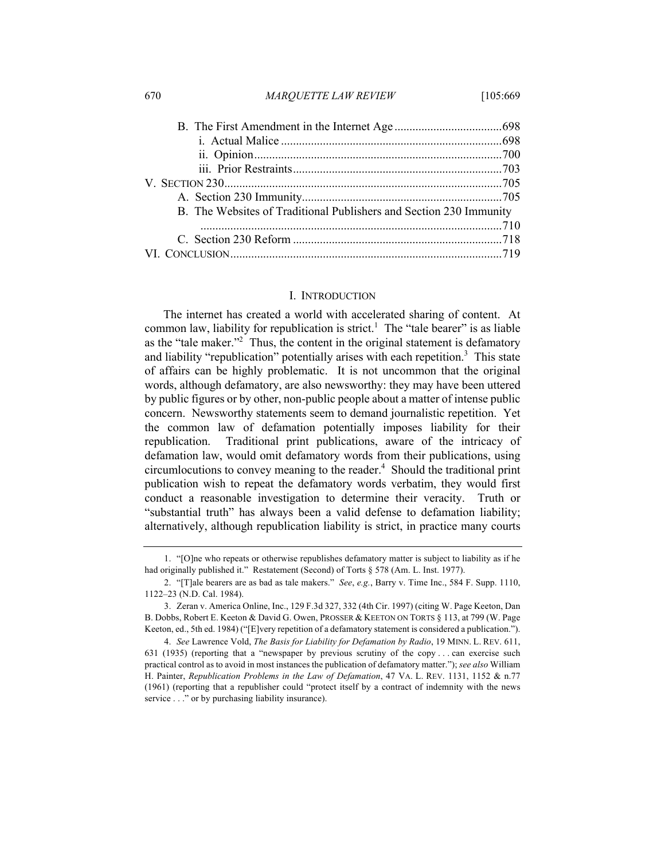670 *MARQUETTE LAW REVIEW* [105:669

| B. The Websites of Traditional Publishers and Section 230 Immunity |  |
|--------------------------------------------------------------------|--|
|                                                                    |  |
|                                                                    |  |
|                                                                    |  |

#### I. INTRODUCTION

The internet has created a world with accelerated sharing of content. At common law, liability for republication is strict.<sup>1</sup> The "tale bearer" is as liable as the "tale maker."<sup>2</sup> Thus, the content in the original statement is defamatory and liability "republication" potentially arises with each repetition.<sup>3</sup> This state of affairs can be highly problematic. It is not uncommon that the original words, although defamatory, are also newsworthy: they may have been uttered by public figures or by other, non-public people about a matter of intense public concern. Newsworthy statements seem to demand journalistic repetition. Yet the common law of defamation potentially imposes liability for their republication. Traditional print publications, aware of the intricacy of defamation law, would omit defamatory words from their publications, using  $circ$  circumlocutions to convey meaning to the reader.<sup>4</sup> Should the traditional print publication wish to repeat the defamatory words verbatim, they would first conduct a reasonable investigation to determine their veracity. Truth or "substantial truth" has always been a valid defense to defamation liability; alternatively, although republication liability is strict, in practice many courts

<sup>1.</sup> "[O]ne who repeats or otherwise republishes defamatory matter is subject to liability as if he had originally published it." Restatement (Second) of Torts § 578 (Am. L. Inst. 1977).

<sup>2.</sup> "[T]ale bearers are as bad as tale makers." *See*, *e.g.*, Barry v. Time Inc., 584 F. Supp. 1110, 1122–23 (N.D. Cal. 1984).

<sup>3.</sup> Zeran v. America Online, Inc., 129 F.3d 327, 332 (4th Cir. 1997) (citing W. Page Keeton, Dan B. Dobbs, Robert E. Keeton & David G. Owen, PROSSER & KEETON ON TORTS § 113, at 799 (W. Page Keeton, ed., 5th ed. 1984) ("[E]very repetition of a defamatory statement is considered a publication.").

<sup>4.</sup> *See* Lawrence Vold, *The Basis for Liability for Defamation by Radio*, 19 MINN. L. REV. 611, 631 (1935) (reporting that a "newspaper by previous scrutiny of the copy . . . can exercise such practical control as to avoid in most instances the publication of defamatory matter."); *see also* William H. Painter, *Republication Problems in the Law of Defamation*, 47 VA. L. REV. 1131, 1152 & n.77 (1961) (reporting that a republisher could "protect itself by a contract of indemnity with the news service . . ." or by purchasing liability insurance).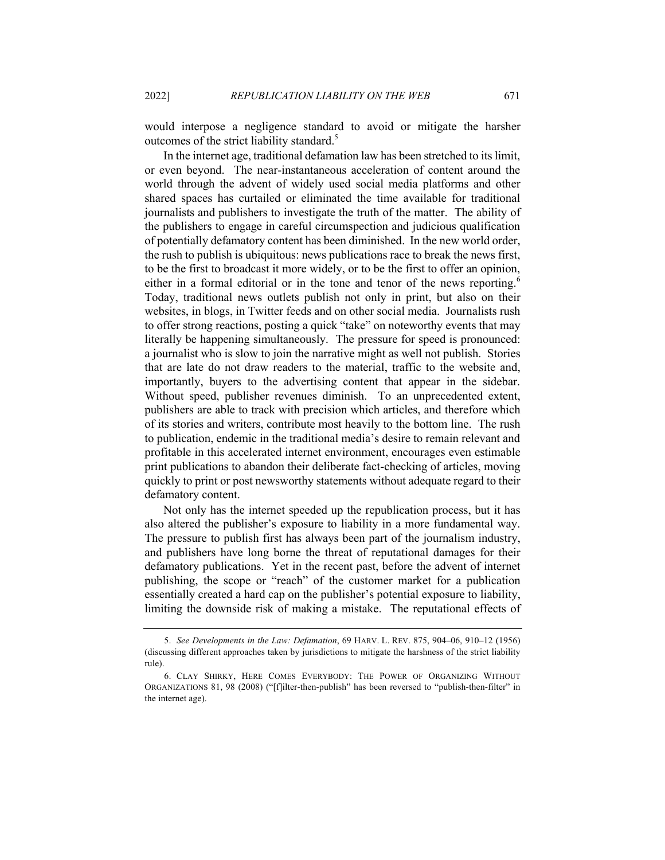would interpose a negligence standard to avoid or mitigate the harsher outcomes of the strict liability standard.<sup>5</sup>

In the internet age, traditional defamation law has been stretched to its limit, or even beyond. The near-instantaneous acceleration of content around the world through the advent of widely used social media platforms and other shared spaces has curtailed or eliminated the time available for traditional journalists and publishers to investigate the truth of the matter. The ability of the publishers to engage in careful circumspection and judicious qualification of potentially defamatory content has been diminished. In the new world order, the rush to publish is ubiquitous: news publications race to break the news first, to be the first to broadcast it more widely, or to be the first to offer an opinion, either in a formal editorial or in the tone and tenor of the news reporting.<sup>6</sup> Today, traditional news outlets publish not only in print, but also on their websites, in blogs, in Twitter feeds and on other social media. Journalists rush to offer strong reactions, posting a quick "take" on noteworthy events that may literally be happening simultaneously. The pressure for speed is pronounced: a journalist who is slow to join the narrative might as well not publish. Stories that are late do not draw readers to the material, traffic to the website and, importantly, buyers to the advertising content that appear in the sidebar. Without speed, publisher revenues diminish. To an unprecedented extent, publishers are able to track with precision which articles, and therefore which of its stories and writers, contribute most heavily to the bottom line. The rush to publication, endemic in the traditional media's desire to remain relevant and profitable in this accelerated internet environment, encourages even estimable print publications to abandon their deliberate fact-checking of articles, moving quickly to print or post newsworthy statements without adequate regard to their defamatory content.

Not only has the internet speeded up the republication process, but it has also altered the publisher's exposure to liability in a more fundamental way. The pressure to publish first has always been part of the journalism industry, and publishers have long borne the threat of reputational damages for their defamatory publications. Yet in the recent past, before the advent of internet publishing, the scope or "reach" of the customer market for a publication essentially created a hard cap on the publisher's potential exposure to liability, limiting the downside risk of making a mistake. The reputational effects of

<sup>5.</sup> *See Developments in the Law: Defamation*, 69 HARV. L. REV. 875, 904–06, 910–12 (1956) (discussing different approaches taken by jurisdictions to mitigate the harshness of the strict liability rule).

<sup>6.</sup> CLAY SHIRKY, HERE COMES EVERYBODY: THE POWER OF ORGANIZING WITHOUT ORGANIZATIONS 81, 98 (2008) ("[f]ilter-then-publish" has been reversed to "publish-then-filter" in the internet age).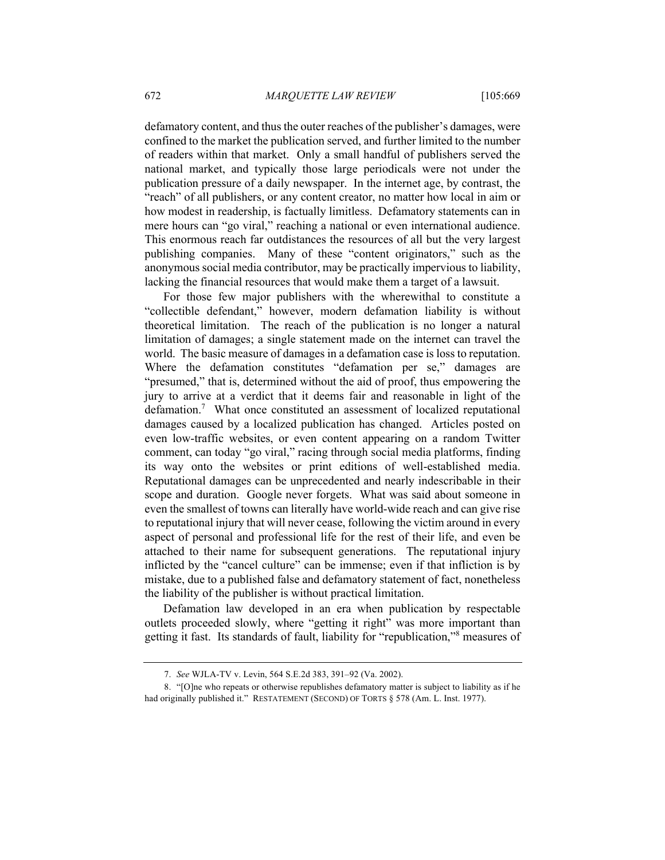defamatory content, and thus the outer reaches of the publisher's damages, were confined to the market the publication served, and further limited to the number of readers within that market. Only a small handful of publishers served the national market, and typically those large periodicals were not under the publication pressure of a daily newspaper. In the internet age, by contrast, the "reach" of all publishers, or any content creator, no matter how local in aim or how modest in readership, is factually limitless. Defamatory statements can in mere hours can "go viral," reaching a national or even international audience. This enormous reach far outdistances the resources of all but the very largest publishing companies. Many of these "content originators," such as the anonymous social media contributor, may be practically impervious to liability, lacking the financial resources that would make them a target of a lawsuit.

For those few major publishers with the wherewithal to constitute a "collectible defendant," however, modern defamation liability is without theoretical limitation. The reach of the publication is no longer a natural limitation of damages; a single statement made on the internet can travel the world. The basic measure of damages in a defamation case is loss to reputation. Where the defamation constitutes "defamation per se," damages are "presumed," that is, determined without the aid of proof, thus empowering the jury to arrive at a verdict that it deems fair and reasonable in light of the defamation.<sup>7</sup> What once constituted an assessment of localized reputational damages caused by a localized publication has changed. Articles posted on even low-traffic websites, or even content appearing on a random Twitter comment, can today "go viral," racing through social media platforms, finding its way onto the websites or print editions of well-established media. Reputational damages can be unprecedented and nearly indescribable in their scope and duration. Google never forgets. What was said about someone in even the smallest of towns can literally have world-wide reach and can give rise to reputational injury that will never cease, following the victim around in every aspect of personal and professional life for the rest of their life, and even be attached to their name for subsequent generations. The reputational injury inflicted by the "cancel culture" can be immense; even if that infliction is by mistake, due to a published false and defamatory statement of fact, nonetheless the liability of the publisher is without practical limitation.

Defamation law developed in an era when publication by respectable outlets proceeded slowly, where "getting it right" was more important than getting it fast. Its standards of fault, liability for "republication,"<sup>8</sup> measures of

<sup>7.</sup> *See* WJLA-TV v. Levin, 564 S.E.2d 383, 391–92 (Va. 2002).

<sup>8.</sup> "[O]ne who repeats or otherwise republishes defamatory matter is subject to liability as if he had originally published it." RESTATEMENT (SECOND) OF TORTS § 578 (Am. L. Inst. 1977).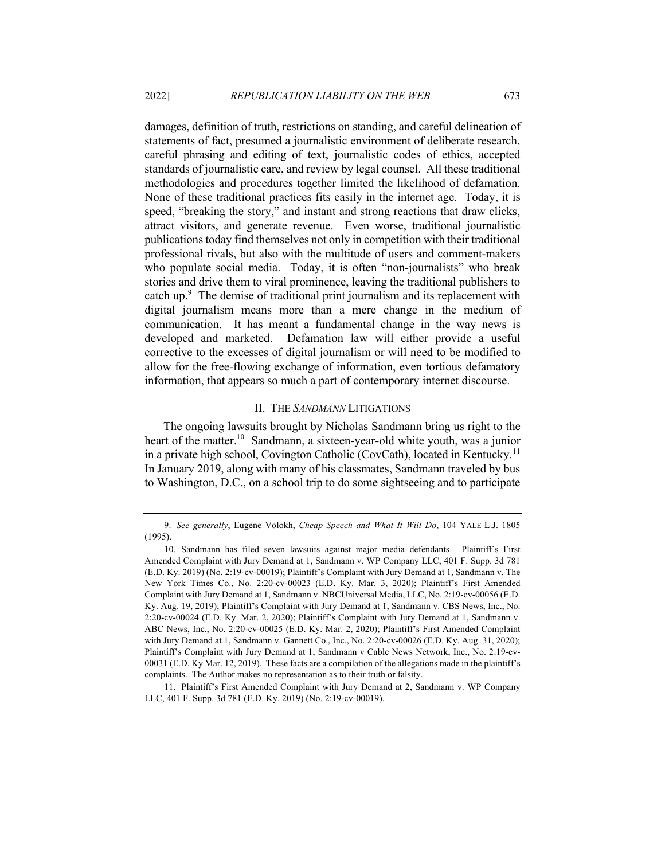damages, definition of truth, restrictions on standing, and careful delineation of statements of fact, presumed a journalistic environment of deliberate research, careful phrasing and editing of text, journalistic codes of ethics, accepted standards of journalistic care, and review by legal counsel. All these traditional methodologies and procedures together limited the likelihood of defamation. None of these traditional practices fits easily in the internet age. Today, it is speed, "breaking the story," and instant and strong reactions that draw clicks, attract visitors, and generate revenue. Even worse, traditional journalistic publications today find themselves not only in competition with their traditional professional rivals, but also with the multitude of users and comment-makers who populate social media. Today, it is often "non-journalists" who break stories and drive them to viral prominence, leaving the traditional publishers to catch up. $9$  The demise of traditional print journalism and its replacement with digital journalism means more than a mere change in the medium of communication. It has meant a fundamental change in the way news is developed and marketed. Defamation law will either provide a useful corrective to the excesses of digital journalism or will need to be modified to allow for the free-flowing exchange of information, even tortious defamatory information, that appears so much a part of contemporary internet discourse.

# II. THE *SANDMANN* LITIGATIONS

The ongoing lawsuits brought by Nicholas Sandmann bring us right to the heart of the matter.<sup>10</sup> Sandmann, a sixteen-year-old white youth, was a junior in a private high school, Covington Catholic (CovCath), located in Kentucky.11 In January 2019, along with many of his classmates, Sandmann traveled by bus to Washington, D.C., on a school trip to do some sightseeing and to participate

11. Plaintiff's First Amended Complaint with Jury Demand at 2, Sandmann v. WP Company LLC, 401 F. Supp. 3d 781 (E.D. Ky. 2019) (No. 2:19-cv-00019).

<sup>9.</sup> *See generally*, Eugene Volokh, *Cheap Speech and What It Will Do*, 104 YALE L.J. 1805 (1995).

<sup>10.</sup> Sandmann has filed seven lawsuits against major media defendants. Plaintiff's First Amended Complaint with Jury Demand at 1, Sandmann v. WP Company LLC, 401 F. Supp. 3d 781 (E.D. Ky. 2019) (No. 2:19-cv-00019); Plaintiff's Complaint with Jury Demand at 1, Sandmann v. The New York Times Co., No. 2:20-cv-00023 (E.D. Ky. Mar. 3, 2020); Plaintiff's First Amended Complaint with Jury Demand at 1, Sandmann v. NBCUniversal Media, LLC, No. 2:19-cv-00056 (E.D. Ky. Aug. 19, 2019); Plaintiff's Complaint with Jury Demand at 1, Sandmann v. CBS News, Inc., No. 2:20-cv-00024 (E.D. Ky. Mar. 2, 2020); Plaintiff's Complaint with Jury Demand at 1, Sandmann v. ABC News, Inc., No. 2:20-cv-00025 (E.D. Ky. Mar. 2, 2020); Plaintiff's First Amended Complaint with Jury Demand at 1, Sandmann v. Gannett Co., Inc., No. 2:20-cv-00026 (E.D. Ky. Aug. 31, 2020); Plaintiff's Complaint with Jury Demand at 1, Sandmann v Cable News Network, Inc., No. 2:19-cv-00031 (E.D. Ky Mar. 12, 2019). These facts are a compilation of the allegations made in the plaintiff's complaints. The Author makes no representation as to their truth or falsity.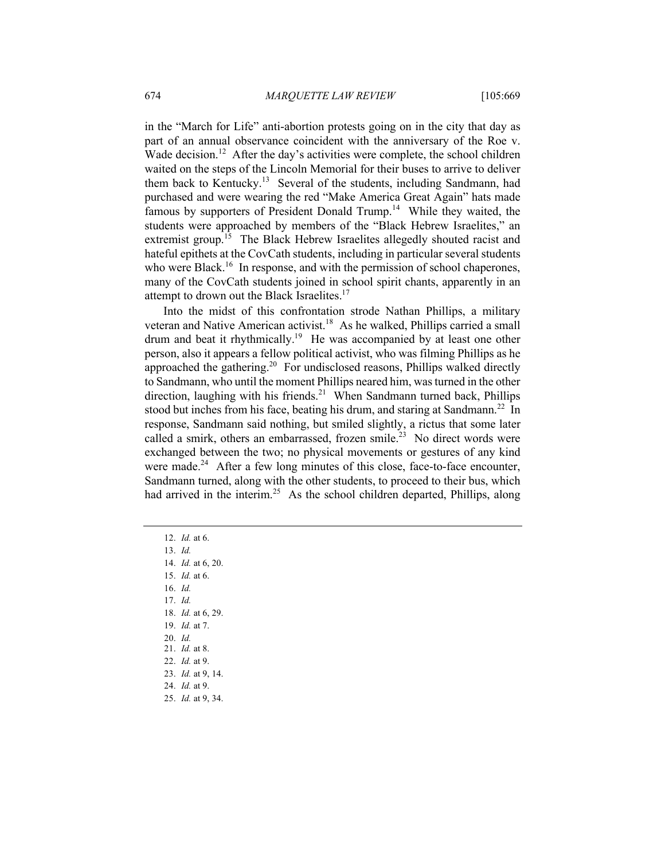in the "March for Life" anti-abortion protests going on in the city that day as part of an annual observance coincident with the anniversary of the Roe v. Wade decision.<sup>12</sup> After the day's activities were complete, the school children waited on the steps of the Lincoln Memorial for their buses to arrive to deliver them back to Kentucky.<sup>13</sup> Several of the students, including Sandmann, had purchased and were wearing the red "Make America Great Again" hats made famous by supporters of President Donald Trump.<sup>14</sup> While they waited, the students were approached by members of the "Black Hebrew Israelites," an extremist group.<sup>15</sup> The Black Hebrew Israelites allegedly shouted racist and hateful epithets at the CovCath students, including in particular several students who were Black.<sup>16</sup> In response, and with the permission of school chaperones, many of the CovCath students joined in school spirit chants, apparently in an attempt to drown out the Black Israelites.<sup>17</sup>

Into the midst of this confrontation strode Nathan Phillips, a military veteran and Native American activist.<sup>18</sup> As he walked, Phillips carried a small drum and beat it rhythmically.<sup>19</sup> He was accompanied by at least one other person, also it appears a fellow political activist, who was filming Phillips as he approached the gathering.<sup>20</sup> For undisclosed reasons, Phillips walked directly to Sandmann, who until the moment Phillips neared him, was turned in the other direction, laughing with his friends.<sup>21</sup> When Sandmann turned back, Phillips stood but inches from his face, beating his drum, and staring at Sandmann.<sup>22</sup> In response, Sandmann said nothing, but smiled slightly, a rictus that some later called a smirk, others an embarrassed, frozen smile.<sup>23</sup> No direct words were exchanged between the two; no physical movements or gestures of any kind were made. $24$  After a few long minutes of this close, face-to-face encounter, Sandmann turned, along with the other students, to proceed to their bus, which had arrived in the interim.<sup>25</sup> As the school children departed, Phillips, along

- 14. *Id.* at 6, 20.
- 15. *Id.* at 6.
- 16. *Id.*
- 17. *Id.*
- 18. *Id.* at 6, 29. 19. *Id.* at 7.
- 20. *Id.*
- 21. *Id.* at 8.
- 22. *Id.* at 9.
- 23. *Id.* at 9, 14.
- 24. *Id.* at 9.
- 25. *Id.* at 9, 34.

<sup>12.</sup> *Id.* at 6.

<sup>13.</sup> *Id.*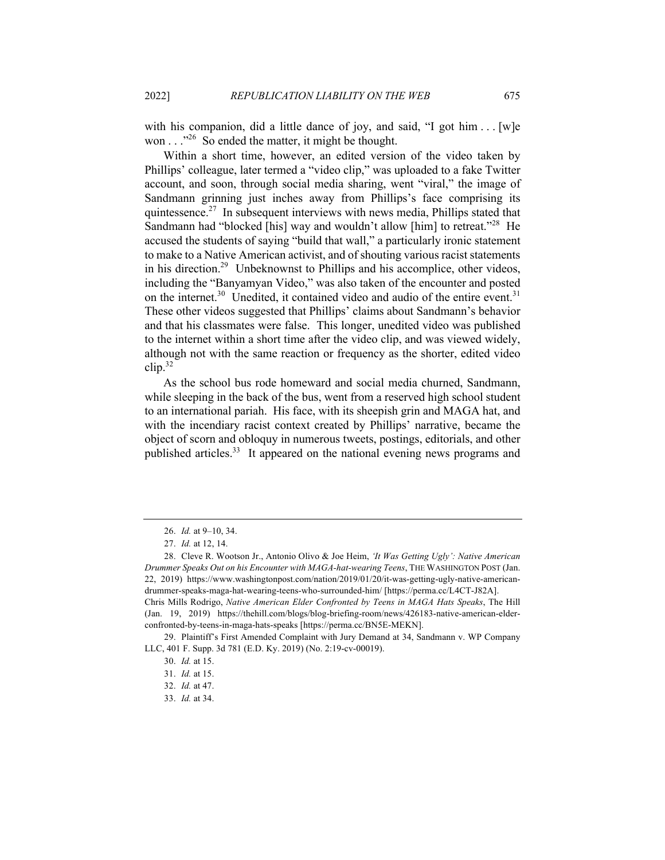with his companion, did a little dance of joy, and said, "I got him  $\dots$  [w]e won  $\ldots$ <sup>26</sup> So ended the matter, it might be thought.

Within a short time, however, an edited version of the video taken by Phillips' colleague, later termed a "video clip," was uploaded to a fake Twitter account, and soon, through social media sharing, went "viral," the image of Sandmann grinning just inches away from Phillips's face comprising its quintessence.<sup>27</sup> In subsequent interviews with news media, Phillips stated that Sandmann had "blocked [his] way and wouldn't allow [him] to retreat."<sup>28</sup> He accused the students of saying "build that wall," a particularly ironic statement to make to a Native American activist, and of shouting various racist statements in his direction.<sup>29</sup> Unbeknownst to Phillips and his accomplice, other videos, including the "Banyamyan Video," was also taken of the encounter and posted on the internet.<sup>30</sup> Unedited, it contained video and audio of the entire event.<sup>31</sup> These other videos suggested that Phillips' claims about Sandmann's behavior and that his classmates were false. This longer, unedited video was published to the internet within a short time after the video clip, and was viewed widely, although not with the same reaction or frequency as the shorter, edited video  $\text{clip}$ <sup>32</sup>

As the school bus rode homeward and social media churned, Sandmann, while sleeping in the back of the bus, went from a reserved high school student to an international pariah. His face, with its sheepish grin and MAGA hat, and with the incendiary racist context created by Phillips' narrative, became the object of scorn and obloquy in numerous tweets, postings, editorials, and other published articles.<sup>33</sup> It appeared on the national evening news programs and

<sup>26.</sup> *Id.* at 9–10, 34.

<sup>27.</sup> *Id.* at 12, 14.

<sup>28.</sup> Cleve R. Wootson Jr., Antonio Olivo & Joe Heim, *'It Was Getting Ugly': Native American Drummer Speaks Out on his Encounter with MAGA-hat-wearing Teens*, THE WASHINGTON POST (Jan. 22, 2019) https://www.washingtonpost.com/nation/2019/01/20/it-was-getting-ugly-native-americandrummer-speaks-maga-hat-wearing-teens-who-surrounded-him/ [https://perma.cc/L4CT-J82A]. Chris Mills Rodrigo, *Native American Elder Confronted by Teens in MAGA Hats Speaks*, The Hill (Jan. 19, 2019) https://thehill.com/blogs/blog-briefing-room/news/426183-native-american-elderconfronted-by-teens-in-maga-hats-speaks [https://perma.cc/BN5E-MEKN].

<sup>29.</sup> Plaintiff's First Amended Complaint with Jury Demand at 34, Sandmann v. WP Company LLC, 401 F. Supp. 3d 781 (E.D. Ky. 2019) (No. 2:19-cv-00019).

<sup>30.</sup> *Id.* at 15.

<sup>31.</sup> *Id.* at 15.

<sup>32.</sup> *Id.* at 47.

<sup>33.</sup> *Id.* at 34.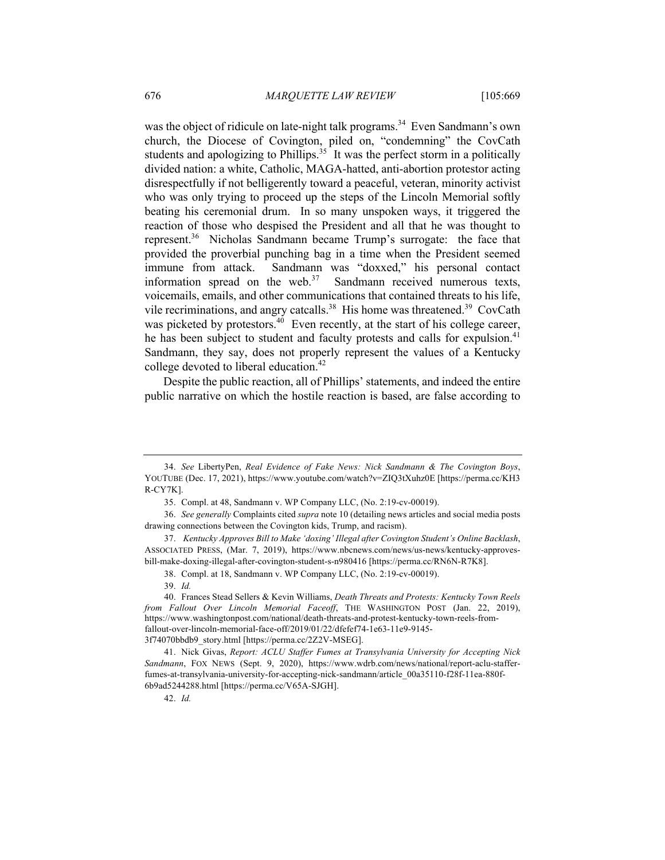was the object of ridicule on late-night talk programs.<sup>34</sup> Even Sandmann's own church, the Diocese of Covington, piled on, "condemning" the CovCath students and apologizing to Phillips. $35$  It was the perfect storm in a politically divided nation: a white, Catholic, MAGA-hatted, anti-abortion protestor acting disrespectfully if not belligerently toward a peaceful, veteran, minority activist who was only trying to proceed up the steps of the Lincoln Memorial softly beating his ceremonial drum. In so many unspoken ways, it triggered the reaction of those who despised the President and all that he was thought to represent.<sup>36</sup> Nicholas Sandmann became Trump's surrogate: the face that provided the proverbial punching bag in a time when the President seemed immune from attack. Sandmann was "doxxed," his personal contact information spread on the web. $37$  Sandmann received numerous texts, voicemails, emails, and other communications that contained threats to his life, vide recriminations, and angry catcalls.<sup>38</sup> His home was threatened.<sup>39</sup> CovCath was picketed by protestors. $40$  Even recently, at the start of his college career, he has been subject to student and faculty protests and calls for expulsion.<sup>41</sup> Sandmann, they say, does not properly represent the values of a Kentucky college devoted to liberal education.<sup>42</sup>

Despite the public reaction, all of Phillips' statements, and indeed the entire public narrative on which the hostile reaction is based, are false according to

<sup>34.</sup> *See* LibertyPen, *Real Evidence of Fake News: Nick Sandmann & The Covington Boys*, YOUTUBE (Dec. 17, 2021), https://www.youtube.com/watch?v=ZIQ3tXuhz0E [https://perma.cc/KH3 R-CY7K].

<sup>35.</sup> Compl. at 48, Sandmann v. WP Company LLC, (No. 2:19-cv-00019).

<sup>36.</sup> *See generally* Complaints cited *supra* note 10 (detailing news articles and social media posts drawing connections between the Covington kids, Trump, and racism).

<sup>37.</sup> *Kentucky Approves Bill to Make 'doxing' Illegal after Covington Student's Online Backlash*, ASSOCIATED PRESS, (Mar. 7, 2019), https://www.nbcnews.com/news/us-news/kentucky-approvesbill-make-doxing-illegal-after-covington-student-s-n980416 [https://perma.cc/RN6N-R7K8].

<sup>38.</sup> Compl. at 18, Sandmann v. WP Company LLC, (No. 2:19-cv-00019).

<sup>39.</sup> *Id.*

<sup>40.</sup> Frances Stead Sellers & Kevin Williams, *Death Threats and Protests: Kentucky Town Reels from Fallout Over Lincoln Memorial Faceoff*, THE WASHINGTON POST (Jan. 22, 2019), https://www.washingtonpost.com/national/death-threats-and-protest-kentucky-town-reels-fromfallout-over-lincoln-memorial-face-off/2019/01/22/dfefef74-1e63-11e9-9145- 3f74070bbdb9\_story.html [https://perma.cc/2Z2V-MSEG].

<sup>41.</sup> Nick Givas, *Report: ACLU Staffer Fumes at Transylvania University for Accepting Nick Sandmann*, FOX NEWS (Sept. 9, 2020), https://www.wdrb.com/news/national/report-aclu-stafferfumes-at-transylvania-university-for-accepting-nick-sandmann/article\_00a35110-f28f-11ea-880f-6b9ad5244288.html [https://perma.cc/V65A-SJGH].

<sup>42.</sup> *Id.*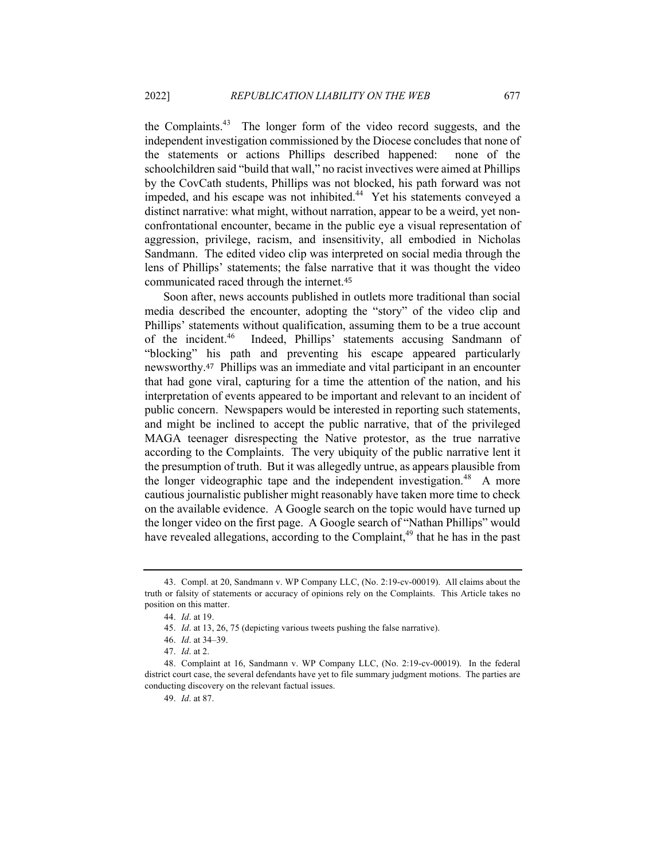the Complaints.<sup>43</sup> The longer form of the video record suggests, and the independent investigation commissioned by the Diocese concludes that none of the statements or actions Phillips described happened: none of the schoolchildren said "build that wall," no racist invectives were aimed at Phillips by the CovCath students, Phillips was not blocked, his path forward was not impeded, and his escape was not inhibited.<sup>44</sup> Yet his statements conveyed a distinct narrative: what might, without narration, appear to be a weird, yet nonconfrontational encounter, became in the public eye a visual representation of aggression, privilege, racism, and insensitivity, all embodied in Nicholas Sandmann. The edited video clip was interpreted on social media through the lens of Phillips' statements; the false narrative that it was thought the video communicated raced through the internet.<sup>45</sup>

Soon after, news accounts published in outlets more traditional than social media described the encounter, adopting the "story" of the video clip and Phillips' statements without qualification, assuming them to be a true account of the incident.<sup>46</sup> Indeed, Phillips' statements accusing Sandmann of "blocking" his path and preventing his escape appeared particularly newsworthy.47 Phillips was an immediate and vital participant in an encounter that had gone viral, capturing for a time the attention of the nation, and his interpretation of events appeared to be important and relevant to an incident of public concern. Newspapers would be interested in reporting such statements, and might be inclined to accept the public narrative, that of the privileged MAGA teenager disrespecting the Native protestor, as the true narrative according to the Complaints. The very ubiquity of the public narrative lent it the presumption of truth. But it was allegedly untrue, as appears plausible from the longer videographic tape and the independent investigation.<sup>48</sup> A more cautious journalistic publisher might reasonably have taken more time to check on the available evidence. A Google search on the topic would have turned up the longer video on the first page. A Google search of "Nathan Phillips" would have revealed allegations, according to the Complaint, $49$  that he has in the past

<sup>43.</sup> Compl. at 20, Sandmann v. WP Company LLC, (No. 2:19-cv-00019). All claims about the truth or falsity of statements or accuracy of opinions rely on the Complaints. This Article takes no position on this matter.

<sup>44.</sup> *Id*. at 19.

<sup>45.</sup> *Id*. at 13, 26, 75 (depicting various tweets pushing the false narrative).

<sup>46.</sup> *Id*. at 34–39.

<sup>47.</sup> *Id*. at 2.

<sup>48.</sup> Complaint at 16, Sandmann v. WP Company LLC, (No. 2:19-cv-00019). In the federal district court case, the several defendants have yet to file summary judgment motions. The parties are conducting discovery on the relevant factual issues.

<sup>49.</sup> *Id*. at 87.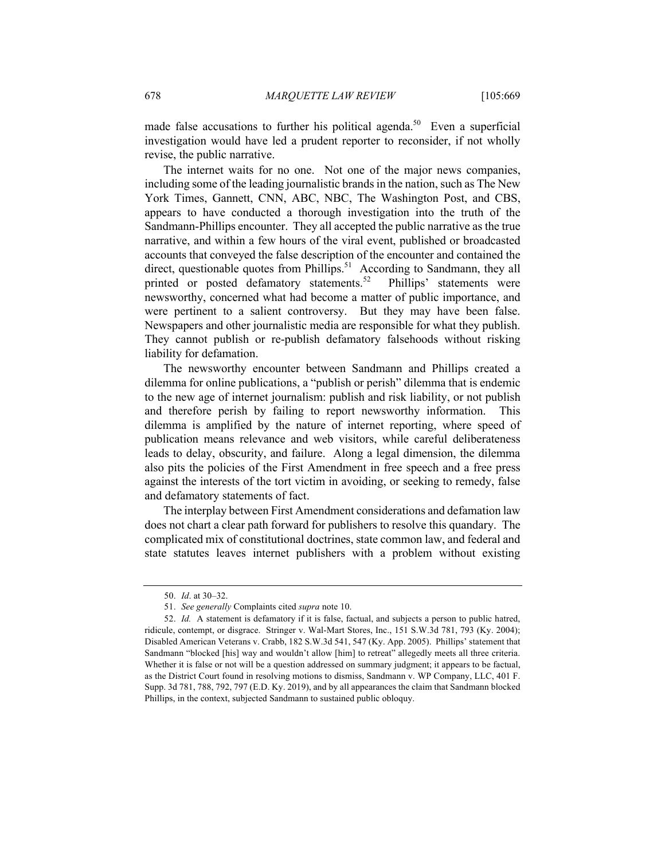made false accusations to further his political agenda.<sup>50</sup> Even a superficial investigation would have led a prudent reporter to reconsider, if not wholly revise, the public narrative.

The internet waits for no one. Not one of the major news companies, including some of the leading journalistic brands in the nation, such as The New York Times, Gannett, CNN, ABC, NBC, The Washington Post, and CBS, appears to have conducted a thorough investigation into the truth of the Sandmann-Phillips encounter. They all accepted the public narrative as the true narrative, and within a few hours of the viral event, published or broadcasted accounts that conveyed the false description of the encounter and contained the direct, questionable quotes from Phillips.<sup>51</sup> According to Sandmann, they all printed or posted defamatory statements.<sup>52</sup> Phillips' statements were newsworthy, concerned what had become a matter of public importance, and were pertinent to a salient controversy. But they may have been false. Newspapers and other journalistic media are responsible for what they publish. They cannot publish or re-publish defamatory falsehoods without risking liability for defamation.

The newsworthy encounter between Sandmann and Phillips created a dilemma for online publications, a "publish or perish" dilemma that is endemic to the new age of internet journalism: publish and risk liability, or not publish and therefore perish by failing to report newsworthy information. This dilemma is amplified by the nature of internet reporting, where speed of publication means relevance and web visitors, while careful deliberateness leads to delay, obscurity, and failure. Along a legal dimension, the dilemma also pits the policies of the First Amendment in free speech and a free press against the interests of the tort victim in avoiding, or seeking to remedy, false and defamatory statements of fact.

The interplay between First Amendment considerations and defamation law does not chart a clear path forward for publishers to resolve this quandary. The complicated mix of constitutional doctrines, state common law, and federal and state statutes leaves internet publishers with a problem without existing

<sup>50.</sup> *Id*. at 30–32.

<sup>51.</sup> *See generally* Complaints cited *supra* note 10.

<sup>52.</sup> *Id.* A statement is defamatory if it is false, factual, and subjects a person to public hatred, ridicule, contempt, or disgrace. Stringer v. Wal-Mart Stores, Inc., 151 S.W.3d 781, 793 (Ky. 2004); Disabled American Veterans v. Crabb, 182 S.W.3d 541, 547 (Ky. App. 2005). Phillips' statement that Sandmann "blocked [his] way and wouldn't allow [him] to retreat" allegedly meets all three criteria. Whether it is false or not will be a question addressed on summary judgment; it appears to be factual, as the District Court found in resolving motions to dismiss, Sandmann v. WP Company, LLC, 401 F. Supp. 3d 781, 788, 792, 797 (E.D. Ky. 2019), and by all appearances the claim that Sandmann blocked Phillips, in the context, subjected Sandmann to sustained public obloquy.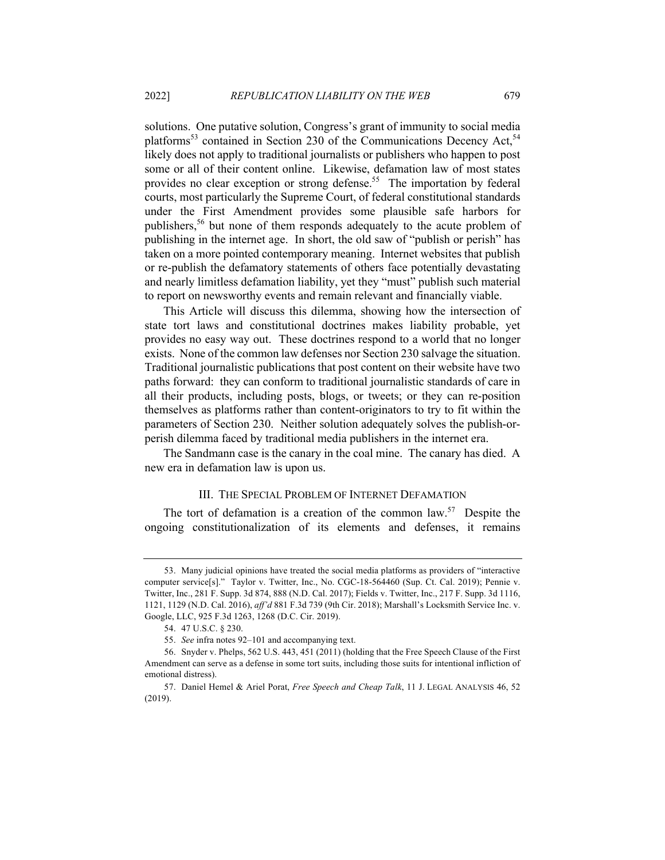solutions. One putative solution, Congress's grant of immunity to social media platforms<sup>53</sup> contained in Section 230 of the Communications Decency Act,<sup>54</sup> likely does not apply to traditional journalists or publishers who happen to post some or all of their content online. Likewise, defamation law of most states provides no clear exception or strong defense.<sup>55</sup> The importation by federal courts, most particularly the Supreme Court, of federal constitutional standards under the First Amendment provides some plausible safe harbors for publishers, <sup>56</sup> but none of them responds adequately to the acute problem of publishing in the internet age. In short, the old saw of "publish or perish" has taken on a more pointed contemporary meaning. Internet websites that publish or re-publish the defamatory statements of others face potentially devastating and nearly limitless defamation liability, yet they "must" publish such material to report on newsworthy events and remain relevant and financially viable.

This Article will discuss this dilemma, showing how the intersection of state tort laws and constitutional doctrines makes liability probable, yet provides no easy way out. These doctrines respond to a world that no longer exists. None of the common law defenses nor Section 230 salvage the situation. Traditional journalistic publications that post content on their website have two paths forward: they can conform to traditional journalistic standards of care in all their products, including posts, blogs, or tweets; or they can re-position themselves as platforms rather than content-originators to try to fit within the parameters of Section 230. Neither solution adequately solves the publish-orperish dilemma faced by traditional media publishers in the internet era.

The Sandmann case is the canary in the coal mine. The canary has died. A new era in defamation law is upon us.

#### III. THE SPECIAL PROBLEM OF INTERNET DEFAMATION

The tort of defamation is a creation of the common law.<sup>57</sup> Despite the ongoing constitutionalization of its elements and defenses, it remains

<sup>53.</sup> Many judicial opinions have treated the social media platforms as providers of "interactive computer service[s]." Taylor v. Twitter, Inc., No. CGC-18-564460 (Sup. Ct. Cal. 2019); Pennie v. Twitter, Inc., 281 F. Supp. 3d 874, 888 (N.D. Cal. 2017); Fields v. Twitter, Inc., 217 F. Supp. 3d 1116, 1121, 1129 (N.D. Cal. 2016), *aff'd* 881 F.3d 739 (9th Cir. 2018); Marshall's Locksmith Service Inc. v. Google, LLC, 925 F.3d 1263, 1268 (D.C. Cir. 2019).

<sup>54.</sup> 47 U.S.C. § 230.

<sup>55.</sup> *See* infra notes 92–101 and accompanying text.

<sup>56.</sup> Snyder v. Phelps, 562 U.S. 443, 451 (2011) (holding that the Free Speech Clause of the First Amendment can serve as a defense in some tort suits, including those suits for intentional infliction of emotional distress).

<sup>57.</sup> Daniel Hemel & Ariel Porat, *Free Speech and Cheap Talk*, 11 J. LEGAL ANALYSIS 46, 52 (2019).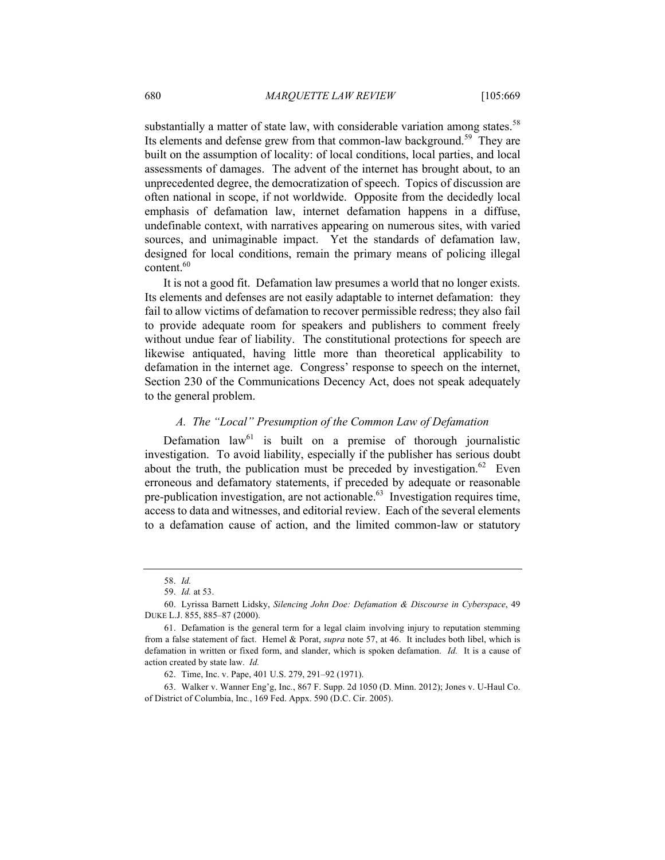substantially a matter of state law, with considerable variation among states.<sup>58</sup> Its elements and defense grew from that common-law background.<sup>59</sup> They are built on the assumption of locality: of local conditions, local parties, and local assessments of damages. The advent of the internet has brought about, to an unprecedented degree, the democratization of speech. Topics of discussion are often national in scope, if not worldwide. Opposite from the decidedly local emphasis of defamation law, internet defamation happens in a diffuse, undefinable context, with narratives appearing on numerous sites, with varied sources, and unimaginable impact. Yet the standards of defamation law, designed for local conditions, remain the primary means of policing illegal content.<sup>60</sup>

It is not a good fit. Defamation law presumes a world that no longer exists. Its elements and defenses are not easily adaptable to internet defamation: they fail to allow victims of defamation to recover permissible redress; they also fail to provide adequate room for speakers and publishers to comment freely without undue fear of liability. The constitutional protections for speech are likewise antiquated, having little more than theoretical applicability to defamation in the internet age. Congress' response to speech on the internet, Section 230 of the Communications Decency Act, does not speak adequately to the general problem.

#### *A. The "Local" Presumption of the Common Law of Defamation*

Defamation  $law<sup>61</sup>$  is built on a premise of thorough journalistic investigation. To avoid liability, especially if the publisher has serious doubt about the truth, the publication must be preceded by investigation.<sup>62</sup> Even erroneous and defamatory statements, if preceded by adequate or reasonable pre-publication investigation, are not actionable. $^{63}$  Investigation requires time, access to data and witnesses, and editorial review. Each of the several elements to a defamation cause of action, and the limited common-law or statutory

<sup>58.</sup> *Id.*

<sup>59.</sup> *Id.* at 53.

<sup>60.</sup> Lyrissa Barnett Lidsky, *Silencing John Doe: Defamation & Discourse in Cyberspace*, 49 DUKE L.J. 855, 885–87 (2000).

<sup>61.</sup> Defamation is the general term for a legal claim involving injury to reputation stemming from a false statement of fact. Hemel & Porat, *supra* note 57, at 46. It includes both libel, which is defamation in written or fixed form, and slander, which is spoken defamation. *Id.* It is a cause of action created by state law. *Id.*

<sup>62.</sup> Time, Inc. v. Pape, 401 U.S. 279, 291–92 (1971).

<sup>63.</sup> Walker v. Wanner Eng'g, Inc*.*, 867 F. Supp. 2d 1050 (D. Minn. 2012); Jones v. U-Haul Co. of District of Columbia, Inc*.*, 169 Fed. Appx. 590 (D.C. Cir. 2005).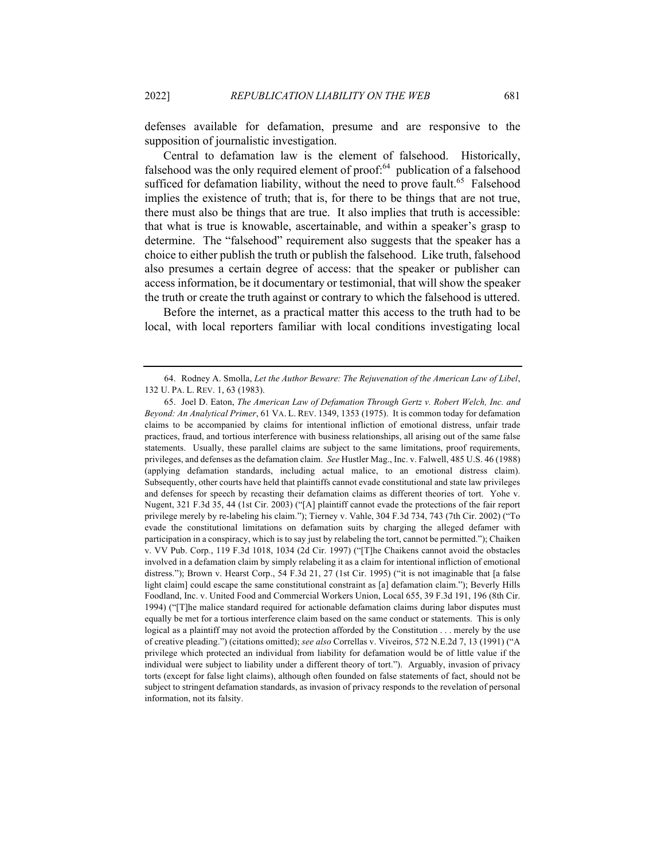defenses available for defamation, presume and are responsive to the supposition of journalistic investigation.

Central to defamation law is the element of falsehood. Historically, falsehood was the only required element of proof:<sup>64</sup> publication of a falsehood sufficed for defamation liability, without the need to prove fault.<sup>65</sup> Falsehood implies the existence of truth; that is, for there to be things that are not true, there must also be things that are true. It also implies that truth is accessible: that what is true is knowable, ascertainable, and within a speaker's grasp to determine. The "falsehood" requirement also suggests that the speaker has a choice to either publish the truth or publish the falsehood. Like truth, falsehood also presumes a certain degree of access: that the speaker or publisher can access information, be it documentary or testimonial, that will show the speaker the truth or create the truth against or contrary to which the falsehood is uttered.

Before the internet, as a practical matter this access to the truth had to be local, with local reporters familiar with local conditions investigating local

<sup>64.</sup> Rodney A. Smolla, *Let the Author Beware: The Rejuvenation of the American Law of Libel*, 132 U. PA. L. REV. 1, 63 (1983).

<sup>65.</sup> Joel D. Eaton, *The American Law of Defamation Through Gertz v. Robert Welch, Inc. and Beyond: An Analytical Primer*, 61 VA. L. REV. 1349, 1353 (1975). It is common today for defamation claims to be accompanied by claims for intentional infliction of emotional distress, unfair trade practices, fraud, and tortious interference with business relationships, all arising out of the same false statements. Usually, these parallel claims are subject to the same limitations, proof requirements, privileges, and defenses as the defamation claim. *See* Hustler Mag., Inc. v. Falwell, 485 U.S. 46 (1988) (applying defamation standards, including actual malice, to an emotional distress claim). Subsequently, other courts have held that plaintiffs cannot evade constitutional and state law privileges and defenses for speech by recasting their defamation claims as different theories of tort. Yohe v. Nugent, 321 F.3d 35, 44 (1st Cir. 2003) ("[A] plaintiff cannot evade the protections of the fair report privilege merely by re-labeling his claim."); Tierney v. Vahle, 304 F.3d 734, 743 (7th Cir. 2002) ("To evade the constitutional limitations on defamation suits by charging the alleged defamer with participation in a conspiracy, which is to say just by relabeling the tort, cannot be permitted."); Chaiken v. VV Pub. Corp*.*, 119 F.3d 1018, 1034 (2d Cir. 1997) ("[T]he Chaikens cannot avoid the obstacles involved in a defamation claim by simply relabeling it as a claim for intentional infliction of emotional distress."); Brown v. Hearst Corp., 54 F.3d 21, 27 (1st Cir. 1995) ("it is not imaginable that [a false light claim] could escape the same constitutional constraint as [a] defamation claim."); Beverly Hills Foodland, Inc. v. United Food and Commercial Workers Union, Local 655, 39 F.3d 191, 196 (8th Cir. 1994) ("[T]he malice standard required for actionable defamation claims during labor disputes must equally be met for a tortious interference claim based on the same conduct or statements. This is only logical as a plaintiff may not avoid the protection afforded by the Constitution . . . merely by the use of creative pleading.") (citations omitted); *see also* Correllas v. Viveiros, 572 N.E.2d 7, 13 (1991) ("A privilege which protected an individual from liability for defamation would be of little value if the individual were subject to liability under a different theory of tort."). Arguably, invasion of privacy torts (except for false light claims), although often founded on false statements of fact, should not be subject to stringent defamation standards, as invasion of privacy responds to the revelation of personal information, not its falsity.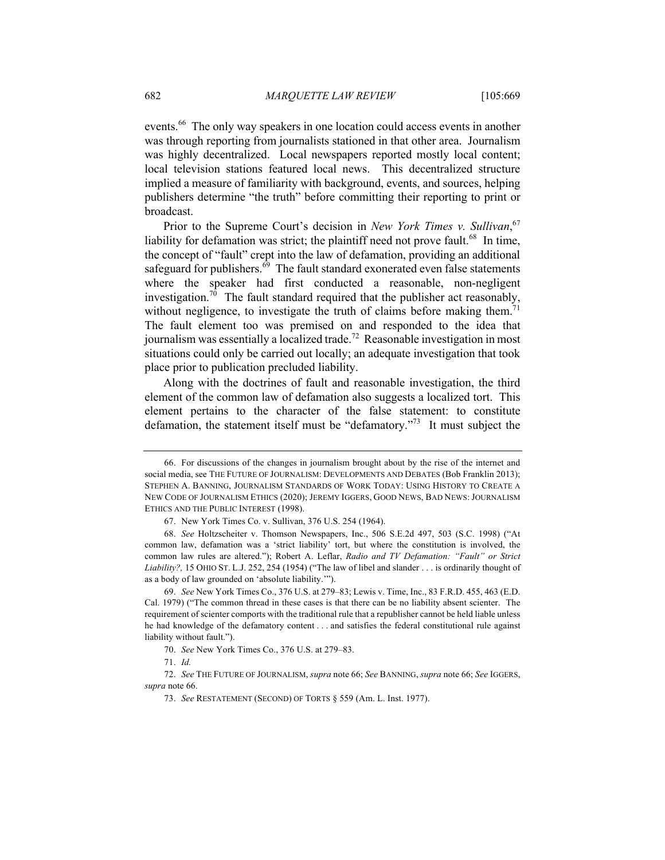events.<sup>66</sup> The only way speakers in one location could access events in another was through reporting from journalists stationed in that other area. Journalism was highly decentralized. Local newspapers reported mostly local content; local television stations featured local news. This decentralized structure implied a measure of familiarity with background, events, and sources, helping publishers determine "the truth" before committing their reporting to print or broadcast.

Prior to the Supreme Court's decision in *New York Times v. Sullivan*,<sup>67</sup> liability for defamation was strict; the plaintiff need not prove fault.<sup>68</sup> In time, the concept of "fault" crept into the law of defamation, providing an additional safeguard for publishers.<sup>69</sup> The fault standard exonerated even false statements where the speaker had first conducted a reasonable, non-negligent investigation.<sup>70</sup> The fault standard required that the publisher act reasonably, without negligence, to investigate the truth of claims before making them.<sup>7</sup> The fault element too was premised on and responded to the idea that journalism was essentially a localized trade.<sup>72</sup> Reasonable investigation in most situations could only be carried out locally; an adequate investigation that took place prior to publication precluded liability.

Along with the doctrines of fault and reasonable investigation, the third element of the common law of defamation also suggests a localized tort. This element pertains to the character of the false statement: to constitute defamation, the statement itself must be "defamatory. $173$ " It must subject the

<sup>66.</sup> For discussions of the changes in journalism brought about by the rise of the internet and social media, see THE FUTURE OF JOURNALISM: DEVELOPMENTS AND DEBATES (Bob Franklin 2013); STEPHEN A. BANNING, JOURNALISM STANDARDS OF WORK TODAY: USING HISTORY TO CREATE A NEW CODE OF JOURNALISM ETHICS (2020); JEREMY IGGERS, GOOD NEWS, BAD NEWS: JOURNALISM ETHICS AND THE PUBLIC INTEREST (1998).

<sup>67.</sup> New York Times Co. v. Sullivan, 376 U.S. 254 (1964).

<sup>68.</sup> *See* Holtzscheiter v. Thomson Newspapers, Inc., 506 S.E.2d 497, 503 (S.C. 1998) ("At common law, defamation was a 'strict liability' tort, but where the constitution is involved, the common law rules are altered."); Robert A. Leflar, *Radio and TV Defamation: "Fault" or Strict Liability?,* 15 OHIO ST. L.J. 252, 254 (1954) ("The law of libel and slander . . . is ordinarily thought of as a body of law grounded on 'absolute liability.'").

<sup>69.</sup> *See* New York Times Co., 376 U.S. at 279–83; Lewis v. Time, Inc., 83 F.R.D. 455, 463 (E.D. Cal. 1979) ("The common thread in these cases is that there can be no liability absent scienter. The requirement of scienter comports with the traditional rule that a republisher cannot be held liable unless he had knowledge of the defamatory content . . . and satisfies the federal constitutional rule against liability without fault.").

<sup>70.</sup> *See* New York Times Co., 376 U.S. at 279–83.

<sup>71.</sup> *Id.*

<sup>72.</sup> *See* THE FUTURE OF JOURNALISM, *supra* note 66; *See* BANNING, *supra* note 66; *See* IGGERS, *supra* note 66.

<sup>73.</sup> *See* RESTATEMENT (SECOND) OF TORTS § 559 (Am. L. Inst. 1977).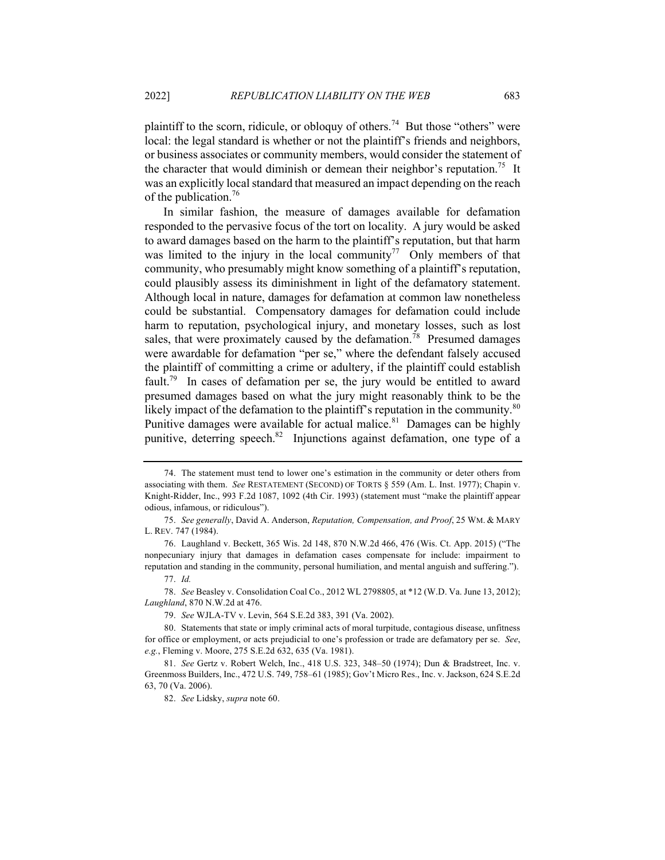plaintiff to the scorn, ridicule, or obloquy of others.<sup>74</sup> But those "others" were local: the legal standard is whether or not the plaintiff's friends and neighbors, or business associates or community members, would consider the statement of the character that would diminish or demean their neighbor's reputation.<sup>75</sup> It was an explicitly local standard that measured an impact depending on the reach of the publication.<sup>76</sup>

In similar fashion, the measure of damages available for defamation responded to the pervasive focus of the tort on locality. A jury would be asked to award damages based on the harm to the plaintiff's reputation, but that harm was limited to the injury in the local community<sup>77</sup> Only members of that community, who presumably might know something of a plaintiff's reputation, could plausibly assess its diminishment in light of the defamatory statement. Although local in nature, damages for defamation at common law nonetheless could be substantial. Compensatory damages for defamation could include harm to reputation, psychological injury, and monetary losses, such as lost sales, that were proximately caused by the defamation.<sup>78</sup> Presumed damages were awardable for defamation "per se," where the defendant falsely accused the plaintiff of committing a crime or adultery, if the plaintiff could establish fault.<sup>79</sup> In cases of defamation per se, the jury would be entitled to award presumed damages based on what the jury might reasonably think to be the likely impact of the defamation to the plaintiff's reputation in the community.<sup>80</sup> Punitive damages were available for actual malice. $81$  Damages can be highly punitive, deterring speech. $82$  Injunctions against defamation, one type of a

<sup>74.</sup> The statement must tend to lower one's estimation in the community or deter others from associating with them. *See* RESTATEMENT (SECOND) OF TORTS § 559 (Am. L. Inst. 1977); Chapin v. Knight-Ridder, Inc., 993 F.2d 1087, 1092 (4th Cir. 1993) (statement must "make the plaintiff appear odious, infamous, or ridiculous").

<sup>75.</sup> *See generally*, David A. Anderson, *Reputation, Compensation, and Proof*, 25 WM. & MARY L. REV. 747 (1984).

<sup>76.</sup> Laughland v. Beckett, 365 Wis. 2d 148, 870 N.W.2d 466, 476 (Wis. Ct. App. 2015) ("The nonpecuniary injury that damages in defamation cases compensate for include: impairment to reputation and standing in the community, personal humiliation, and mental anguish and suffering."). 77. *Id.*

<sup>78.</sup> *See* Beasley v. Consolidation Coal Co., 2012 WL 2798805, at \*12 (W.D. Va. June 13, 2012); *Laughland*, 870 N.W.2d at 476.

<sup>79.</sup> *See* WJLA-TV v. Levin, 564 S.E.2d 383, 391 (Va. 2002).

<sup>80.</sup> Statements that state or imply criminal acts of moral turpitude, contagious disease, unfitness for office or employment, or acts prejudicial to one's profession or trade are defamatory per se. *See*, *e.g.*, Fleming v. Moore, 275 S.E.2d 632, 635 (Va. 1981).

<sup>81.</sup> *See* Gertz v. Robert Welch, Inc., 418 U.S. 323, 348–50 (1974); Dun & Bradstreet, Inc. v. Greenmoss Builders, Inc., 472 U.S. 749, 758–61 (1985); Gov't Micro Res., Inc. v. Jackson, 624 S.E.2d 63, 70 (Va. 2006).

<sup>82.</sup> *See* Lidsky, *supra* note 60.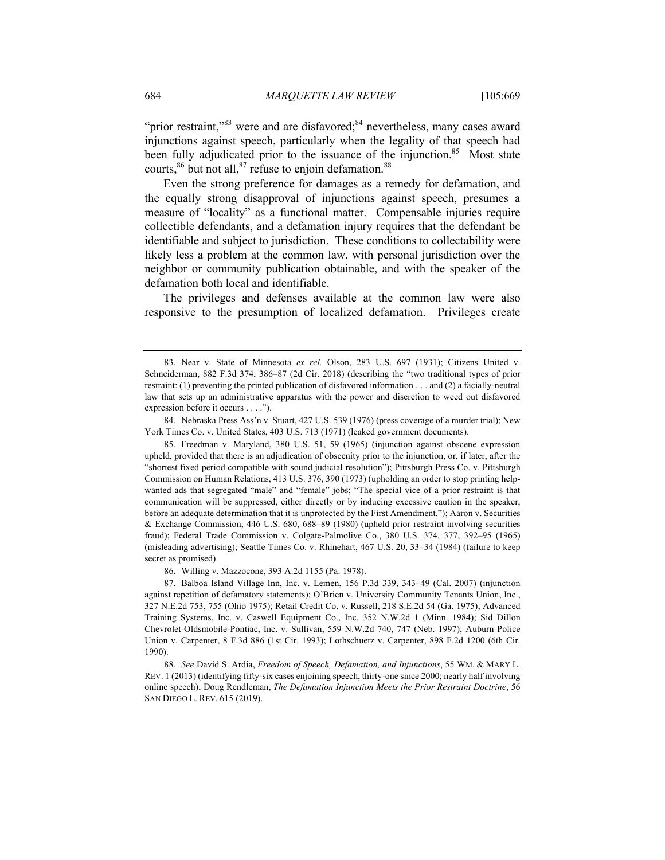"prior restraint,"<sup>83</sup> were and are disfavored; $84$  nevertheless, many cases award injunctions against speech, particularly when the legality of that speech had been fully adjudicated prior to the issuance of the injunction.<sup>85</sup> Most state courts,  $86$  but not all,  $87$  refuse to enjoin defamation.  $88$ 

Even the strong preference for damages as a remedy for defamation, and the equally strong disapproval of injunctions against speech, presumes a measure of "locality" as a functional matter. Compensable injuries require collectible defendants, and a defamation injury requires that the defendant be identifiable and subject to jurisdiction. These conditions to collectability were likely less a problem at the common law, with personal jurisdiction over the neighbor or community publication obtainable, and with the speaker of the defamation both local and identifiable.

The privileges and defenses available at the common law were also responsive to the presumption of localized defamation. Privileges create

84. Nebraska Press Ass'n v. Stuart, 427 U.S. 539 (1976) (press coverage of a murder trial); New York Times Co. v. United States, 403 U.S. 713 (1971) (leaked government documents).

85. Freedman v. Maryland, 380 U.S. 51, 59 (1965) (injunction against obscene expression upheld, provided that there is an adjudication of obscenity prior to the injunction, or, if later, after the "shortest fixed period compatible with sound judicial resolution"); Pittsburgh Press Co. v. Pittsburgh Commission on Human Relations, 413 U.S. 376, 390 (1973) (upholding an order to stop printing helpwanted ads that segregated "male" and "female" jobs; "The special vice of a prior restraint is that communication will be suppressed, either directly or by inducing excessive caution in the speaker, before an adequate determination that it is unprotected by the First Amendment."); Aaron v. Securities & Exchange Commission, 446 U.S. 680, 688–89 (1980) (upheld prior restraint involving securities fraud); Federal Trade Commission v. Colgate-Palmolive Co., 380 U.S. 374, 377, 392–95 (1965) (misleading advertising); Seattle Times Co. v. Rhinehart, 467 U.S. 20, 33–34 (1984) (failure to keep secret as promised).

86. Willing v. Mazzocone, 393 A.2d 1155 (Pa. 1978).

87. Balboa Island Village Inn, Inc. v. Lemen, 156 P.3d 339, 343–49 (Cal. 2007) (injunction against repetition of defamatory statements); O'Brien v. University Community Tenants Union, Inc., 327 N.E.2d 753, 755 (Ohio 1975); Retail Credit Co. v. Russell, 218 S.E.2d 54 (Ga. 1975); Advanced Training Systems, Inc. v. Caswell Equipment Co., Inc. 352 N.W.2d 1 (Minn. 1984); Sid Dillon Chevrolet-Oldsmobile-Pontiac, Inc. v. Sullivan, 559 N.W.2d 740, 747 (Neb. 1997); Auburn Police Union v. Carpenter, 8 F.3d 886 (1st Cir. 1993); Lothschuetz v. Carpenter, 898 F.2d 1200 (6th Cir. 1990).

88. *See* David S. Ardia, *Freedom of Speech, Defamation, and Injunctions*, 55 WM. & MARY L. REV. 1 (2013) (identifying fifty-six cases enjoining speech, thirty-one since 2000; nearly half involving online speech); Doug Rendleman, *The Defamation Injunction Meets the Prior Restraint Doctrine*, 56 SAN DIEGO L. REV. 615 (2019).

<sup>83.</sup> Near v. State of Minnesota *ex rel.* Olson, 283 U.S. 697 (1931); Citizens United v. Schneiderman, 882 F.3d 374, 386–87 (2d Cir. 2018) (describing the "two traditional types of prior restraint: (1) preventing the printed publication of disfavored information . . . and (2) a facially-neutral law that sets up an administrative apparatus with the power and discretion to weed out disfavored expression before it occurs . . . .").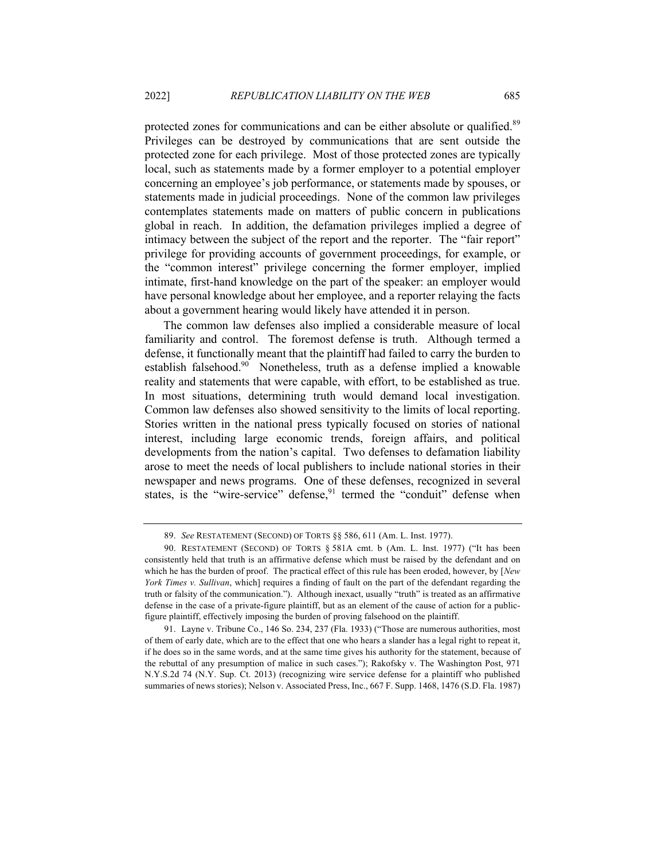protected zones for communications and can be either absolute or qualified.<sup>89</sup> Privileges can be destroyed by communications that are sent outside the protected zone for each privilege. Most of those protected zones are typically local, such as statements made by a former employer to a potential employer concerning an employee's job performance, or statements made by spouses, or statements made in judicial proceedings. None of the common law privileges contemplates statements made on matters of public concern in publications global in reach. In addition, the defamation privileges implied a degree of intimacy between the subject of the report and the reporter. The "fair report" privilege for providing accounts of government proceedings, for example, or the "common interest" privilege concerning the former employer, implied intimate, first-hand knowledge on the part of the speaker: an employer would have personal knowledge about her employee, and a reporter relaying the facts about a government hearing would likely have attended it in person.

The common law defenses also implied a considerable measure of local familiarity and control. The foremost defense is truth. Although termed a defense, it functionally meant that the plaintiff had failed to carry the burden to establish falsehood.<sup>90</sup> Nonetheless, truth as a defense implied a knowable reality and statements that were capable, with effort, to be established as true. In most situations, determining truth would demand local investigation. Common law defenses also showed sensitivity to the limits of local reporting. Stories written in the national press typically focused on stories of national interest, including large economic trends, foreign affairs, and political developments from the nation's capital. Two defenses to defamation liability arose to meet the needs of local publishers to include national stories in their newspaper and news programs. One of these defenses, recognized in several states, is the "wire-service" defense, $91$  termed the "conduit" defense when

<sup>89.</sup> *See* RESTATEMENT (SECOND) OF TORTS §§ 586, 611 (Am. L. Inst. 1977).

<sup>90.</sup> RESTATEMENT (SECOND) OF TORTS § 581A cmt. b (Am. L. Inst. 1977) ("It has been consistently held that truth is an affirmative defense which must be raised by the defendant and on which he has the burden of proof. The practical effect of this rule has been eroded, however, by [*New York Times v. Sullivan*, which] requires a finding of fault on the part of the defendant regarding the truth or falsity of the communication."). Although inexact, usually "truth" is treated as an affirmative defense in the case of a private-figure plaintiff, but as an element of the cause of action for a publicfigure plaintiff, effectively imposing the burden of proving falsehood on the plaintiff.

<sup>91.</sup> Layne v. Tribune Co., 146 So. 234, 237 (Fla. 1933) ("Those are numerous authorities, most of them of early date, which are to the effect that one who hears a slander has a legal right to repeat it, if he does so in the same words, and at the same time gives his authority for the statement, because of the rebuttal of any presumption of malice in such cases."); Rakofsky v. The Washington Post, 971 N.Y.S.2d 74 (N.Y. Sup. Ct. 2013) (recognizing wire service defense for a plaintiff who published summaries of news stories); Nelson v. Associated Press, Inc., 667 F. Supp. 1468, 1476 (S.D. Fla. 1987)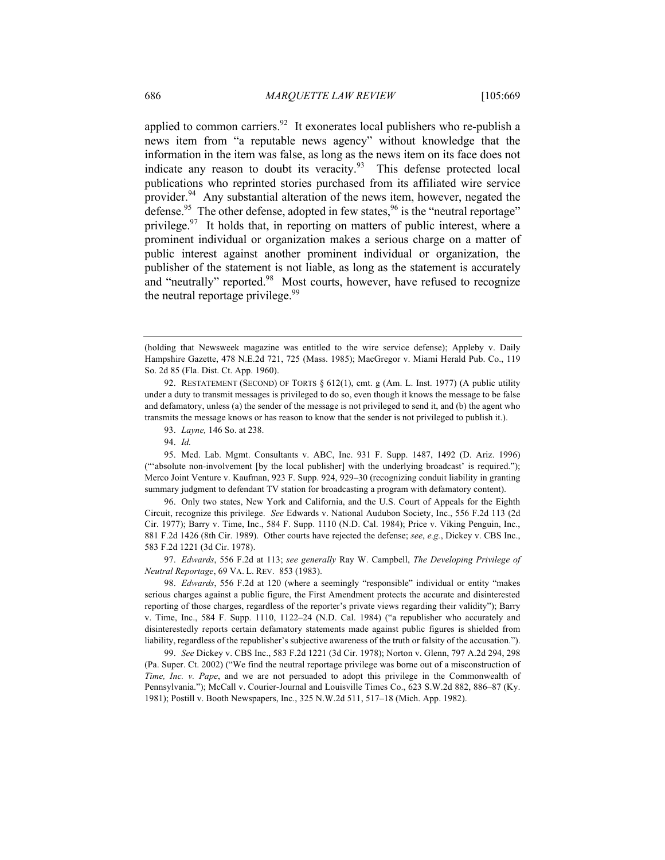applied to common carriers.<sup>92</sup> It exonerates local publishers who re-publish a news item from "a reputable news agency" without knowledge that the information in the item was false, as long as the news item on its face does not indicate any reason to doubt its veracity. $93$  This defense protected local publications who reprinted stories purchased from its affiliated wire service provider.<sup>94</sup> Any substantial alteration of the news item, however, negated the defense.<sup>95</sup> The other defense, adopted in few states,  $96$  is the "neutral reportage" privilege.<sup>97</sup> It holds that, in reporting on matters of public interest, where a prominent individual or organization makes a serious charge on a matter of public interest against another prominent individual or organization, the publisher of the statement is not liable, as long as the statement is accurately and "neutrally" reported.<sup>98</sup> Most courts, however, have refused to recognize the neutral reportage privilege.<sup>99</sup>

95. Med. Lab. Mgmt. Consultants v. ABC, Inc. 931 F. Supp. 1487, 1492 (D. Ariz. 1996) ("'absolute non-involvement [by the local publisher] with the underlying broadcast' is required."); Merco Joint Venture v. Kaufman, 923 F. Supp. 924, 929–30 (recognizing conduit liability in granting summary judgment to defendant TV station for broadcasting a program with defamatory content).

96. Only two states, New York and California, and the U.S. Court of Appeals for the Eighth Circuit, recognize this privilege. *See* Edwards v. National Audubon Society, Inc., 556 F.2d 113 (2d Cir. 1977); Barry v. Time, Inc., 584 F. Supp. 1110 (N.D. Cal. 1984); Price v. Viking Penguin, Inc., 881 F.2d 1426 (8th Cir. 1989). Other courts have rejected the defense; *see*, *e.g.*, Dickey v. CBS Inc., 583 F.2d 1221 (3d Cir. 1978).

97. *Edwards*, 556 F.2d at 113; *see generally* Ray W. Campbell, *The Developing Privilege of Neutral Reportage*, 69 VA. L. REV. 853 (1983).

98. *Edwards*, 556 F.2d at 120 (where a seemingly "responsible" individual or entity "makes serious charges against a public figure, the First Amendment protects the accurate and disinterested reporting of those charges, regardless of the reporter's private views regarding their validity"); Barry v. Time, Inc., 584 F. Supp. 1110, 1122–24 (N.D. Cal. 1984) ("a republisher who accurately and disinterestedly reports certain defamatory statements made against public figures is shielded from liability, regardless of the republisher's subjective awareness of the truth or falsity of the accusation.").

99. *See* Dickey v. CBS Inc., 583 F.2d 1221 (3d Cir. 1978); Norton v. Glenn, 797 A.2d 294, 298 (Pa. Super. Ct. 2002) ("We find the neutral reportage privilege was borne out of a misconstruction of *Time, Inc. v. Pape*, and we are not persuaded to adopt this privilege in the Commonwealth of Pennsylvania."); McCall v. Courier-Journal and Louisville Times Co., 623 S.W.2d 882, 886–87 (Ky. 1981); Postill v. Booth Newspapers, Inc., 325 N.W.2d 511, 517–18 (Mich. App. 1982).

<sup>(</sup>holding that Newsweek magazine was entitled to the wire service defense); Appleby v. Daily Hampshire Gazette, 478 N.E.2d 721, 725 (Mass. 1985); MacGregor v. Miami Herald Pub. Co., 119 So. 2d 85 (Fla. Dist. Ct. App. 1960).

<sup>92.</sup> RESTATEMENT (SECOND) OF TORTS § 612(1), cmt. g (Am. L. Inst. 1977) (A public utility under a duty to transmit messages is privileged to do so, even though it knows the message to be false and defamatory, unless (a) the sender of the message is not privileged to send it, and (b) the agent who transmits the message knows or has reason to know that the sender is not privileged to publish it.).

<sup>93.</sup> *Layne,* 146 So. at 238.

<sup>94.</sup> *Id.*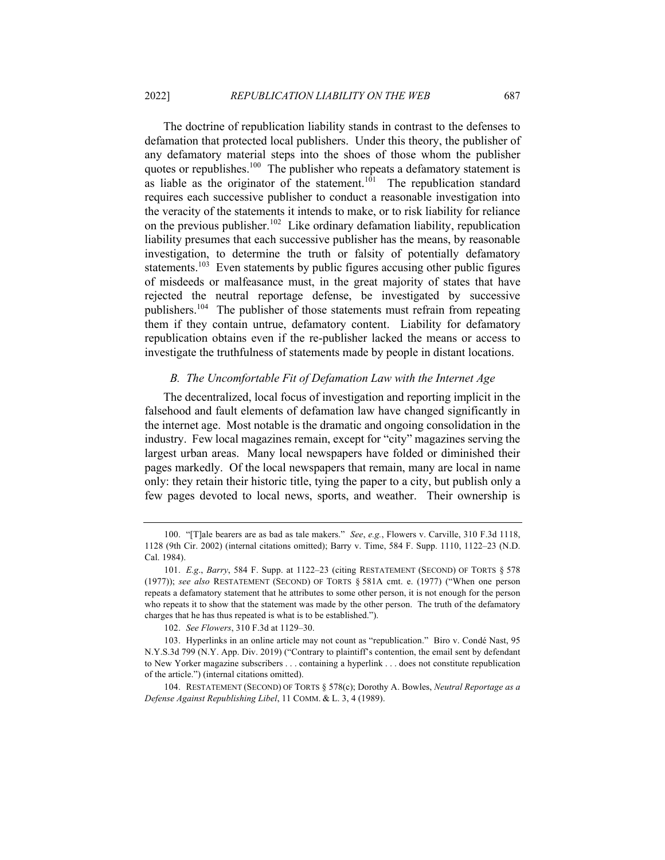The doctrine of republication liability stands in contrast to the defenses to defamation that protected local publishers. Under this theory, the publisher of any defamatory material steps into the shoes of those whom the publisher quotes or republishes.<sup>100</sup> The publisher who repeats a defamatory statement is as liable as the originator of the statement.<sup>101</sup> The republication standard requires each successive publisher to conduct a reasonable investigation into the veracity of the statements it intends to make, or to risk liability for reliance on the previous publisher.<sup>102</sup> Like ordinary defamation liability, republication liability presumes that each successive publisher has the means, by reasonable investigation, to determine the truth or falsity of potentially defamatory statements.<sup>103</sup> Even statements by public figures accusing other public figures of misdeeds or malfeasance must, in the great majority of states that have rejected the neutral reportage defense, be investigated by successive publishers.<sup>104</sup> The publisher of those statements must refrain from repeating them if they contain untrue, defamatory content. Liability for defamatory republication obtains even if the re-publisher lacked the means or access to investigate the truthfulness of statements made by people in distant locations.

# *B. The Uncomfortable Fit of Defamation Law with the Internet Age*

The decentralized, local focus of investigation and reporting implicit in the falsehood and fault elements of defamation law have changed significantly in the internet age. Most notable is the dramatic and ongoing consolidation in the industry. Few local magazines remain, except for "city" magazines serving the largest urban areas. Many local newspapers have folded or diminished their pages markedly. Of the local newspapers that remain, many are local in name only: they retain their historic title, tying the paper to a city, but publish only a few pages devoted to local news, sports, and weather. Their ownership is

<sup>100.</sup> "[T]ale bearers are as bad as tale makers." *See*, *e.g.*, Flowers v. Carville, 310 F.3d 1118, 1128 (9th Cir. 2002) (internal citations omitted); Barry v. Time, 584 F. Supp. 1110, 1122–23 (N.D. Cal. 1984).

<sup>101.</sup> *E.g*., *Barry*, 584 F. Supp. at 1122–23 (citing RESTATEMENT (SECOND) OF TORTS § 578 (1977)); *see also* RESTATEMENT (SECOND) OF TORTS § 581A cmt. e. (1977) ("When one person repeats a defamatory statement that he attributes to some other person, it is not enough for the person who repeats it to show that the statement was made by the other person. The truth of the defamatory charges that he has thus repeated is what is to be established.").

<sup>102.</sup> *See Flowers*, 310 F.3d at 1129–30.

<sup>103.</sup> Hyperlinks in an online article may not count as "republication." Biro v. Condé Nast, 95 N.Y.S.3d 799 (N.Y. App. Div. 2019) ("Contrary to plaintiff's contention, the email sent by defendant to New Yorker magazine subscribers . . . containing a hyperlink . . . does not constitute republication of the article.") (internal citations omitted).

<sup>104.</sup> RESTATEMENT (SECOND) OF TORTS § 578(c); Dorothy A. Bowles, *Neutral Reportage as a Defense Against Republishing Libel*, 11 COMM. & L. 3, 4 (1989).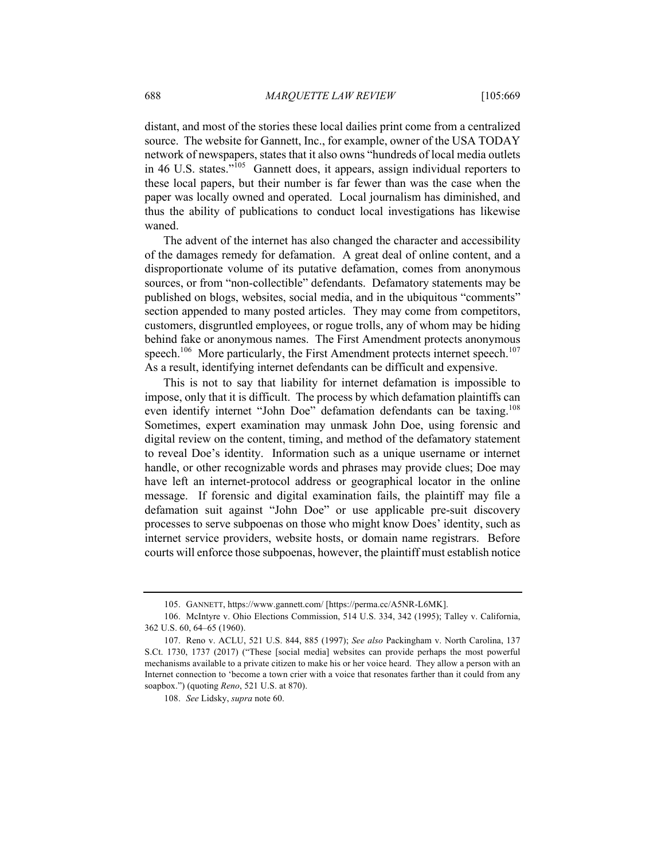distant, and most of the stories these local dailies print come from a centralized source. The website for Gannett, Inc., for example, owner of the USA TODAY network of newspapers, states that it also owns "hundreds of local media outlets in 46 U.S. states."<sup>105</sup> Gannett does, it appears, assign individual reporters to these local papers, but their number is far fewer than was the case when the paper was locally owned and operated. Local journalism has diminished, and thus the ability of publications to conduct local investigations has likewise waned.

The advent of the internet has also changed the character and accessibility of the damages remedy for defamation. A great deal of online content, and a disproportionate volume of its putative defamation, comes from anonymous sources, or from "non-collectible" defendants. Defamatory statements may be published on blogs, websites, social media, and in the ubiquitous "comments" section appended to many posted articles. They may come from competitors, customers, disgruntled employees, or rogue trolls, any of whom may be hiding behind fake or anonymous names. The First Amendment protects anonymous speech.<sup>106</sup> More particularly, the First Amendment protects internet speech.<sup>107</sup> As a result, identifying internet defendants can be difficult and expensive.

This is not to say that liability for internet defamation is impossible to impose, only that it is difficult. The process by which defamation plaintiffs can even identify internet "John Doe" defamation defendants can be taxing.<sup>108</sup> Sometimes, expert examination may unmask John Doe, using forensic and digital review on the content, timing, and method of the defamatory statement to reveal Doe's identity. Information such as a unique username or internet handle, or other recognizable words and phrases may provide clues; Doe may have left an internet-protocol address or geographical locator in the online message. If forensic and digital examination fails, the plaintiff may file a defamation suit against "John Doe" or use applicable pre-suit discovery processes to serve subpoenas on those who might know Does' identity, such as internet service providers, website hosts, or domain name registrars. Before courts will enforce those subpoenas, however, the plaintiff must establish notice

<sup>105.</sup> GANNETT, https://www.gannett.com/ [https://perma.cc/A5NR-L6MK].

<sup>106.</sup> McIntyre v. Ohio Elections Commission, 514 U.S. 334, 342 (1995); Talley v. California, 362 U.S. 60, 64–65 (1960).

<sup>107.</sup> Reno v. ACLU, 521 U.S. 844, 885 (1997); *See also* Packingham v. North Carolina, 137 S.Ct. 1730, 1737 (2017) ("These [social media] websites can provide perhaps the most powerful mechanisms available to a private citizen to make his or her voice heard. They allow a person with an Internet connection to 'become a town crier with a voice that resonates farther than it could from any soapbox.") (quoting *Reno*, 521 U.S. at 870).

<sup>108.</sup> *See* Lidsky, *supra* note 60.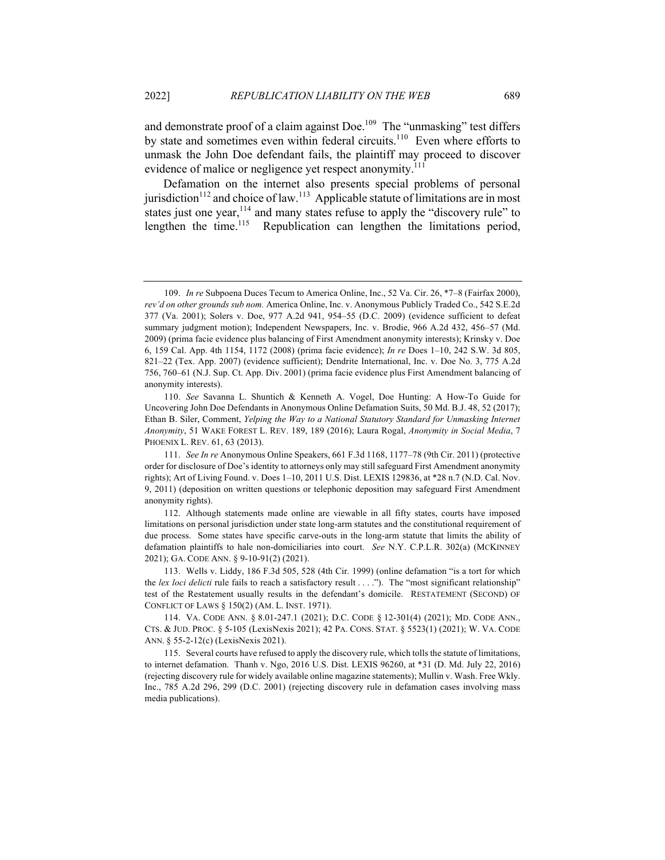and demonstrate proof of a claim against Doe.<sup>109</sup> The "unmasking" test differs by state and sometimes even within federal circuits.<sup>110</sup> Even where efforts to unmask the John Doe defendant fails, the plaintiff may proceed to discover evidence of malice or negligence yet respect anonymity.<sup>111</sup>

Defamation on the internet also presents special problems of personal jurisdiction<sup>112</sup> and choice of law.<sup>113</sup> Applicable statute of limitations are in most states just one year,<sup>114</sup> and many states refuse to apply the "discovery rule" to lengthen the time.<sup>115</sup> Republication can lengthen the limitations period,

<sup>109.</sup> *In re* Subpoena Duces Tecum to America Online, Inc., 52 Va. Cir. 26, \*7–8 (Fairfax 2000), *rev'd on other grounds sub nom.* America Online, Inc. v. Anonymous Publicly Traded Co., 542 S.E.2d 377 (Va. 2001); Solers v. Doe, 977 A.2d 941, 954–55 (D.C. 2009) (evidence sufficient to defeat summary judgment motion); Independent Newspapers, Inc. v. Brodie, 966 A.2d 432, 456–57 (Md. 2009) (prima facie evidence plus balancing of First Amendment anonymity interests); Krinsky v. Doe 6, 159 Cal. App. 4th 1154, 1172 (2008) (prima facie evidence); *In re* Does 1–10, 242 S.W. 3d 805, 821–22 (Tex. App. 2007) (evidence sufficient); Dendrite International, Inc. v. Doe No. 3, 775 A.2d 756, 760–61 (N.J. Sup. Ct. App. Div. 2001) (prima facie evidence plus First Amendment balancing of anonymity interests).

<sup>110.</sup> *See* Savanna L. Shuntich & Kenneth A. Vogel, Doe Hunting: A How-To Guide for Uncovering John Doe Defendants in Anonymous Online Defamation Suits, 50 Md. B.J. 48, 52 (2017); Ethan B. Siler, Comment, *Yelping the Way to a National Statutory Standard for Unmasking Internet Anonymity*, 51 WAKE FOREST L. REV. 189, 189 (2016); Laura Rogal, *Anonymity in Social Media*, 7 PHOENIX L. REV. 61, 63 (2013).

<sup>111.</sup> *See In re* Anonymous Online Speakers, 661 F.3d 1168, 1177–78 (9th Cir. 2011) (protective order for disclosure of Doe's identity to attorneys only may still safeguard First Amendment anonymity rights); Art of Living Found. v. Does 1–10, 2011 U.S. Dist. LEXIS 129836, at \*28 n.7 (N.D. Cal. Nov. 9, 2011) (deposition on written questions or telephonic deposition may safeguard First Amendment anonymity rights).

<sup>112.</sup> Although statements made online are viewable in all fifty states, courts have imposed limitations on personal jurisdiction under state long-arm statutes and the constitutional requirement of due process. Some states have specific carve-outs in the long-arm statute that limits the ability of defamation plaintiffs to hale non-domiciliaries into court. *See* N.Y. C.P.L.R. 302(a) (MCKINNEY 2021); GA. CODE ANN. § 9-10-91(2) (2021).

<sup>113.</sup> Wells v. Liddy, 186 F.3d 505, 528 (4th Cir. 1999) (online defamation "is a tort for which the *lex loci delicti* rule fails to reach a satisfactory result . . . ."). The "most significant relationship" test of the Restatement usually results in the defendant's domicile. RESTATEMENT (SECOND) OF CONFLICT OF LAWS § 150(2) (AM. L. INST. 1971).

<sup>114.</sup> VA. CODE ANN. § 8.01-247.1 (2021); D.C. CODE § 12-301(4) (2021); MD. CODE ANN., CTS. & JUD. PROC. § 5-105 (LexisNexis 2021); 42 PA. CONS. STAT. § 5523(1) (2021); W. VA. CODE ANN. § 55-2-12(c) (LexisNexis 2021).

<sup>115.</sup> Several courts have refused to apply the discovery rule, which tolls the statute of limitations, to internet defamation. Thanh v. Ngo, 2016 U.S. Dist. LEXIS 96260, at \*31 (D. Md. July 22, 2016) (rejecting discovery rule for widely available online magazine statements); Mullin v. Wash. Free Wkly. Inc., 785 A.2d 296, 299 (D.C. 2001) (rejecting discovery rule in defamation cases involving mass media publications).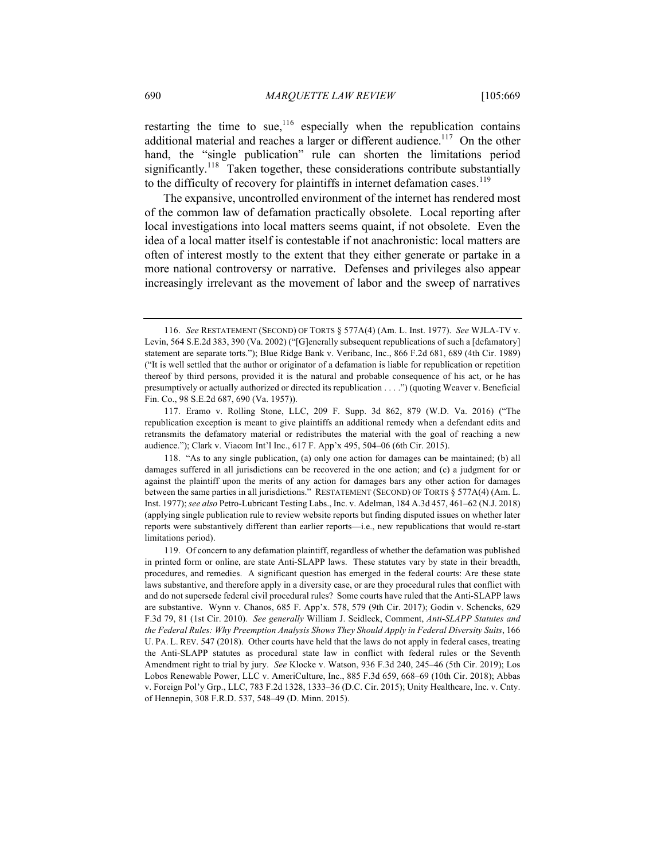restarting the time to sue,  $116$  especially when the republication contains additional material and reaches a larger or different audience.<sup>117</sup> On the other hand, the "single publication" rule can shorten the limitations period significantly.<sup>118</sup> Taken together, these considerations contribute substantially to the difficulty of recovery for plaintiffs in internet defamation cases.<sup>119</sup>

The expansive, uncontrolled environment of the internet has rendered most of the common law of defamation practically obsolete. Local reporting after local investigations into local matters seems quaint, if not obsolete. Even the idea of a local matter itself is contestable if not anachronistic: local matters are often of interest mostly to the extent that they either generate or partake in a more national controversy or narrative. Defenses and privileges also appear increasingly irrelevant as the movement of labor and the sweep of narratives

<sup>116.</sup> *See* RESTATEMENT (SECOND) OF TORTS § 577A(4) (Am. L. Inst. 1977). *See* WJLA-TV v. Levin, 564 S.E.2d 383, 390 (Va. 2002) ("[G]enerally subsequent republications of such a [defamatory] statement are separate torts."); Blue Ridge Bank v. Veribanc, Inc., 866 F.2d 681, 689 (4th Cir. 1989) ("It is well settled that the author or originator of a defamation is liable for republication or repetition thereof by third persons, provided it is the natural and probable consequence of his act, or he has presumptively or actually authorized or directed its republication . . . .") (quoting Weaver v. Beneficial Fin. Co., 98 S.E.2d 687, 690 (Va. 1957)).

<sup>117.</sup> Eramo v. Rolling Stone, LLC, 209 F. Supp. 3d 862, 879 (W.D. Va. 2016) ("The republication exception is meant to give plaintiffs an additional remedy when a defendant edits and retransmits the defamatory material or redistributes the material with the goal of reaching a new audience."); Clark v. Viacom Int'l Inc., 617 F. App'x 495, 504–06 (6th Cir. 2015).

<sup>118.</sup> "As to any single publication, (a) only one action for damages can be maintained; (b) all damages suffered in all jurisdictions can be recovered in the one action; and (c) a judgment for or against the plaintiff upon the merits of any action for damages bars any other action for damages between the same parties in all jurisdictions." RESTATEMENT (SECOND) OF TORTS § 577A(4) (Am. L. Inst. 1977); *see also* Petro-Lubricant Testing Labs., Inc. v. Adelman, 184 A.3d 457, 461–62 (N.J. 2018) (applying single publication rule to review website reports but finding disputed issues on whether later reports were substantively different than earlier reports—i.e., new republications that would re-start limitations period).

<sup>119.</sup> Of concern to any defamation plaintiff, regardless of whether the defamation was published in printed form or online, are state Anti-SLAPP laws. These statutes vary by state in their breadth, procedures, and remedies. A significant question has emerged in the federal courts: Are these state laws substantive, and therefore apply in a diversity case, or are they procedural rules that conflict with and do not supersede federal civil procedural rules? Some courts have ruled that the Anti-SLAPP laws are substantive. Wynn v. Chanos, 685 F. App'x. 578, 579 (9th Cir. 2017); Godin v. Schencks, 629 F.3d 79, 81 (1st Cir. 2010). *See generally* William J. Seidleck, Comment, *Anti-SLAPP Statutes and the Federal Rules: Why Preemption Analysis Shows They Should Apply in Federal Diversity Suits*, 166 U. PA. L. REV. 547 (2018). Other courts have held that the laws do not apply in federal cases, treating the Anti-SLAPP statutes as procedural state law in conflict with federal rules or the Seventh Amendment right to trial by jury. *See* Klocke v. Watson, 936 F.3d 240, 245–46 (5th Cir. 2019); Los Lobos Renewable Power, LLC v. AmeriCulture, Inc., 885 F.3d 659, 668–69 (10th Cir. 2018); Abbas v. Foreign Pol'y Grp., LLC, 783 F.2d 1328, 1333–36 (D.C. Cir. 2015); Unity Healthcare, Inc. v. Cnty. of Hennepin, 308 F.R.D. 537, 548–49 (D. Minn. 2015).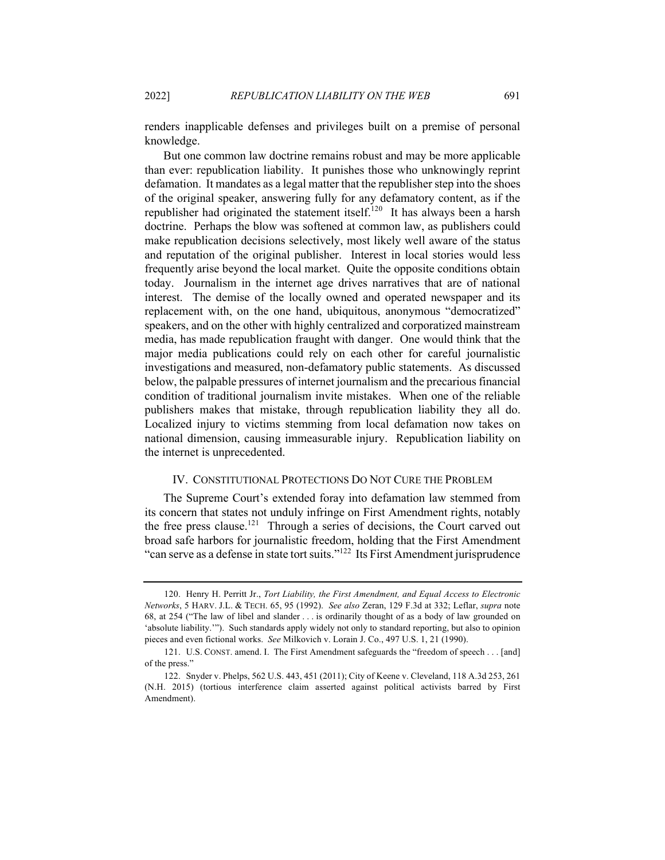renders inapplicable defenses and privileges built on a premise of personal knowledge.

But one common law doctrine remains robust and may be more applicable than ever: republication liability. It punishes those who unknowingly reprint defamation. It mandates as a legal matter that the republisher step into the shoes of the original speaker, answering fully for any defamatory content, as if the republisher had originated the statement itself.<sup>120</sup> It has always been a harsh doctrine. Perhaps the blow was softened at common law, as publishers could make republication decisions selectively, most likely well aware of the status and reputation of the original publisher. Interest in local stories would less frequently arise beyond the local market. Quite the opposite conditions obtain today. Journalism in the internet age drives narratives that are of national interest. The demise of the locally owned and operated newspaper and its replacement with, on the one hand, ubiquitous, anonymous "democratized" speakers, and on the other with highly centralized and corporatized mainstream media, has made republication fraught with danger. One would think that the major media publications could rely on each other for careful journalistic investigations and measured, non-defamatory public statements. As discussed below, the palpable pressures of internet journalism and the precarious financial condition of traditional journalism invite mistakes. When one of the reliable publishers makes that mistake, through republication liability they all do. Localized injury to victims stemming from local defamation now takes on national dimension, causing immeasurable injury. Republication liability on the internet is unprecedented.

#### IV. CONSTITUTIONAL PROTECTIONS DO NOT CURE THE PROBLEM

The Supreme Court's extended foray into defamation law stemmed from its concern that states not unduly infringe on First Amendment rights, notably the free press clause.<sup>121</sup> Through a series of decisions, the Court carved out broad safe harbors for journalistic freedom, holding that the First Amendment "can serve as a defense in state tort suits."122 Its First Amendment jurisprudence

<sup>120.</sup> Henry H. Perritt Jr., *Tort Liability, the First Amendment, and Equal Access to Electronic Networks*, 5 HARV. J.L. & TECH. 65, 95 (1992). *See also* Zeran, 129 F.3d at 332; Leflar, *supra* note 68, at 254 ("The law of libel and slander . . . is ordinarily thought of as a body of law grounded on 'absolute liability.'"). Such standards apply widely not only to standard reporting, but also to opinion pieces and even fictional works. *See* Milkovich v. Lorain J. Co., 497 U.S. 1, 21 (1990).

<sup>121.</sup> U.S. CONST. amend. I. The First Amendment safeguards the "freedom of speech . . . [and] of the press."

<sup>122.</sup> Snyder v. Phelps, 562 U.S. 443, 451 (2011); City of Keene v. Cleveland, 118 A.3d 253, 261 (N.H. 2015) (tortious interference claim asserted against political activists barred by First Amendment).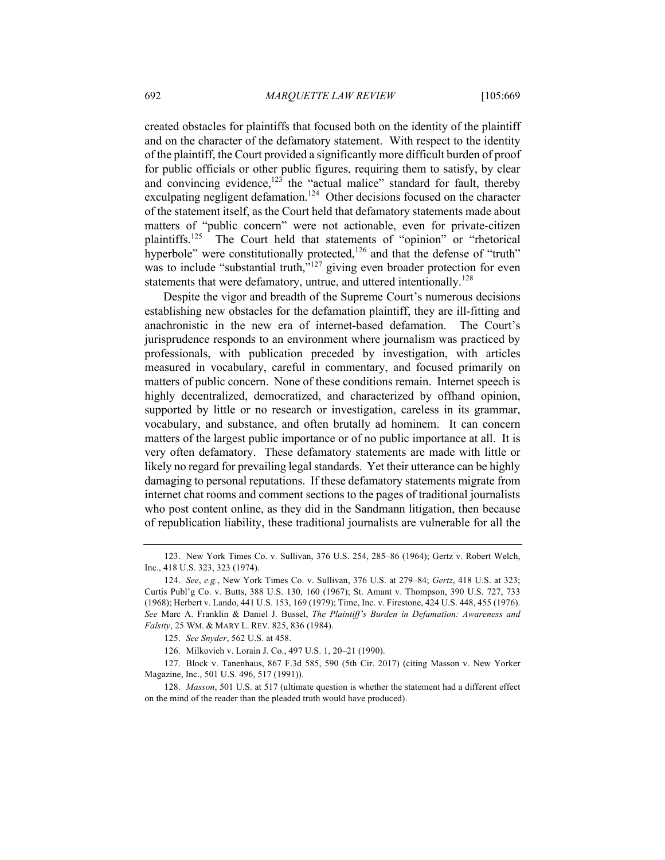created obstacles for plaintiffs that focused both on the identity of the plaintiff and on the character of the defamatory statement. With respect to the identity of the plaintiff, the Court provided a significantly more difficult burden of proof for public officials or other public figures, requiring them to satisfy, by clear and convincing evidence, $123$  the "actual malice" standard for fault, thereby exculpating negligent defamation.<sup>124</sup> Other decisions focused on the character of the statement itself, as the Court held that defamatory statements made about matters of "public concern" were not actionable, even for private-citizen plaintiffs.125 The Court held that statements of "opinion" or "rhetorical hyperbole" were constitutionally protected, $126$  and that the defense of "truth" was to include "substantial truth,"<sup>127</sup> giving even broader protection for even statements that were defamatory, untrue, and uttered intentionally.<sup>128</sup>

Despite the vigor and breadth of the Supreme Court's numerous decisions establishing new obstacles for the defamation plaintiff, they are ill-fitting and anachronistic in the new era of internet-based defamation. The Court's jurisprudence responds to an environment where journalism was practiced by professionals, with publication preceded by investigation, with articles measured in vocabulary, careful in commentary, and focused primarily on matters of public concern. None of these conditions remain. Internet speech is highly decentralized, democratized, and characterized by offhand opinion, supported by little or no research or investigation, careless in its grammar, vocabulary, and substance, and often brutally ad hominem. It can concern matters of the largest public importance or of no public importance at all. It is very often defamatory. These defamatory statements are made with little or likely no regard for prevailing legal standards. Yet their utterance can be highly damaging to personal reputations. If these defamatory statements migrate from internet chat rooms and comment sections to the pages of traditional journalists who post content online, as they did in the Sandmann litigation, then because of republication liability, these traditional journalists are vulnerable for all the

<sup>123.</sup> New York Times Co. v. Sullivan, 376 U.S. 254, 285–86 (1964); Gertz v. Robert Welch, Inc., 418 U.S. 323, 323 (1974).

<sup>124.</sup> *See*, *e.g.*, New York Times Co. v. Sullivan, 376 U.S. at 279–84; *Gertz*, 418 U.S. at 323; Curtis Publ'g Co. v. Butts, 388 U.S. 130, 160 (1967); St. Amant v. Thompson, 390 U.S. 727, 733 (1968); Herbert v. Lando, 441 U.S. 153, 169 (1979); Time, Inc. v. Firestone, 424 U.S. 448, 455 (1976). *See* Marc A. Franklin & Daniel J. Bussel, *The Plaintiff's Burden in Defamation: Awareness and Falsity*, 25 WM. & MARY L. REV. 825, 836 (1984).

<sup>125.</sup> *See Snyder*, 562 U.S. at 458.

<sup>126.</sup> Milkovich v. Lorain J. Co., 497 U.S. 1, 20–21 (1990).

<sup>127.</sup> Block v. Tanenhaus, 867 F.3d 585, 590 (5th Cir. 2017) (citing Masson v. New Yorker Magazine, Inc., 501 U.S. 496, 517 (1991)).

<sup>128.</sup> *Masson*, 501 U.S. at 517 (ultimate question is whether the statement had a different effect on the mind of the reader than the pleaded truth would have produced).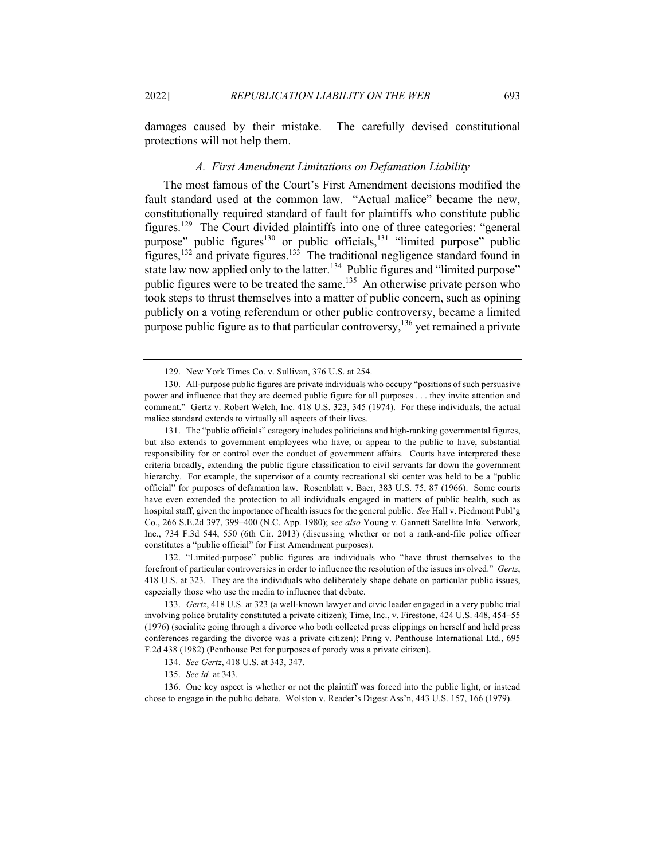damages caused by their mistake. The carefully devised constitutional protections will not help them.

#### *A. First Amendment Limitations on Defamation Liability*

The most famous of the Court's First Amendment decisions modified the fault standard used at the common law. "Actual malice" became the new, constitutionally required standard of fault for plaintiffs who constitute public figures.129 The Court divided plaintiffs into one of three categories: "general purpose" public figures<sup>130</sup> or public officials,<sup>131</sup> "limited purpose" public figures,<sup>132</sup> and private figures.<sup>133</sup> The traditional negligence standard found in state law now applied only to the latter.<sup>134</sup> Public figures and "limited purpose" public figures were to be treated the same.<sup>135</sup> An otherwise private person who took steps to thrust themselves into a matter of public concern, such as opining publicly on a voting referendum or other public controversy, became a limited purpose public figure as to that particular controversy,  $136$  yet remained a private

131. The "public officials" category includes politicians and high-ranking governmental figures, but also extends to government employees who have, or appear to the public to have, substantial responsibility for or control over the conduct of government affairs. Courts have interpreted these criteria broadly, extending the public figure classification to civil servants far down the government hierarchy. For example, the supervisor of a county recreational ski center was held to be a "public official" for purposes of defamation law. Rosenblatt v. Baer, 383 U.S. 75, 87 (1966). Some courts have even extended the protection to all individuals engaged in matters of public health, such as hospital staff, given the importance of health issues for the general public. *See* Hall v. Piedmont Publ'g Co., 266 S.E.2d 397, 399–400 (N.C. App. 1980); *see also* Young v. Gannett Satellite Info. Network, Inc., 734 F.3d 544, 550 (6th Cir. 2013) (discussing whether or not a rank-and-file police officer constitutes a "public official" for First Amendment purposes).

132. "Limited-purpose" public figures are individuals who "have thrust themselves to the forefront of particular controversies in order to influence the resolution of the issues involved." *Gertz*, 418 U.S. at 323. They are the individuals who deliberately shape debate on particular public issues, especially those who use the media to influence that debate.

133. *Gertz*, 418 U.S. at 323 (a well-known lawyer and civic leader engaged in a very public trial involving police brutality constituted a private citizen); Time, Inc., v. Firestone, 424 U.S. 448, 454–55 (1976) (socialite going through a divorce who both collected press clippings on herself and held press conferences regarding the divorce was a private citizen); Pring v. Penthouse International Ltd., 695 F.2d 438 (1982) (Penthouse Pet for purposes of parody was a private citizen).

134. *See Gertz*, 418 U.S. at 343, 347.

136. One key aspect is whether or not the plaintiff was forced into the public light, or instead chose to engage in the public debate. Wolston v. Reader's Digest Ass'n, 443 U.S. 157, 166 (1979).

<sup>129.</sup> New York Times Co. v. Sullivan, 376 U.S. at 254.

<sup>130.</sup> All-purpose public figures are private individuals who occupy "positions of such persuasive power and influence that they are deemed public figure for all purposes . . . they invite attention and comment." Gertz v. Robert Welch, Inc. 418 U.S. 323, 345 (1974). For these individuals, the actual malice standard extends to virtually all aspects of their lives.

<sup>135.</sup> *See id.* at 343.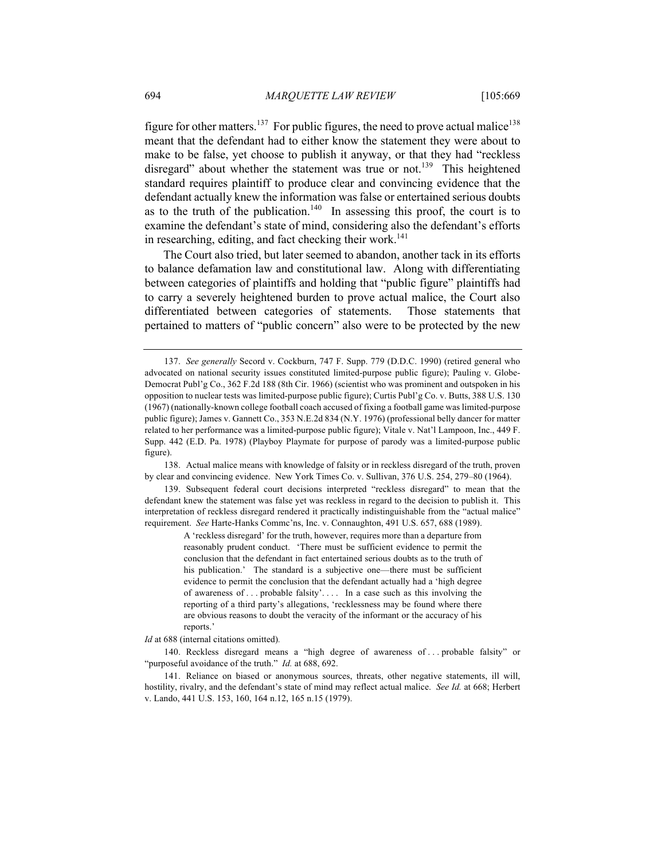figure for other matters.<sup>137</sup> For public figures, the need to prove actual malice<sup>138</sup> meant that the defendant had to either know the statement they were about to make to be false, yet choose to publish it anyway, or that they had "reckless disregard" about whether the statement was true or not.<sup>139</sup> This heightened standard requires plaintiff to produce clear and convincing evidence that the defendant actually knew the information was false or entertained serious doubts as to the truth of the publication.<sup>140</sup> In assessing this proof, the court is to examine the defendant's state of mind, considering also the defendant's efforts in researching, editing, and fact checking their work.<sup>141</sup>

The Court also tried, but later seemed to abandon, another tack in its efforts to balance defamation law and constitutional law. Along with differentiating between categories of plaintiffs and holding that "public figure" plaintiffs had to carry a severely heightened burden to prove actual malice, the Court also differentiated between categories of statements. Those statements that pertained to matters of "public concern" also were to be protected by the new

139. Subsequent federal court decisions interpreted "reckless disregard" to mean that the defendant knew the statement was false yet was reckless in regard to the decision to publish it. This interpretation of reckless disregard rendered it practically indistinguishable from the "actual malice" requirement. *See* Harte-Hanks Commc'ns, Inc. v. Connaughton, 491 U.S. 657, 688 (1989).

> A 'reckless disregard' for the truth, however, requires more than a departure from reasonably prudent conduct. 'There must be sufficient evidence to permit the conclusion that the defendant in fact entertained serious doubts as to the truth of his publication.' The standard is a subjective one—there must be sufficient evidence to permit the conclusion that the defendant actually had a 'high degree of awareness of . . . probable falsity'. . . . In a case such as this involving the reporting of a third party's allegations, 'recklessness may be found where there are obvious reasons to doubt the veracity of the informant or the accuracy of his reports.'

*Id* at 688 (internal citations omitted)*.*

140. Reckless disregard means a "high degree of awareness of . . . probable falsity" or "purposeful avoidance of the truth." *Id.* at 688, 692.

<sup>137.</sup> *See generally* Secord v. Cockburn, 747 F. Supp. 779 (D.D.C. 1990) (retired general who advocated on national security issues constituted limited-purpose public figure); Pauling v. Globe-Democrat Publ'g Co., 362 F.2d 188 (8th Cir. 1966) (scientist who was prominent and outspoken in his opposition to nuclear tests was limited-purpose public figure); Curtis Publ'g Co. v. Butts, 388 U.S. 130 (1967) (nationally-known college football coach accused of fixing a football game was limited-purpose public figure); James v. Gannett Co., 353 N.E.2d 834 (N.Y. 1976) (professional belly dancer for matter related to her performance was a limited-purpose public figure); Vitale v. Nat'l Lampoon, Inc., 449 F. Supp. 442 (E.D. Pa. 1978) (Playboy Playmate for purpose of parody was a limited-purpose public figure).

<sup>138.</sup> Actual malice means with knowledge of falsity or in reckless disregard of the truth, proven by clear and convincing evidence. New York Times Co. v. Sullivan, 376 U.S. 254, 279–80 (1964).

<sup>141.</sup> Reliance on biased or anonymous sources, threats, other negative statements, ill will, hostility, rivalry, and the defendant's state of mind may reflect actual malice. *See Id.* at 668; Herbert v. Lando, 441 U.S. 153, 160, 164 n.12, 165 n.15 (1979).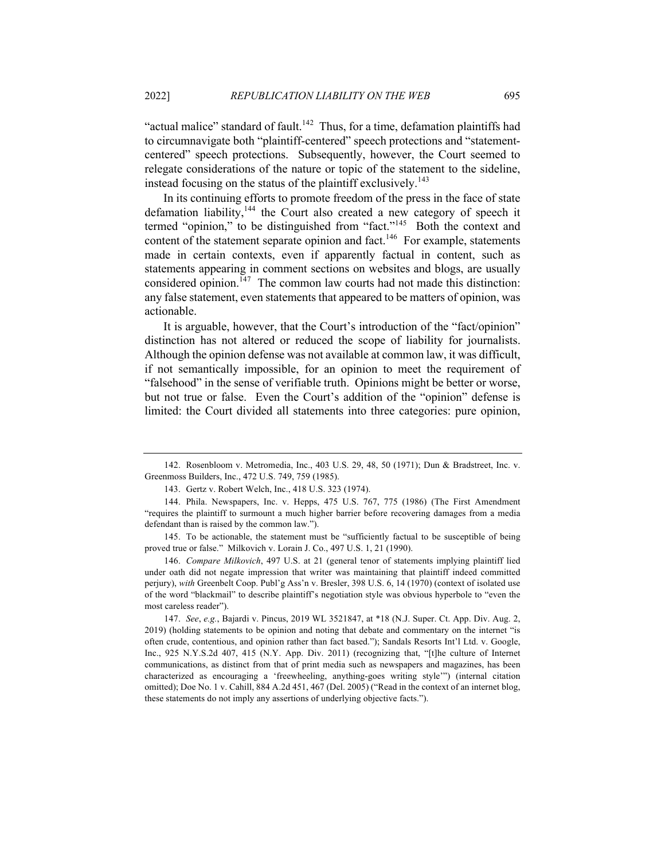"actual malice" standard of fault.<sup>142</sup> Thus, for a time, defamation plaintiffs had to circumnavigate both "plaintiff-centered" speech protections and "statementcentered" speech protections. Subsequently, however, the Court seemed to relegate considerations of the nature or topic of the statement to the sideline, instead focusing on the status of the plaintiff exclusively.<sup>143</sup>

In its continuing efforts to promote freedom of the press in the face of state defamation liability,<sup>144</sup> the Court also created a new category of speech it termed "opinion," to be distinguished from "fact."145 Both the context and content of the statement separate opinion and fact.<sup>146</sup> For example, statements made in certain contexts, even if apparently factual in content, such as statements appearing in comment sections on websites and blogs, are usually considered opinion.<sup> $147$ </sup> The common law courts had not made this distinction: any false statement, even statements that appeared to be matters of opinion, was actionable.

It is arguable, however, that the Court's introduction of the "fact/opinion" distinction has not altered or reduced the scope of liability for journalists. Although the opinion defense was not available at common law, it was difficult, if not semantically impossible, for an opinion to meet the requirement of "falsehood" in the sense of verifiable truth. Opinions might be better or worse, but not true or false. Even the Court's addition of the "opinion" defense is limited: the Court divided all statements into three categories: pure opinion,

147. *See*, *e.g.*, Bajardi v. Pincus, 2019 WL 3521847, at \*18 (N.J. Super. Ct. App. Div. Aug. 2, 2019) (holding statements to be opinion and noting that debate and commentary on the internet "is often crude, contentious, and opinion rather than fact based."); Sandals Resorts Int'l Ltd. v. Google, Inc., 925 N.Y.S.2d 407, 415 (N.Y. App. Div. 2011) (recognizing that, "[t]he culture of Internet communications, as distinct from that of print media such as newspapers and magazines, has been characterized as encouraging a 'freewheeling, anything-goes writing style'") (internal citation omitted); Doe No. 1 v. Cahill, 884 A.2d 451, 467 (Del. 2005) ("Read in the context of an internet blog, these statements do not imply any assertions of underlying objective facts.").

<sup>142.</sup> Rosenbloom v. Metromedia, Inc., 403 U.S. 29, 48, 50 (1971); Dun & Bradstreet, Inc. v. Greenmoss Builders, Inc., 472 U.S. 749, 759 (1985).

<sup>143.</sup> Gertz v. Robert Welch, Inc., 418 U.S. 323 (1974).

<sup>144.</sup> Phila. Newspapers, Inc. v. Hepps, 475 U.S. 767, 775 (1986) (The First Amendment "requires the plaintiff to surmount a much higher barrier before recovering damages from a media defendant than is raised by the common law.").

<sup>145.</sup> To be actionable, the statement must be "sufficiently factual to be susceptible of being proved true or false." Milkovich v. Lorain J. Co., 497 U.S. 1, 21 (1990).

<sup>146.</sup> *Compare Milkovich*, 497 U.S. at 21 (general tenor of statements implying plaintiff lied under oath did not negate impression that writer was maintaining that plaintiff indeed committed perjury), *with* Greenbelt Coop. Publ'g Ass'n v. Bresler, 398 U.S. 6, 14 (1970) (context of isolated use of the word "blackmail" to describe plaintiff's negotiation style was obvious hyperbole to "even the most careless reader").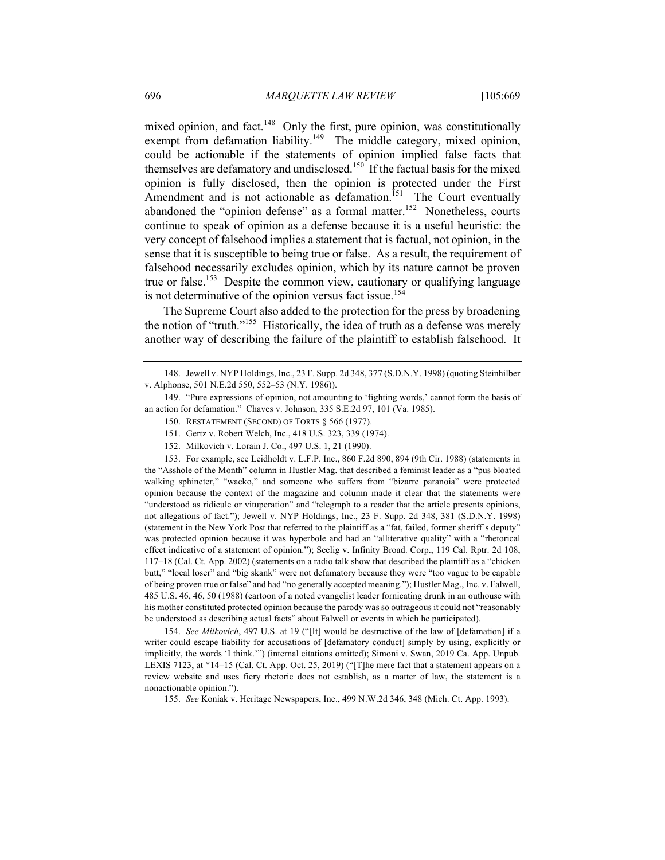mixed opinion, and fact.<sup>148</sup> Only the first, pure opinion, was constitutionally exempt from defamation liability.<sup>149</sup> The middle category, mixed opinion, could be actionable if the statements of opinion implied false facts that themselves are defamatory and undisclosed.<sup>150</sup> If the factual basis for the mixed opinion is fully disclosed, then the opinion is protected under the First Amendment and is not actionable as defamation.<sup>151</sup> The Court eventually abandoned the "opinion defense" as a formal matter.<sup>152</sup> Nonetheless, courts continue to speak of opinion as a defense because it is a useful heuristic: the very concept of falsehood implies a statement that is factual, not opinion, in the sense that it is susceptible to being true or false. As a result, the requirement of falsehood necessarily excludes opinion, which by its nature cannot be proven true or false.<sup>153</sup> Despite the common view, cautionary or qualifying language is not determinative of the opinion versus fact issue.<sup>154</sup>

The Supreme Court also added to the protection for the press by broadening the notion of "truth."<sup>155</sup> Historically, the idea of truth as a defense was merely another way of describing the failure of the plaintiff to establish falsehood. It

149. "Pure expressions of opinion, not amounting to 'fighting words,' cannot form the basis of an action for defamation." Chaves v. Johnson, 335 S.E.2d 97, 101 (Va. 1985).

- 151. Gertz v. Robert Welch, Inc., 418 U.S. 323, 339 (1974).
- 152. Milkovich v. Lorain J. Co., 497 U.S. 1, 21 (1990).

153. For example, see Leidholdt v. L.F.P. Inc., 860 F.2d 890, 894 (9th Cir. 1988) (statements in the "Asshole of the Month" column in Hustler Mag. that described a feminist leader as a "pus bloated walking sphincter," "wacko," and someone who suffers from "bizarre paranoia" were protected opinion because the context of the magazine and column made it clear that the statements were "understood as ridicule or vituperation" and "telegraph to a reader that the article presents opinions, not allegations of fact."); Jewell v. NYP Holdings, Inc., 23 F. Supp. 2d 348, 381 (S.D.N.Y. 1998) (statement in the New York Post that referred to the plaintiff as a "fat, failed, former sheriff's deputy" was protected opinion because it was hyperbole and had an "alliterative quality" with a "rhetorical effect indicative of a statement of opinion."); Seelig v. Infinity Broad. Corp., 119 Cal. Rptr. 2d 108, 117–18 (Cal. Ct. App. 2002) (statements on a radio talk show that described the plaintiff as a "chicken butt," "local loser" and "big skank" were not defamatory because they were "too vague to be capable of being proven true or false" and had "no generally accepted meaning."); Hustler Mag., Inc. v. Falwell, 485 U.S. 46, 46, 50 (1988) (cartoon of a noted evangelist leader fornicating drunk in an outhouse with his mother constituted protected opinion because the parody was so outrageous it could not "reasonably be understood as describing actual facts" about Falwell or events in which he participated).

154. *See Milkovich*, 497 U.S. at 19 ("[It] would be destructive of the law of [defamation] if a writer could escape liability for accusations of [defamatory conduct] simply by using, explicitly or implicitly, the words 'I think.'") (internal citations omitted); Simoni v. Swan, 2019 Ca. App. Unpub. LEXIS 7123, at \*14–15 (Cal. Ct. App. Oct. 25, 2019) ("[T]he mere fact that a statement appears on a review website and uses fiery rhetoric does not establish, as a matter of law, the statement is a nonactionable opinion.").

155. *See* Koniak v. Heritage Newspapers, Inc., 499 N.W.2d 346, 348 (Mich. Ct. App. 1993).

<sup>148.</sup> Jewell v. NYP Holdings, Inc., 23 F. Supp. 2d 348, 377 (S.D.N.Y. 1998) (quoting Steinhilber v. Alphonse, 501 N.E.2d 550, 552–53 (N.Y. 1986)).

<sup>150.</sup> RESTATEMENT (SECOND) OF TORTS § 566 (1977).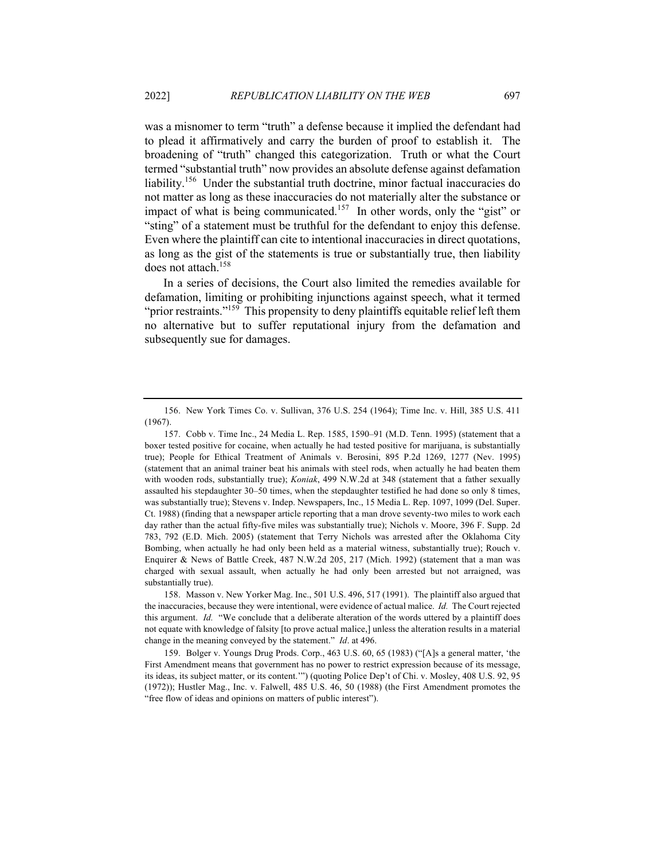was a misnomer to term "truth" a defense because it implied the defendant had to plead it affirmatively and carry the burden of proof to establish it. The broadening of "truth" changed this categorization. Truth or what the Court termed "substantial truth" now provides an absolute defense against defamation liability.<sup>156</sup> Under the substantial truth doctrine, minor factual inaccuracies do not matter as long as these inaccuracies do not materially alter the substance or impact of what is being communicated.<sup>157</sup> In other words, only the "gist" or "sting" of a statement must be truthful for the defendant to enjoy this defense. Even where the plaintiff can cite to intentional inaccuracies in direct quotations, as long as the gist of the statements is true or substantially true, then liability does not attach.<sup>158</sup>

In a series of decisions, the Court also limited the remedies available for defamation, limiting or prohibiting injunctions against speech, what it termed "prior restraints."<sup>159</sup> This propensity to deny plaintiffs equitable relief left them no alternative but to suffer reputational injury from the defamation and subsequently sue for damages.

<sup>156.</sup> New York Times Co. v. Sullivan, 376 U.S. 254 (1964); Time Inc. v. Hill, 385 U.S. 411 (1967).

<sup>157.</sup> Cobb v. Time Inc., 24 Media L. Rep. 1585, 1590–91 (M.D. Tenn. 1995) (statement that a boxer tested positive for cocaine, when actually he had tested positive for marijuana, is substantially true); People for Ethical Treatment of Animals v. Berosini, 895 P.2d 1269, 1277 (Nev. 1995) (statement that an animal trainer beat his animals with steel rods, when actually he had beaten them with wooden rods, substantially true); *Koniak*, 499 N.W.2d at 348 (statement that a father sexually assaulted his stepdaughter 30–50 times, when the stepdaughter testified he had done so only 8 times, was substantially true); Stevens v. Indep. Newspapers, Inc., 15 Media L. Rep. 1097, 1099 (Del. Super. Ct. 1988) (finding that a newspaper article reporting that a man drove seventy-two miles to work each day rather than the actual fifty-five miles was substantially true); Nichols v. Moore, 396 F. Supp. 2d 783, 792 (E.D. Mich. 2005) (statement that Terry Nichols was arrested after the Oklahoma City Bombing, when actually he had only been held as a material witness, substantially true); Rouch v. Enquirer & News of Battle Creek, 487 N.W.2d 205, 217 (Mich. 1992) (statement that a man was charged with sexual assault, when actually he had only been arrested but not arraigned, was substantially true).

<sup>158.</sup> Masson v. New Yorker Mag. Inc., 501 U.S. 496, 517 (1991). The plaintiff also argued that the inaccuracies, because they were intentional, were evidence of actual malice. *Id.* The Court rejected this argument. *Id.* "We conclude that a deliberate alteration of the words uttered by a plaintiff does not equate with knowledge of falsity [to prove actual malice,] unless the alteration results in a material change in the meaning conveyed by the statement." *Id*. at 496.

<sup>159.</sup> Bolger v. Youngs Drug Prods. Corp., 463 U.S. 60, 65 (1983) ("[A]s a general matter, 'the First Amendment means that government has no power to restrict expression because of its message, its ideas, its subject matter, or its content.'") (quoting Police Dep't of Chi. v. Mosley, 408 U.S. 92, 95 (1972)); Hustler Mag., Inc. v. Falwell, 485 U.S. 46, 50 (1988) (the First Amendment promotes the "free flow of ideas and opinions on matters of public interest").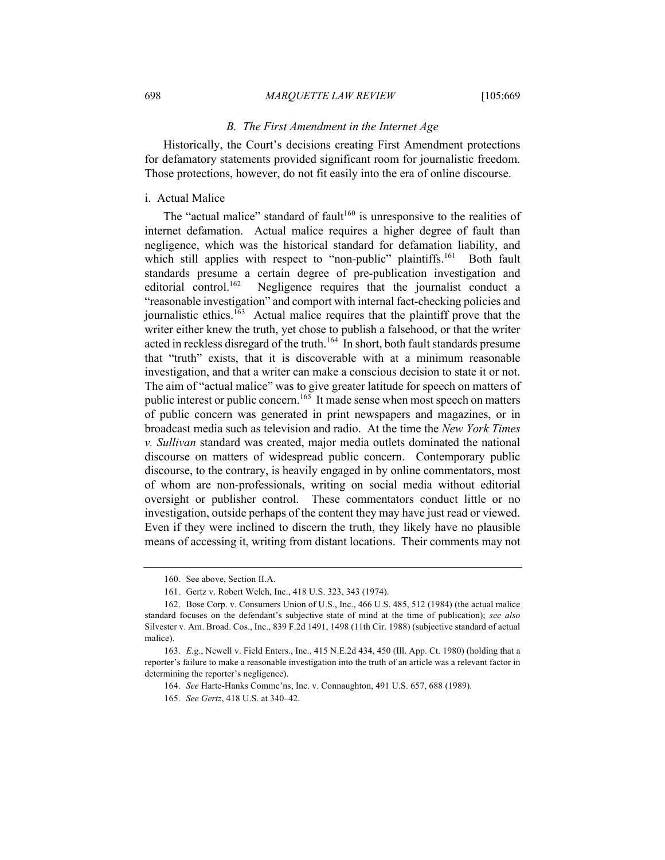#### 698 *MARQUETTE LAW REVIEW* [105:669

#### *B. The First Amendment in the Internet Age*

Historically, the Court's decisions creating First Amendment protections for defamatory statements provided significant room for journalistic freedom. Those protections, however, do not fit easily into the era of online discourse.

# i. Actual Malice

The "actual malice" standard of fault<sup>160</sup> is unresponsive to the realities of internet defamation. Actual malice requires a higher degree of fault than negligence, which was the historical standard for defamation liability, and which still applies with respect to "non-public" plaintiffs.<sup>161</sup> Both fault standards presume a certain degree of pre-publication investigation and editorial control.<sup>162</sup> Negligence requires that the journalist conduct a Negligence requires that the journalist conduct a "reasonable investigation" and comport with internal fact-checking policies and iournalistic ethics.<sup>163</sup> Actual malice requires that the plaintiff prove that the writer either knew the truth, yet chose to publish a falsehood, or that the writer acted in reckless disregard of the truth.<sup>164</sup> In short, both fault standards presume that "truth" exists, that it is discoverable with at a minimum reasonable investigation, and that a writer can make a conscious decision to state it or not. The aim of "actual malice" was to give greater latitude for speech on matters of public interest or public concern.<sup>165</sup> It made sense when most speech on matters of public concern was generated in print newspapers and magazines, or in broadcast media such as television and radio. At the time the *New York Times v. Sullivan* standard was created, major media outlets dominated the national discourse on matters of widespread public concern. Contemporary public discourse, to the contrary, is heavily engaged in by online commentators, most of whom are non-professionals, writing on social media without editorial oversight or publisher control. These commentators conduct little or no investigation, outside perhaps of the content they may have just read or viewed. Even if they were inclined to discern the truth, they likely have no plausible means of accessing it, writing from distant locations. Their comments may not

<sup>160.</sup> See above, Section II.A.

<sup>161.</sup> Gertz v. Robert Welch, Inc., 418 U.S. 323, 343 (1974).

<sup>162.</sup> Bose Corp. v. Consumers Union of U.S., Inc., 466 U.S. 485, 512 (1984) (the actual malice standard focuses on the defendant's subjective state of mind at the time of publication); *see also* Silvester v. Am. Broad. Cos., Inc., 839 F.2d 1491, 1498 (11th Cir. 1988) (subjective standard of actual malice).

<sup>163.</sup> *E.g.*, Newell v. Field Enters., Inc., 415 N.E.2d 434, 450 (Ill. App. Ct. 1980) (holding that a reporter's failure to make a reasonable investigation into the truth of an article was a relevant factor in determining the reporter's negligence).

<sup>164.</sup> *See* Harte-Hanks Commc'ns, Inc. v. Connaughton, 491 U.S. 657, 688 (1989).

<sup>165.</sup> *See Gertz*, 418 U.S. at 340–42.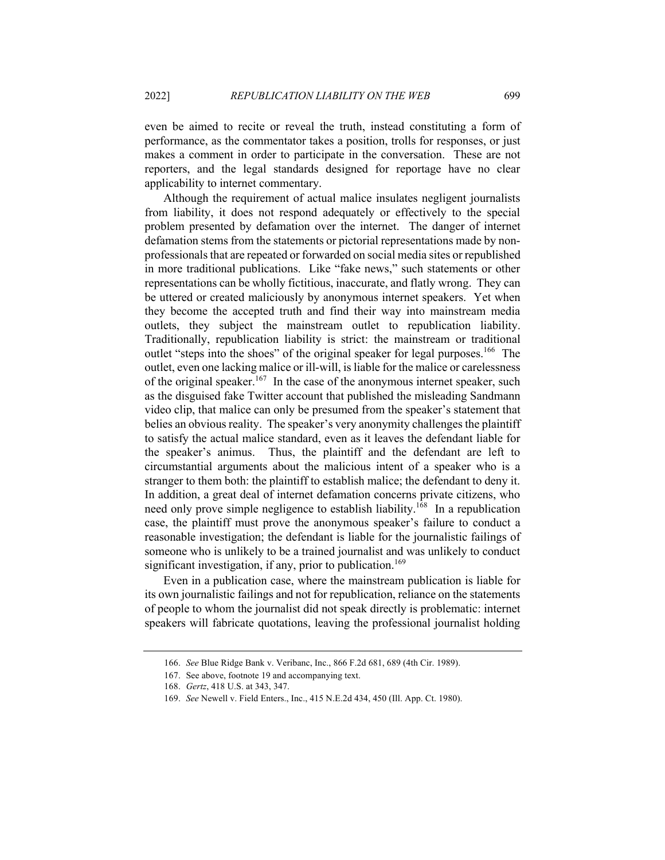even be aimed to recite or reveal the truth, instead constituting a form of performance, as the commentator takes a position, trolls for responses, or just makes a comment in order to participate in the conversation. These are not reporters, and the legal standards designed for reportage have no clear applicability to internet commentary.

Although the requirement of actual malice insulates negligent journalists from liability, it does not respond adequately or effectively to the special problem presented by defamation over the internet. The danger of internet defamation stems from the statements or pictorial representations made by nonprofessionals that are repeated or forwarded on social media sites or republished in more traditional publications. Like "fake news," such statements or other representations can be wholly fictitious, inaccurate, and flatly wrong. They can be uttered or created maliciously by anonymous internet speakers. Yet when they become the accepted truth and find their way into mainstream media outlets, they subject the mainstream outlet to republication liability. Traditionally, republication liability is strict: the mainstream or traditional outlet "steps into the shoes" of the original speaker for legal purposes.<sup>166</sup> The outlet, even one lacking malice or ill-will, is liable for the malice or carelessness of the original speaker.<sup>167</sup> In the case of the anonymous internet speaker, such as the disguised fake Twitter account that published the misleading Sandmann video clip, that malice can only be presumed from the speaker's statement that belies an obvious reality. The speaker's very anonymity challenges the plaintiff to satisfy the actual malice standard, even as it leaves the defendant liable for the speaker's animus. Thus, the plaintiff and the defendant are left to circumstantial arguments about the malicious intent of a speaker who is a stranger to them both: the plaintiff to establish malice; the defendant to deny it. In addition, a great deal of internet defamation concerns private citizens, who need only prove simple negligence to establish liability.<sup>168</sup> In a republication case, the plaintiff must prove the anonymous speaker's failure to conduct a reasonable investigation; the defendant is liable for the journalistic failings of someone who is unlikely to be a trained journalist and was unlikely to conduct significant investigation, if any, prior to publication.<sup>169</sup>

Even in a publication case, where the mainstream publication is liable for its own journalistic failings and not for republication, reliance on the statements of people to whom the journalist did not speak directly is problematic: internet speakers will fabricate quotations, leaving the professional journalist holding

<sup>166.</sup> *See* Blue Ridge Bank v. Veribanc, Inc., 866 F.2d 681, 689 (4th Cir. 1989).

<sup>167.</sup> See above, footnote 19 and accompanying text.

<sup>168.</sup> *Gertz*, 418 U.S. at 343, 347.

<sup>169.</sup> *See* Newell v. Field Enters., Inc., 415 N.E.2d 434, 450 (Ill. App. Ct. 1980).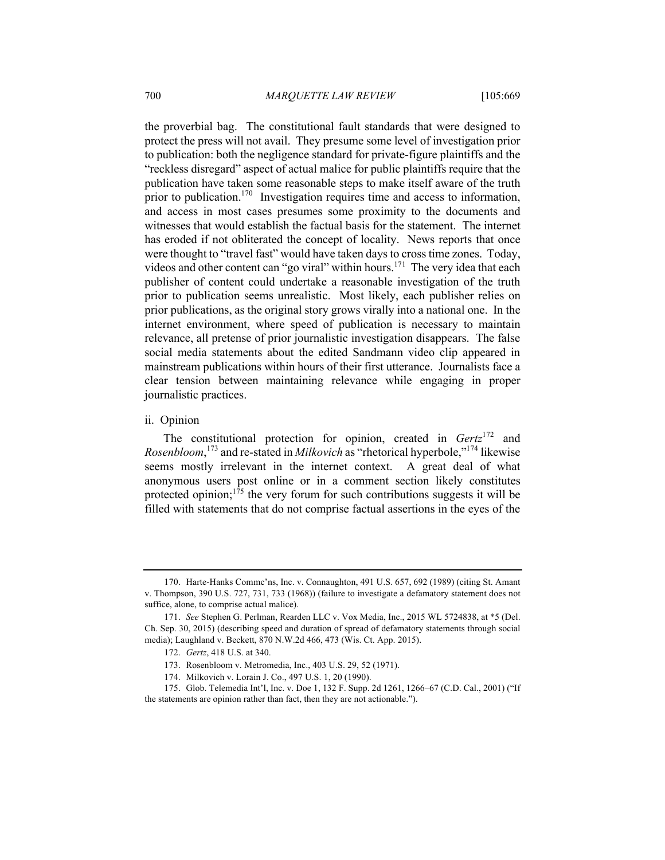the proverbial bag. The constitutional fault standards that were designed to protect the press will not avail. They presume some level of investigation prior to publication: both the negligence standard for private-figure plaintiffs and the "reckless disregard" aspect of actual malice for public plaintiffs require that the publication have taken some reasonable steps to make itself aware of the truth prior to publication.<sup>170</sup> Investigation requires time and access to information, and access in most cases presumes some proximity to the documents and witnesses that would establish the factual basis for the statement. The internet has eroded if not obliterated the concept of locality. News reports that once were thought to "travel fast" would have taken days to cross time zones. Today, videos and other content can "go viral" within hours.<sup>171</sup> The very idea that each publisher of content could undertake a reasonable investigation of the truth prior to publication seems unrealistic. Most likely, each publisher relies on prior publications, as the original story grows virally into a national one. In the internet environment, where speed of publication is necessary to maintain relevance, all pretense of prior journalistic investigation disappears. The false social media statements about the edited Sandmann video clip appeared in mainstream publications within hours of their first utterance. Journalists face a clear tension between maintaining relevance while engaging in proper journalistic practices.

### ii. Opinion

The constitutional protection for opinion, created in *Gertz*<sup>172</sup> and *Rosenbloom*, <sup>173</sup> and re-stated in *Milkovich* as "rhetorical hyperbole,"174 likewise seems mostly irrelevant in the internet context. A great deal of what anonymous users post online or in a comment section likely constitutes protected opinion;<sup>175</sup> the very forum for such contributions suggests it will be filled with statements that do not comprise factual assertions in the eyes of the

174. Milkovich v. Lorain J. Co., 497 U.S. 1, 20 (1990).

<sup>170.</sup> Harte-Hanks Commc'ns, Inc. v. Connaughton, 491 U.S. 657, 692 (1989) (citing St. Amant v. Thompson, 390 U.S. 727, 731, 733 (1968)) (failure to investigate a defamatory statement does not suffice, alone, to comprise actual malice).

<sup>171.</sup> *See* Stephen G. Perlman, Rearden LLC v. Vox Media, Inc., 2015 WL 5724838, at \*5 (Del. Ch. Sep. 30, 2015) (describing speed and duration of spread of defamatory statements through social media); Laughland v. Beckett, 870 N.W.2d 466, 473 (Wis. Ct. App. 2015).

<sup>172.</sup> *Gertz*, 418 U.S. at 340.

<sup>173.</sup> Rosenbloom v. Metromedia, Inc., 403 U.S. 29, 52 (1971).

<sup>175.</sup> Glob. Telemedia Int'l, Inc. v. Doe 1, 132 F. Supp. 2d 1261, 1266–67 (C.D. Cal., 2001) ("If the statements are opinion rather than fact, then they are not actionable.").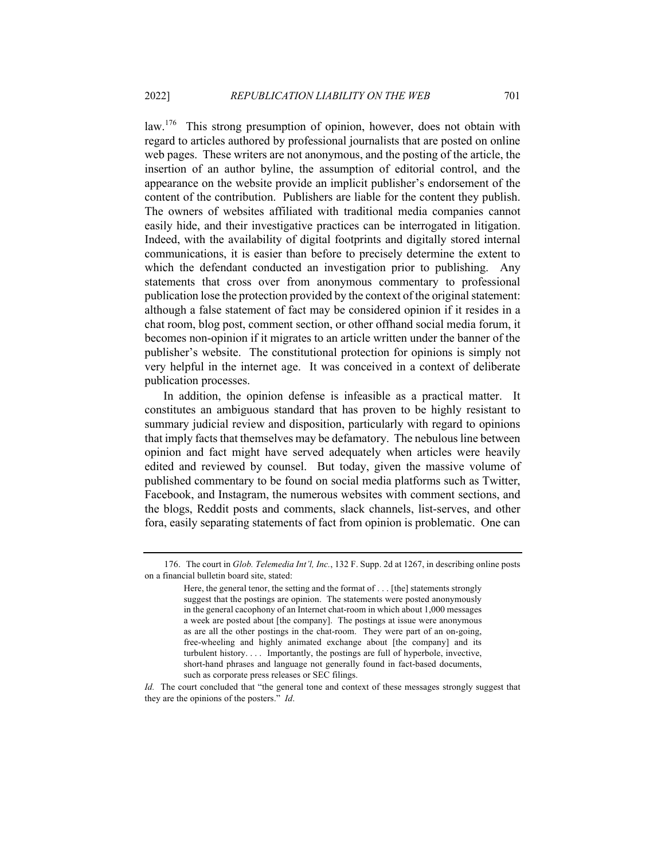law.176 This strong presumption of opinion, however, does not obtain with regard to articles authored by professional journalists that are posted on online web pages. These writers are not anonymous, and the posting of the article, the insertion of an author byline, the assumption of editorial control, and the appearance on the website provide an implicit publisher's endorsement of the content of the contribution. Publishers are liable for the content they publish. The owners of websites affiliated with traditional media companies cannot easily hide, and their investigative practices can be interrogated in litigation. Indeed, with the availability of digital footprints and digitally stored internal communications, it is easier than before to precisely determine the extent to which the defendant conducted an investigation prior to publishing. Any statements that cross over from anonymous commentary to professional publication lose the protection provided by the context of the original statement: although a false statement of fact may be considered opinion if it resides in a chat room, blog post, comment section, or other offhand social media forum, it becomes non-opinion if it migrates to an article written under the banner of the publisher's website. The constitutional protection for opinions is simply not very helpful in the internet age. It was conceived in a context of deliberate publication processes.

In addition, the opinion defense is infeasible as a practical matter. It constitutes an ambiguous standard that has proven to be highly resistant to summary judicial review and disposition, particularly with regard to opinions that imply facts that themselves may be defamatory. The nebulous line between opinion and fact might have served adequately when articles were heavily edited and reviewed by counsel. But today, given the massive volume of published commentary to be found on social media platforms such as Twitter, Facebook, and Instagram, the numerous websites with comment sections, and the blogs, Reddit posts and comments, slack channels, list-serves, and other fora, easily separating statements of fact from opinion is problematic. One can

<sup>176.</sup> The court in *Glob. Telemedia Int'l, Inc.*, 132 F. Supp. 2d at 1267, in describing online posts on a financial bulletin board site, stated:

Here, the general tenor, the setting and the format of . . . [the] statements strongly suggest that the postings are opinion. The statements were posted anonymously in the general cacophony of an Internet chat-room in which about 1,000 messages a week are posted about [the company]. The postings at issue were anonymous as are all the other postings in the chat-room. They were part of an on-going, free-wheeling and highly animated exchange about [the company] and its turbulent history. . . . Importantly, the postings are full of hyperbole, invective, short-hand phrases and language not generally found in fact-based documents, such as corporate press releases or SEC filings.

*Id.* The court concluded that "the general tone and context of these messages strongly suggest that they are the opinions of the posters." *Id*.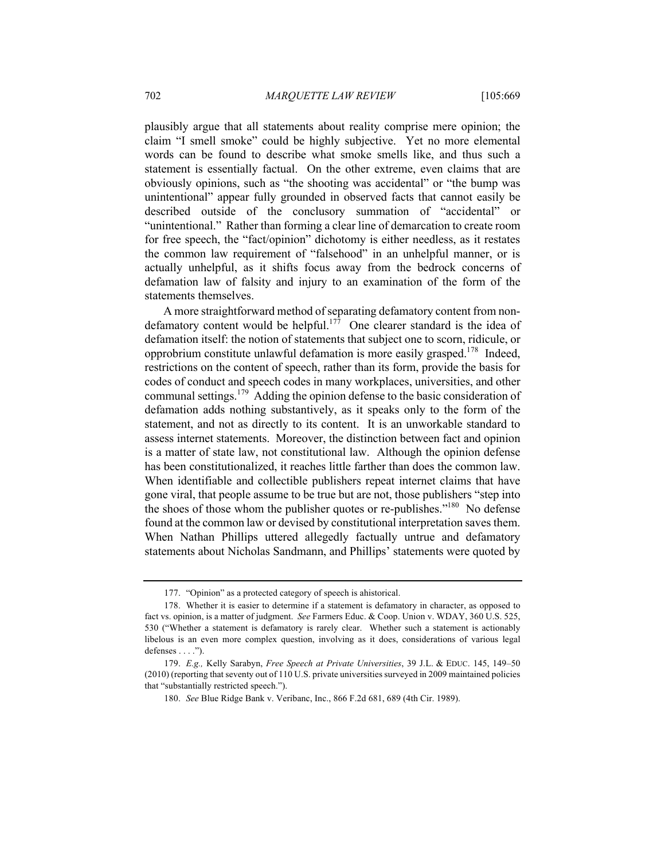plausibly argue that all statements about reality comprise mere opinion; the claim "I smell smoke" could be highly subjective. Yet no more elemental words can be found to describe what smoke smells like, and thus such a statement is essentially factual. On the other extreme, even claims that are obviously opinions, such as "the shooting was accidental" or "the bump was unintentional" appear fully grounded in observed facts that cannot easily be described outside of the conclusory summation of "accidental" or "unintentional." Rather than forming a clear line of demarcation to create room for free speech, the "fact/opinion" dichotomy is either needless, as it restates the common law requirement of "falsehood" in an unhelpful manner, or is actually unhelpful, as it shifts focus away from the bedrock concerns of defamation law of falsity and injury to an examination of the form of the statements themselves.

A more straightforward method of separating defamatory content from nondefamatory content would be helpful.<sup>177</sup> One clearer standard is the idea of defamation itself: the notion of statements that subject one to scorn, ridicule, or opprobrium constitute unlawful defamation is more easily grasped.<sup>178</sup> Indeed, restrictions on the content of speech, rather than its form, provide the basis for codes of conduct and speech codes in many workplaces, universities, and other communal settings.<sup>179</sup> Adding the opinion defense to the basic consideration of defamation adds nothing substantively, as it speaks only to the form of the statement, and not as directly to its content. It is an unworkable standard to assess internet statements. Moreover, the distinction between fact and opinion is a matter of state law, not constitutional law. Although the opinion defense has been constitutionalized, it reaches little farther than does the common law. When identifiable and collectible publishers repeat internet claims that have gone viral, that people assume to be true but are not, those publishers "step into the shoes of those whom the publisher quotes or re-publishes."<sup>180</sup> No defense found at the common law or devised by constitutional interpretation saves them. When Nathan Phillips uttered allegedly factually untrue and defamatory statements about Nicholas Sandmann, and Phillips' statements were quoted by

<sup>177.</sup> "Opinion" as a protected category of speech is ahistorical.

<sup>178.</sup> Whether it is easier to determine if a statement is defamatory in character, as opposed to fact vs. opinion, is a matter of judgment. *See* Farmers Educ. & Coop. Union v. WDAY, 360 U.S. 525, 530 ("Whether a statement is defamatory is rarely clear. Whether such a statement is actionably libelous is an even more complex question, involving as it does, considerations of various legal defenses . . . .").

<sup>179.</sup> *E.g.,* Kelly Sarabyn, *Free Speech at Private Universities*, 39 J.L. & EDUC. 145, 149–50 (2010) (reporting that seventy out of 110 U.S. private universities surveyed in 2009 maintained policies that "substantially restricted speech.").

<sup>180.</sup> *See* Blue Ridge Bank v. Veribanc, Inc., 866 F.2d 681, 689 (4th Cir. 1989).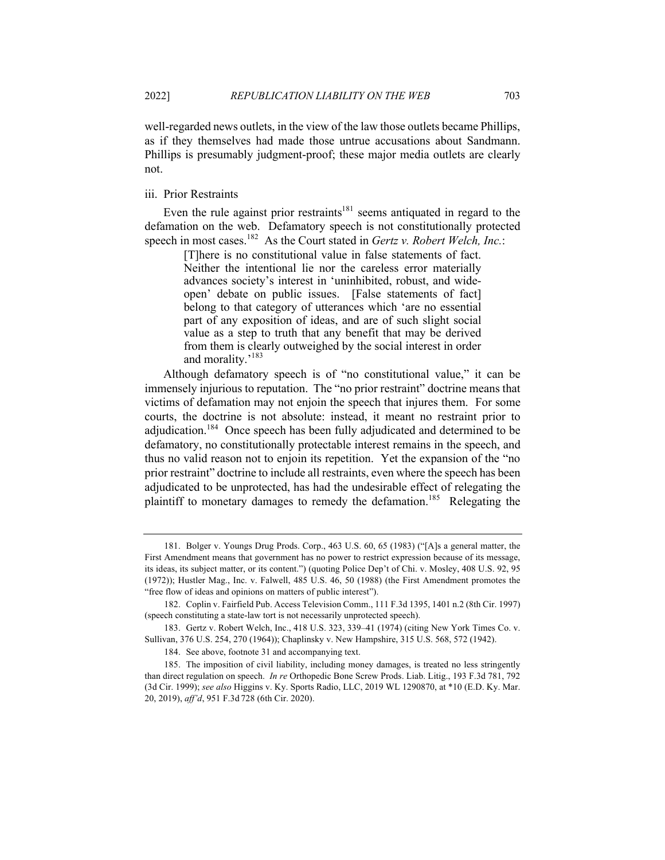well-regarded news outlets, in the view of the law those outlets became Phillips, as if they themselves had made those untrue accusations about Sandmann. Phillips is presumably judgment-proof; these major media outlets are clearly not.

#### iii. Prior Restraints

Even the rule against prior restraints<sup>181</sup> seems antiquated in regard to the defamation on the web. Defamatory speech is not constitutionally protected speech in most cases.182 As the Court stated in *Gertz v. Robert Welch, Inc.*:

> [T]here is no constitutional value in false statements of fact. Neither the intentional lie nor the careless error materially advances society's interest in 'uninhibited, robust, and wideopen' debate on public issues. [False statements of fact] belong to that category of utterances which 'are no essential part of any exposition of ideas, and are of such slight social value as a step to truth that any benefit that may be derived from them is clearly outweighed by the social interest in order and morality.'<sup>183</sup>

Although defamatory speech is of "no constitutional value," it can be immensely injurious to reputation. The "no prior restraint" doctrine means that victims of defamation may not enjoin the speech that injures them. For some courts, the doctrine is not absolute: instead, it meant no restraint prior to adjudication.<sup>184</sup> Once speech has been fully adjudicated and determined to be defamatory, no constitutionally protectable interest remains in the speech, and thus no valid reason not to enjoin its repetition. Yet the expansion of the "no prior restraint" doctrine to include all restraints, even where the speech has been adjudicated to be unprotected, has had the undesirable effect of relegating the plaintiff to monetary damages to remedy the defamation.<sup>185</sup> Relegating the

<sup>181.</sup> Bolger v. Youngs Drug Prods. Corp., 463 U.S. 60, 65 (1983) ("[A]s a general matter, the First Amendment means that government has no power to restrict expression because of its message, its ideas, its subject matter, or its content.") (quoting Police Dep't of Chi. v. Mosley, 408 U.S. 92, 95 (1972)); Hustler Mag., Inc. v. Falwell, 485 U.S. 46, 50 (1988) (the First Amendment promotes the "free flow of ideas and opinions on matters of public interest").

<sup>182.</sup> Coplin v. Fairfield Pub. Access Television Comm., 111 F.3d 1395, 1401 n.2 (8th Cir. 1997) (speech constituting a state-law tort is not necessarily unprotected speech).

<sup>183.</sup> Gertz v. Robert Welch, Inc., 418 U.S. 323, 339–41 (1974) (citing New York Times Co. v. Sullivan, 376 U.S. 254, 270 (1964)); Chaplinsky v. New Hampshire, 315 U.S. 568, 572 (1942).

<sup>184.</sup> See above, footnote 31 and accompanying text.

<sup>185.</sup> The imposition of civil liability, including money damages, is treated no less stringently than direct regulation on speech. *In re* Orthopedic Bone Screw Prods. Liab. Litig., 193 F.3d 781, 792 (3d Cir. 1999); *see also* Higgins v. Ky. Sports Radio, LLC, 2019 WL 1290870, at \*10 (E.D. Ky. Mar. 20, 2019), *aff'd*, 951 F.3d 728 (6th Cir. 2020).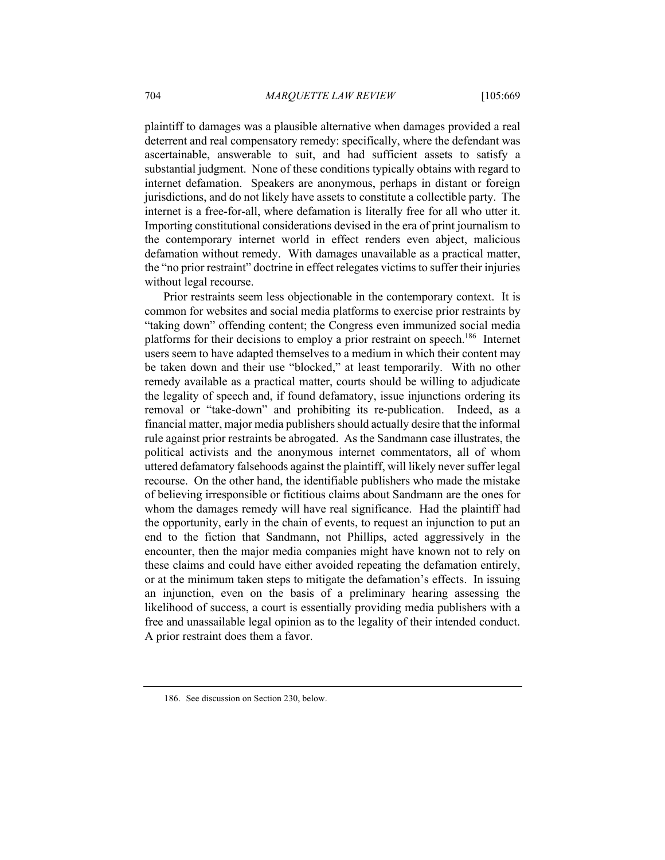plaintiff to damages was a plausible alternative when damages provided a real deterrent and real compensatory remedy: specifically, where the defendant was ascertainable, answerable to suit, and had sufficient assets to satisfy a substantial judgment. None of these conditions typically obtains with regard to internet defamation. Speakers are anonymous, perhaps in distant or foreign jurisdictions, and do not likely have assets to constitute a collectible party. The internet is a free-for-all, where defamation is literally free for all who utter it. Importing constitutional considerations devised in the era of print journalism to the contemporary internet world in effect renders even abject, malicious defamation without remedy. With damages unavailable as a practical matter, the "no prior restraint" doctrine in effect relegates victims to suffer their injuries without legal recourse.

Prior restraints seem less objectionable in the contemporary context. It is common for websites and social media platforms to exercise prior restraints by "taking down" offending content; the Congress even immunized social media platforms for their decisions to employ a prior restraint on speech.<sup>186</sup> Internet users seem to have adapted themselves to a medium in which their content may be taken down and their use "blocked," at least temporarily. With no other remedy available as a practical matter, courts should be willing to adjudicate the legality of speech and, if found defamatory, issue injunctions ordering its removal or "take-down" and prohibiting its re-publication. Indeed, as a financial matter, major media publishers should actually desire that the informal rule against prior restraints be abrogated. As the Sandmann case illustrates, the political activists and the anonymous internet commentators, all of whom uttered defamatory falsehoods against the plaintiff, will likely never suffer legal recourse. On the other hand, the identifiable publishers who made the mistake of believing irresponsible or fictitious claims about Sandmann are the ones for whom the damages remedy will have real significance. Had the plaintiff had the opportunity, early in the chain of events, to request an injunction to put an end to the fiction that Sandmann, not Phillips, acted aggressively in the encounter, then the major media companies might have known not to rely on these claims and could have either avoided repeating the defamation entirely, or at the minimum taken steps to mitigate the defamation's effects. In issuing an injunction, even on the basis of a preliminary hearing assessing the likelihood of success, a court is essentially providing media publishers with a free and unassailable legal opinion as to the legality of their intended conduct. A prior restraint does them a favor.

<sup>186.</sup> See discussion on Section 230, below.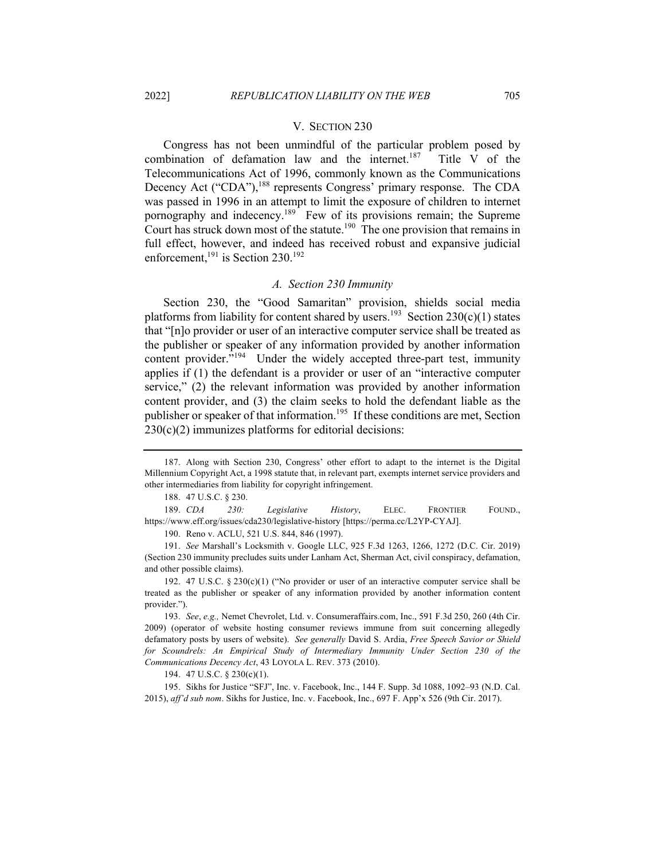#### V. SECTION 230

Congress has not been unmindful of the particular problem posed by combination of defamation law and the internet.<sup>187</sup> Title V of the Telecommunications Act of 1996, commonly known as the Communications Decency Act ("CDA"),<sup>188</sup> represents Congress' primary response. The CDA was passed in 1996 in an attempt to limit the exposure of children to internet pornography and indecency.<sup>189</sup> Few of its provisions remain; the Supreme Court has struck down most of the statute.<sup>190</sup> The one provision that remains in full effect, however, and indeed has received robust and expansive judicial enforcement,<sup>191</sup> is Section 230.<sup>192</sup>

#### *A. Section 230 Immunity*

Section 230, the "Good Samaritan" provision, shields social media platforms from liability for content shared by users.<sup>193</sup> Section 230(c)(1) states that "[n]o provider or user of an interactive computer service shall be treated as the publisher or speaker of any information provided by another information content provider."<sup>194</sup> Under the widely accepted three-part test, immunity applies if (1) the defendant is a provider or user of an "interactive computer service," (2) the relevant information was provided by another information content provider, and (3) the claim seeks to hold the defendant liable as the publisher or speaker of that information.<sup>195</sup> If these conditions are met, Section 230(c)(2) immunizes platforms for editorial decisions:

188. 47 U.S.C. § 230.

189. *CDA 230: Legislative History*, ELEC. FRONTIER FOUND., https://www.eff.org/issues/cda230/legislative-history [https://perma.cc/L2YP-CYAJ].

190. Reno v. ACLU, 521 U.S. 844, 846 (1997).

191. *See* Marshall's Locksmith v. Google LLC, 925 F.3d 1263, 1266, 1272 (D.C. Cir. 2019) (Section 230 immunity precludes suits under Lanham Act, Sherman Act, civil conspiracy, defamation, and other possible claims).

192. 47 U.S.C. § 230(c)(1) ("No provider or user of an interactive computer service shall be treated as the publisher or speaker of any information provided by another information content provider.").

193. *See*, *e.g.,* Nemet Chevrolet, Ltd. v. Consumeraffairs.com, Inc., 591 F.3d 250, 260 (4th Cir. 2009) (operator of website hosting consumer reviews immune from suit concerning allegedly defamatory posts by users of website). *See generally* David S. Ardia, *Free Speech Savior or Shield for Scoundrels: An Empirical Study of Intermediary Immunity Under Section 230 of the Communications Decency Act*, 43 LOYOLA L. REV. 373 (2010).

194. 47 U.S.C. § 230(c)(1).

195. Sikhs for Justice "SFJ", Inc. v. Facebook, Inc., 144 F. Supp. 3d 1088, 1092–93 (N.D. Cal. 2015), *aff'd sub nom*. Sikhs for Justice, Inc. v. Facebook, Inc., 697 F. App'x 526 (9th Cir. 2017).

<sup>187.</sup> Along with Section 230, Congress' other effort to adapt to the internet is the Digital Millennium Copyright Act, a 1998 statute that, in relevant part, exempts internet service providers and other intermediaries from liability for copyright infringement.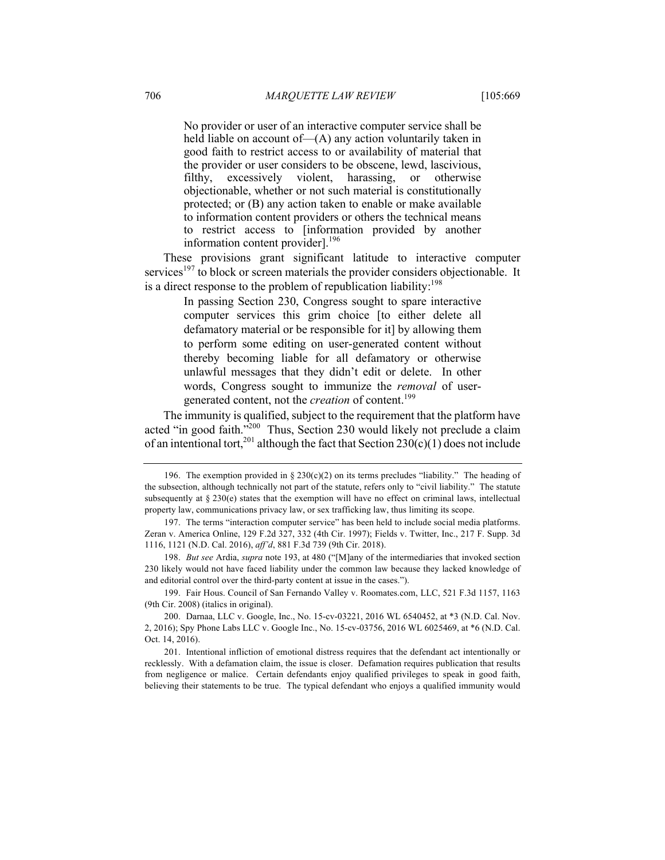No provider or user of an interactive computer service shall be held liable on account of - (A) any action voluntarily taken in good faith to restrict access to or availability of material that the provider or user considers to be obscene, lewd, lascivious, filthy, excessively violent, harassing, or otherwise objectionable, whether or not such material is constitutionally protected; or (B) any action taken to enable or make available to information content providers or others the technical means to restrict access to [information provided by another information content provider].<sup>196</sup>

These provisions grant significant latitude to interactive computer services<sup>197</sup> to block or screen materials the provider considers objectionable. It is a direct response to the problem of republication liability:<sup>198</sup>

> In passing Section 230, Congress sought to spare interactive computer services this grim choice [to either delete all defamatory material or be responsible for it] by allowing them to perform some editing on user-generated content without thereby becoming liable for all defamatory or otherwise unlawful messages that they didn't edit or delete. In other words, Congress sought to immunize the *removal* of usergenerated content, not the *creation* of content.<sup>199</sup>

The immunity is qualified, subject to the requirement that the platform have acted "in good faith."200 Thus, Section 230 would likely not preclude a claim of an intentional tort,<sup>201</sup> although the fact that Section  $230(c)(1)$  does not include

199. Fair Hous. Council of San Fernando Valley v. Roomates.com, LLC, 521 F.3d 1157, 1163 (9th Cir. 2008) (italics in original).

<sup>196.</sup> The exemption provided in § 230(c)(2) on its terms precludes "liability." The heading of the subsection, although technically not part of the statute, refers only to "civil liability." The statute subsequently at  $\S 230(e)$  states that the exemption will have no effect on criminal laws, intellectual property law, communications privacy law, or sex trafficking law, thus limiting its scope.

<sup>197.</sup> The terms "interaction computer service" has been held to include social media platforms. Zeran v. America Online, 129 F.2d 327, 332 (4th Cir. 1997); Fields v. Twitter, Inc., 217 F. Supp. 3d 1116, 1121 (N.D. Cal. 2016), *aff'd*, 881 F.3d 739 (9th Cir. 2018).

<sup>198.</sup> *But see* Ardia, *supra* note 193, at 480 ("[M]any of the intermediaries that invoked section 230 likely would not have faced liability under the common law because they lacked knowledge of and editorial control over the third-party content at issue in the cases.").

<sup>200.</sup> Darnaa, LLC v. Google, Inc., No. 15-cv-03221, 2016 WL 6540452, at \*3 (N.D. Cal. Nov. 2, 2016); Spy Phone Labs LLC v. Google Inc., No. 15-cv-03756, 2016 WL 6025469, at \*6 (N.D. Cal. Oct. 14, 2016).

<sup>201.</sup> Intentional infliction of emotional distress requires that the defendant act intentionally or recklessly. With a defamation claim, the issue is closer. Defamation requires publication that results from negligence or malice. Certain defendants enjoy qualified privileges to speak in good faith, believing their statements to be true. The typical defendant who enjoys a qualified immunity would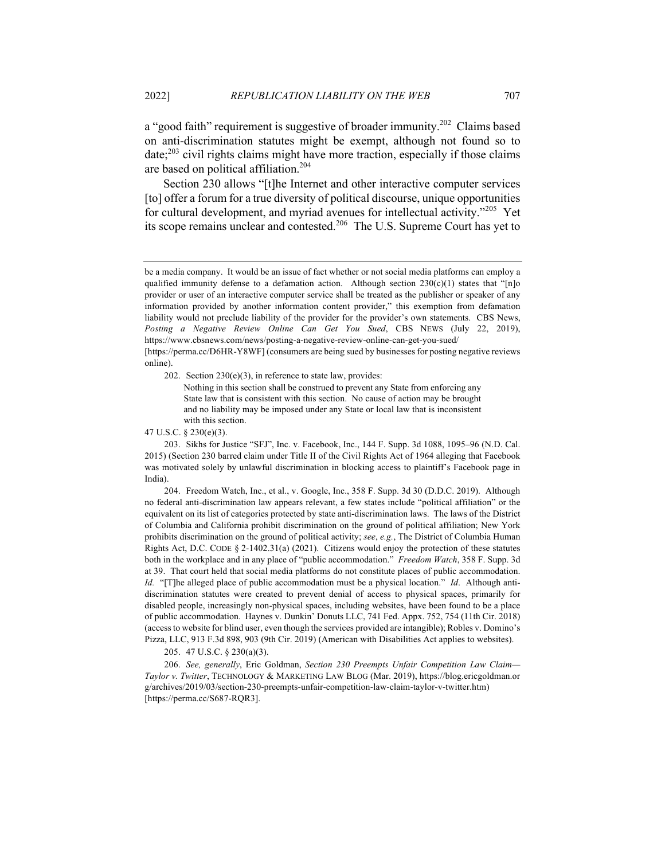a "good faith" requirement is suggestive of broader immunity.<sup>202</sup> Claims based on anti-discrimination statutes might be exempt, although not found so to date; $^{203}$  civil rights claims might have more traction, especially if those claims are based on political affiliation.204

Section 230 allows "[t]he Internet and other interactive computer services [to] offer a forum for a true diversity of political discourse, unique opportunities for cultural development, and myriad avenues for intellectual activity."205 Yet its scope remains unclear and contested.<sup>206</sup> The U.S. Supreme Court has yet to

[https://perma.cc/D6HR-Y8WF] (consumers are being sued by businesses for posting negative reviews online).

202. Section 230(e)(3), in reference to state law, provides:

Nothing in this section shall be construed to prevent any State from enforcing any State law that is consistent with this section. No cause of action may be brought and no liability may be imposed under any State or local law that is inconsistent with this section.

47 U.S.C. § 230(e)(3).

203. Sikhs for Justice "SFJ", Inc. v. Facebook, Inc., 144 F. Supp. 3d 1088, 1095–96 (N.D. Cal. 2015) (Section 230 barred claim under Title II of the Civil Rights Act of 1964 alleging that Facebook was motivated solely by unlawful discrimination in blocking access to plaintiff's Facebook page in India).

204. Freedom Watch, Inc., et al., v. Google, Inc., 358 F. Supp. 3d 30 (D.D.C. 2019). Although no federal anti-discrimination law appears relevant, a few states include "political affiliation" or the equivalent on its list of categories protected by state anti-discrimination laws. The laws of the District of Columbia and California prohibit discrimination on the ground of political affiliation; New York prohibits discrimination on the ground of political activity; *see*, *e.g.*, The District of Columbia Human Rights Act, D.C. CODE § 2-1402.31(a) (2021). Citizens would enjoy the protection of these statutes both in the workplace and in any place of "public accommodation." *Freedom Watch*, 358 F. Supp. 3d at 39. That court held that social media platforms do not constitute places of public accommodation. *Id.* "[T]he alleged place of public accommodation must be a physical location." *Id*. Although antidiscrimination statutes were created to prevent denial of access to physical spaces, primarily for disabled people, increasingly non-physical spaces, including websites, have been found to be a place of public accommodation. Haynes v. Dunkin' Donuts LLC, 741 Fed. Appx. 752, 754 (11th Cir. 2018) (access to website for blind user, even though the services provided are intangible); Robles v. Domino's Pizza, LLC, 913 F.3d 898, 903 (9th Cir. 2019) (American with Disabilities Act applies to websites).

205. 47 U.S.C. § 230(a)(3).

206. *See, generally*, Eric Goldman, *Section 230 Preempts Unfair Competition Law Claim— Taylor v. Twitter*, TECHNOLOGY & MARKETING LAW BLOG (Mar. 2019), https://blog.ericgoldman.or g/archives/2019/03/section-230-preempts-unfair-competition-law-claim-taylor-v-twitter.htm) [https://perma.cc/S687-RQR3].

be a media company. It would be an issue of fact whether or not social media platforms can employ a qualified immunity defense to a defamation action. Although section  $230(c)(1)$  states that "[n]o provider or user of an interactive computer service shall be treated as the publisher or speaker of any information provided by another information content provider," this exemption from defamation liability would not preclude liability of the provider for the provider's own statements. CBS News, *Posting a Negative Review Online Can Get You Sued*, CBS NEWS (July 22, 2019), https://www.cbsnews.com/news/posting-a-negative-review-online-can-get-you-sued/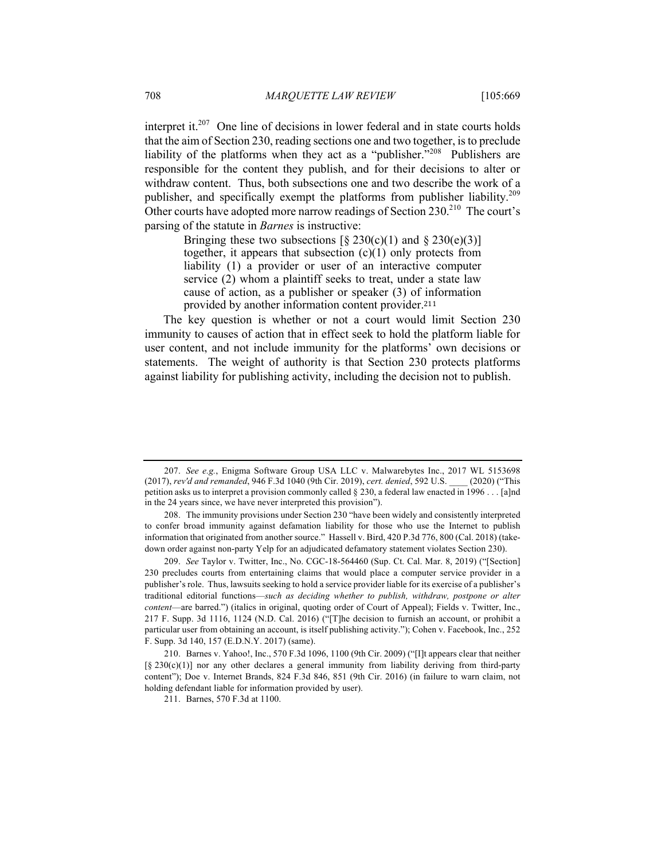interpret it. $207$  One line of decisions in lower federal and in state courts holds that the aim of Section 230, reading sections one and two together, is to preclude liability of the platforms when they act as a "publisher."208 Publishers are responsible for the content they publish, and for their decisions to alter or withdraw content. Thus, both subsections one and two describe the work of a publisher, and specifically exempt the platforms from publisher liability.<sup>209</sup> Other courts have adopted more narrow readings of Section 230.<sup>210</sup> The court's parsing of the statute in *Barnes* is instructive:

> Bringing these two subsections  $\lceil \frac{6}{5} \cdot 230 \cdot c \cdot (1) \rceil$  and  $\lceil \frac{6}{5} \cdot 230 \cdot (e)(3) \rceil$ together, it appears that subsection  $(c)(1)$  only protects from liability (1) a provider or user of an interactive computer service (2) whom a plaintiff seeks to treat, under a state law cause of action, as a publisher or speaker (3) of information provided by another information content provider.<sup>211</sup>

The key question is whether or not a court would limit Section 230 immunity to causes of action that in effect seek to hold the platform liable for user content, and not include immunity for the platforms' own decisions or statements. The weight of authority is that Section 230 protects platforms against liability for publishing activity, including the decision not to publish.

<sup>207.</sup> *See e.g.*, Enigma Software Group USA LLC v. Malwarebytes Inc., 2017 WL 5153698 (2017), *rev'd and remanded*, 946 F.3d 1040 (9th Cir. 2019), *cert. denied*, 592 U.S. \_\_\_\_ (2020) ("This petition asks us to interpret a provision commonly called § 230, a federal law enacted in 1996 . . . [a]nd in the 24 years since, we have never interpreted this provision").

<sup>208.</sup> The immunity provisions under Section 230 "have been widely and consistently interpreted to confer broad immunity against defamation liability for those who use the Internet to publish information that originated from another source." Hassell v. Bird, 420 P.3d 776, 800 (Cal. 2018) (takedown order against non-party Yelp for an adjudicated defamatory statement violates Section 230).

<sup>209.</sup> *See* Taylor v. Twitter, Inc., No. CGC-18-564460 (Sup. Ct. Cal. Mar. 8, 2019) ("[Section] 230 precludes courts from entertaining claims that would place a computer service provider in a publisher's role. Thus, lawsuits seeking to hold a service provider liable for its exercise of a publisher's traditional editorial functions—*such as deciding whether to publish, withdraw, postpone or alter content*—are barred.") (italics in original, quoting order of Court of Appeal); Fields v. Twitter, Inc., 217 F. Supp. 3d 1116, 1124 (N.D. Cal. 2016) ("[T]he decision to furnish an account, or prohibit a particular user from obtaining an account, is itself publishing activity."); Cohen v. Facebook, Inc., 252 F. Supp. 3d 140, 157 (E.D.N.Y. 2017) (same).

<sup>210.</sup> Barnes v. Yahoo!, Inc., 570 F.3d 1096, 1100 (9th Cir. 2009) ("[I]t appears clear that neither  $\lceil \S 230(c)(1) \rceil$  nor any other declares a general immunity from liability deriving from third-party content"); Doe v. Internet Brands, 824 F.3d 846, 851 (9th Cir. 2016) (in failure to warn claim, not holding defendant liable for information provided by user).

<sup>211.</sup> Barnes, 570 F.3d at 1100.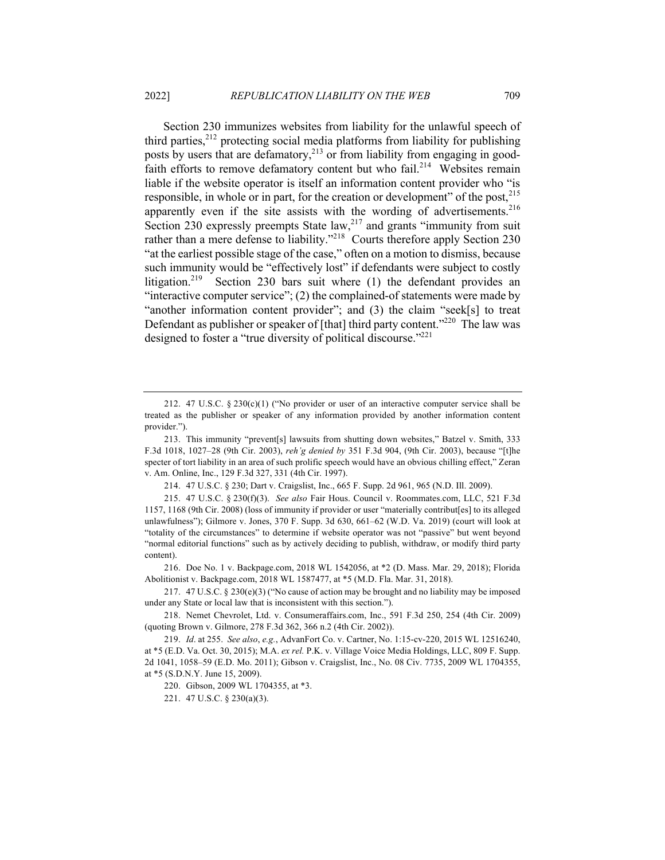Section 230 immunizes websites from liability for the unlawful speech of third parties, $2^{12}$  protecting social media platforms from liability for publishing posts by users that are defamatory,<sup>213</sup> or from liability from engaging in goodfaith efforts to remove defamatory content but who fail.<sup>214</sup> Websites remain liable if the website operator is itself an information content provider who "is responsible, in whole or in part, for the creation or development" of the post,<sup>215</sup> apparently even if the site assists with the wording of advertisements.<sup>216</sup> Section 230 expressly preempts State law, $2^{17}$  and grants "immunity from suit rather than a mere defense to liability."<sup>218</sup> Courts therefore apply Section 230 "at the earliest possible stage of the case," often on a motion to dismiss, because such immunity would be "effectively lost" if defendants were subject to costly litigation.<sup>219</sup> Section 230 bars suit where (1) the defendant provides an "interactive computer service"; (2) the complained-of statements were made by "another information content provider"; and (3) the claim "seek[s] to treat Defendant as publisher or speaker of [that] third party content."<sup>220</sup> The law was designed to foster a "true diversity of political discourse."<sup>221</sup>

214. 47 U.S.C. § 230; Dart v. Craigslist, Inc., 665 F. Supp. 2d 961, 965 (N.D. Ill. 2009).

215. 47 U.S.C. § 230(f)(3). *See also* Fair Hous. Council v. Roommates.com, LLC, 521 F.3d 1157, 1168 (9th Cir. 2008) (loss of immunity if provider or user "materially contribut[es] to its alleged unlawfulness"); Gilmore v. Jones, 370 F. Supp. 3d 630, 661–62 (W.D. Va. 2019) (court will look at "totality of the circumstances" to determine if website operator was not "passive" but went beyond "normal editorial functions" such as by actively deciding to publish, withdraw, or modify third party content).

216. Doe No. 1 v. Backpage.com, 2018 WL 1542056, at \*2 (D. Mass. Mar. 29, 2018); Florida Abolitionist v. Backpage.com, 2018 WL 1587477, at \*5 (M.D. Fla. Mar. 31, 2018).

217.  $47 \text{ U.S.C.} \$   $230(e)(3)$  ("No cause of action may be brought and no liability may be imposed under any State or local law that is inconsistent with this section.").

218. Nemet Chevrolet, Ltd. v. Consumeraffairs.com, Inc., 591 F.3d 250, 254 (4th Cir. 2009) (quoting Brown v. Gilmore, 278 F.3d 362, 366 n.2 (4th Cir. 2002)).

219. *Id*. at 255. *See also*, *e.g.*, AdvanFort Co. v. Cartner, No. 1:15-cv-220, 2015 WL 12516240, at \*5 (E.D. Va. Oct. 30, 2015); M.A. *ex rel.* P.K. v. Village Voice Media Holdings, LLC, 809 F. Supp. 2d 1041, 1058–59 (E.D. Mo. 2011); Gibson v. Craigslist, Inc., No. 08 Civ. 7735, 2009 WL 1704355, at \*5 (S.D.N.Y. June 15, 2009).

220. Gibson, 2009 WL 1704355, at \*3.

221. 47 U.S.C. § 230(a)(3).

<sup>212. 47</sup> U.S.C. § 230(c)(1) ("No provider or user of an interactive computer service shall be treated as the publisher or speaker of any information provided by another information content provider.").

<sup>213.</sup> This immunity "prevent[s] lawsuits from shutting down websites," Batzel v. Smith, 333 F.3d 1018, 1027–28 (9th Cir. 2003), *reh'g denied by* 351 F.3d 904, (9th Cir. 2003), because "[t]he specter of tort liability in an area of such prolific speech would have an obvious chilling effect," Zeran v. Am. Online, Inc., 129 F.3d 327, 331 (4th Cir. 1997).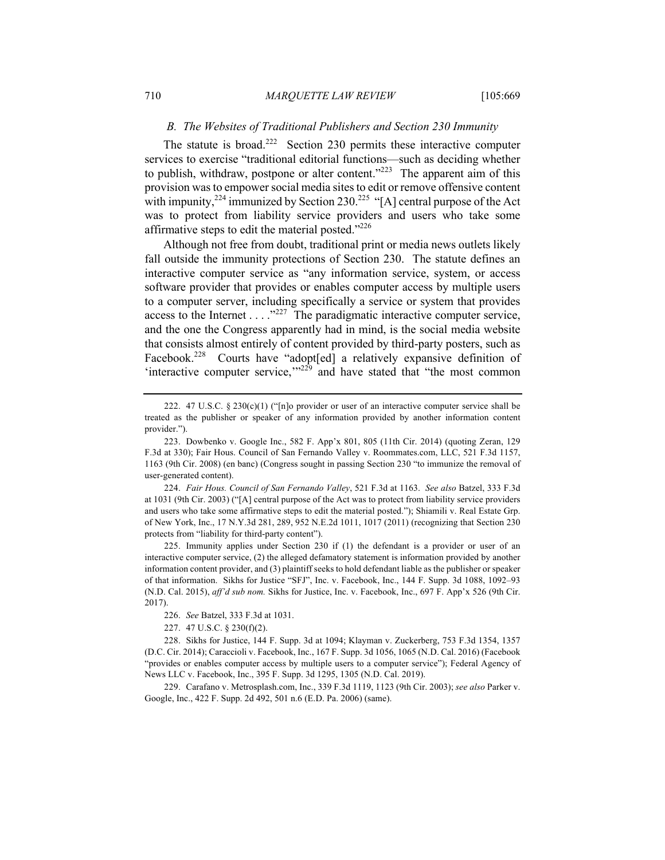### *B. The Websites of Traditional Publishers and Section 230 Immunity*

The statute is broad.<sup>222</sup> Section 230 permits these interactive computer services to exercise "traditional editorial functions—such as deciding whether to publish, withdraw, postpone or alter content." $223$  The apparent aim of this provision was to empower social media sites to edit or remove offensive content with impunity,  $2^{24}$  immunized by Section 230.<sup>225</sup> "[A] central purpose of the Act was to protect from liability service providers and users who take some affirmative steps to edit the material posted."<sup>226</sup>

Although not free from doubt, traditional print or media news outlets likely fall outside the immunity protections of Section 230. The statute defines an interactive computer service as "any information service, system, or access software provider that provides or enables computer access by multiple users to a computer server, including specifically a service or system that provides access to the Internet  $\dots$  . . ...<sup>227</sup> The paradigmatic interactive computer service, and the one the Congress apparently had in mind, is the social media website that consists almost entirely of content provided by third-party posters, such as Facebook.<sup>228</sup> Courts have "adopt[ed] a relatively expansive definition of 'interactive computer service, $\frac{1}{229}$  and have stated that "the most common

<sup>222. 47</sup> U.S.C. § 230 $(c)(1)$  ("[n]o provider or user of an interactive computer service shall be treated as the publisher or speaker of any information provided by another information content provider.").

<sup>223.</sup> Dowbenko v. Google Inc., 582 F. App'x 801, 805 (11th Cir. 2014) (quoting Zeran, 129 F.3d at 330); Fair Hous. Council of San Fernando Valley v. Roommates.com, LLC, 521 F.3d 1157, 1163 (9th Cir. 2008) (en banc) (Congress sought in passing Section 230 "to immunize the removal of user-generated content).

<sup>224.</sup> *Fair Hous. Council of San Fernando Valley*, 521 F.3d at 1163. *See also* Batzel, 333 F.3d at 1031 (9th Cir. 2003) ("[A] central purpose of the Act was to protect from liability service providers and users who take some affirmative steps to edit the material posted."); Shiamili v. Real Estate Grp. of New York, Inc., 17 N.Y.3d 281, 289, 952 N.E.2d 1011, 1017 (2011) (recognizing that Section 230 protects from "liability for third-party content").

<sup>225.</sup> Immunity applies under Section 230 if (1) the defendant is a provider or user of an interactive computer service, (2) the alleged defamatory statement is information provided by another information content provider, and (3) plaintiff seeks to hold defendant liable as the publisher or speaker of that information. Sikhs for Justice "SFJ", Inc. v. Facebook, Inc., 144 F. Supp. 3d 1088, 1092–93 (N.D. Cal. 2015), *aff'd sub nom.* Sikhs for Justice, Inc. v. Facebook, Inc., 697 F. App'x 526 (9th Cir. 2017).

<sup>226.</sup> *See* Batzel, 333 F.3d at 1031.

<sup>227.</sup> 47 U.S.C. § 230(f)(2).

<sup>228.</sup> Sikhs for Justice, 144 F. Supp. 3d at 1094; Klayman v. Zuckerberg, 753 F.3d 1354, 1357 (D.C. Cir. 2014); Caraccioli v. Facebook, Inc., 167 F. Supp. 3d 1056, 1065 (N.D. Cal. 2016) (Facebook "provides or enables computer access by multiple users to a computer service"); Federal Agency of News LLC v. Facebook, Inc., 395 F. Supp. 3d 1295, 1305 (N.D. Cal. 2019).

<sup>229.</sup> Carafano v. Metrosplash.com, Inc., 339 F.3d 1119, 1123 (9th Cir. 2003); *see also* Parker v. Google, Inc., 422 F. Supp. 2d 492, 501 n.6 (E.D. Pa. 2006) (same).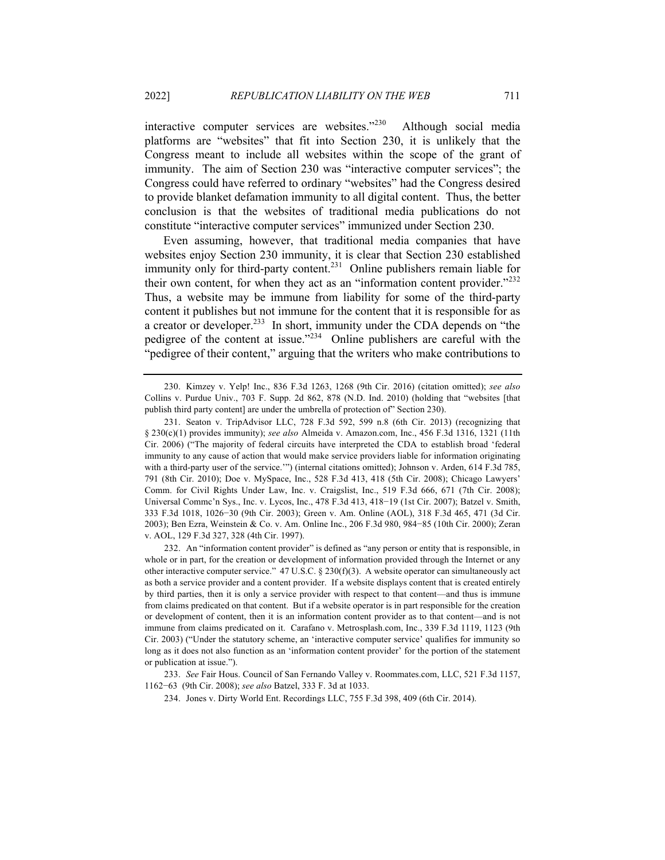interactive computer services are websites."230 Although social media platforms are "websites" that fit into Section 230, it is unlikely that the Congress meant to include all websites within the scope of the grant of immunity. The aim of Section 230 was "interactive computer services"; the Congress could have referred to ordinary "websites" had the Congress desired to provide blanket defamation immunity to all digital content. Thus, the better conclusion is that the websites of traditional media publications do not constitute "interactive computer services" immunized under Section 230.

Even assuming, however, that traditional media companies that have websites enjoy Section 230 immunity, it is clear that Section 230 established immunity only for third-party content.<sup>231</sup> Online publishers remain liable for their own content, for when they act as an "information content provider."<sup>232</sup> Thus, a website may be immune from liability for some of the third-party content it publishes but not immune for the content that it is responsible for as a creator or developer.<sup>233</sup> In short, immunity under the CDA depends on "the pedigree of the content at issue."<sup>234</sup> Online publishers are careful with the "pedigree of their content," arguing that the writers who make contributions to

<sup>230.</sup> Kimzey v. Yelp! Inc., 836 F.3d 1263, 1268 (9th Cir. 2016) (citation omitted); *see also* Collins v. Purdue Univ., 703 F. Supp. 2d 862, 878 (N.D. Ind. 2010) (holding that "websites [that publish third party content] are under the umbrella of protection of" Section 230).

<sup>231.</sup> Seaton v. TripAdvisor LLC, 728 F.3d 592, 599 n.8 (6th Cir. 2013) (recognizing that § 230(c)(1) provides immunity); *see also* Almeida v. Amazon.com, Inc., 456 F.3d 1316, 1321 (11th Cir. 2006) ("The majority of federal circuits have interpreted the CDA to establish broad 'federal immunity to any cause of action that would make service providers liable for information originating with a third-party user of the service.'") (internal citations omitted); Johnson v. Arden, 614 F.3d 785, 791 (8th Cir. 2010); Doe v. MySpace, Inc., 528 F.3d 413, 418 (5th Cir. 2008); Chicago Lawyers' Comm. for Civil Rights Under Law, Inc. v. Craigslist, Inc., 519 F.3d 666, 671 (7th Cir. 2008); Universal Commc'n Sys., Inc. v. Lycos, Inc., 478 F.3d 413, 418−19 (1st Cir. 2007); Batzel v. Smith, 333 F.3d 1018, 1026−30 (9th Cir. 2003); Green v. Am. Online (AOL), 318 F.3d 465, 471 (3d Cir. 2003); Ben Ezra, Weinstein & Co. v. Am. Online Inc., 206 F.3d 980, 984−85 (10th Cir. 2000); Zeran v. AOL, 129 F.3d 327, 328 (4th Cir. 1997).

<sup>232.</sup> An "information content provider" is defined as "any person or entity that is responsible, in whole or in part, for the creation or development of information provided through the Internet or any other interactive computer service." 47 U.S.C. § 230(f)(3). A website operator can simultaneously act as both a service provider and a content provider. If a website displays content that is created entirely by third parties, then it is only a service provider with respect to that content—and thus is immune from claims predicated on that content. But if a website operator is in part responsible for the creation or development of content, then it is an information content provider as to that content—and is not immune from claims predicated on it. Carafano v. Metrosplash.com, Inc., 339 F.3d 1119, 1123 (9th Cir. 2003) ("Under the statutory scheme, an 'interactive computer service' qualifies for immunity so long as it does not also function as an 'information content provider' for the portion of the statement or publication at issue.").

<sup>233.</sup> *See* Fair Hous. Council of San Fernando Valley v. Roommates.com, LLC, 521 F.3d 1157, 1162−63 (9th Cir. 2008); *see also* Batzel, 333 F. 3d at 1033.

<sup>234.</sup> Jones v. Dirty World Ent. Recordings LLC, 755 F.3d 398, 409 (6th Cir. 2014).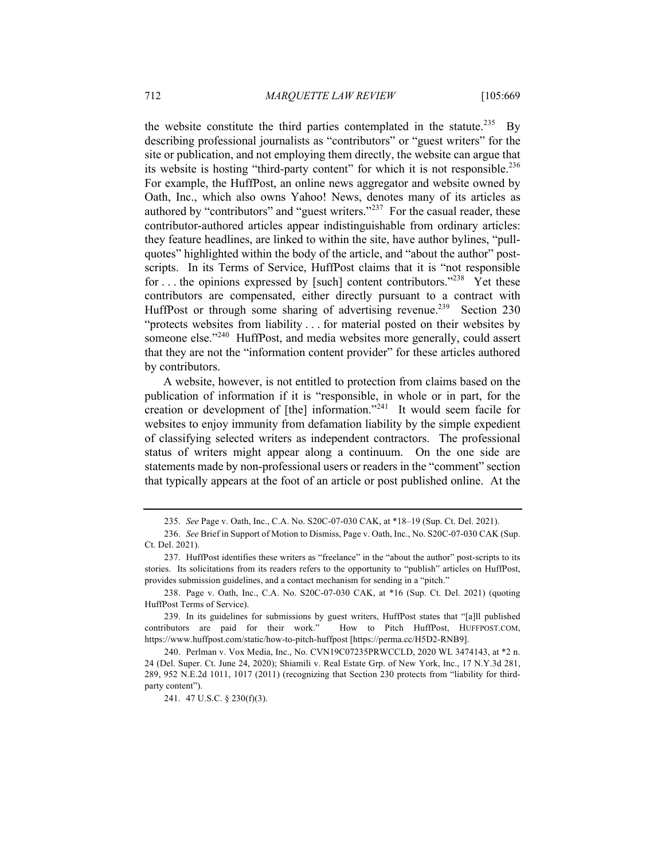the website constitute the third parties contemplated in the statute.<sup>235</sup> By describing professional journalists as "contributors" or "guest writers" for the site or publication, and not employing them directly, the website can argue that its website is hosting "third-party content" for which it is not responsible.<sup>236</sup> For example, the HuffPost, an online news aggregator and website owned by Oath, Inc., which also owns Yahoo! News, denotes many of its articles as authored by "contributors" and "guest writers."<sup>237</sup> For the casual reader, these contributor-authored articles appear indistinguishable from ordinary articles: they feature headlines, are linked to within the site, have author bylines, "pullquotes" highlighted within the body of the article, and "about the author" postscripts. In its Terms of Service, HuffPost claims that it is "not responsible for ... the opinions expressed by [such] content contributors."<sup>238</sup> Yet these contributors are compensated, either directly pursuant to a contract with HuffPost or through some sharing of advertising revenue.<sup>239</sup> Section 230 "protects websites from liability . . . for material posted on their websites by someone else."<sup>240</sup> HuffPost, and media websites more generally, could assert that they are not the "information content provider" for these articles authored by contributors.

A website, however, is not entitled to protection from claims based on the publication of information if it is "responsible, in whole or in part, for the creation or development of [the] information."<sup>241</sup> It would seem facile for websites to enjoy immunity from defamation liability by the simple expedient of classifying selected writers as independent contractors. The professional status of writers might appear along a continuum. On the one side are statements made by non-professional users or readers in the "comment" section that typically appears at the foot of an article or post published online. At the

<sup>235.</sup> *See* Page v. Oath, Inc., C.A. No. S20C-07-030 CAK, at \*18–19 (Sup. Ct. Del. 2021).

<sup>236.</sup> *See* Brief in Support of Motion to Dismiss, Page v. Oath, Inc., No. S20C-07-030 CAK (Sup. Ct. Del. 2021).

<sup>237.</sup> HuffPost identifies these writers as "freelance" in the "about the author" post-scripts to its stories. Its solicitations from its readers refers to the opportunity to "publish" articles on HuffPost, provides submission guidelines, and a contact mechanism for sending in a "pitch."

<sup>238.</sup> Page v. Oath, Inc., C.A. No. S20C-07-030 CAK, at \*16 (Sup. Ct. Del. 2021) (quoting HuffPost Terms of Service).

<sup>239.</sup> In its guidelines for submissions by guest writers, HuffPost states that "[a]ll published contributors are paid for their work." How to Pitch HuffPost, HUFFPOST.COM, https://www.huffpost.com/static/how-to-pitch-huffpost [https://perma.cc/H5D2-RNB9].

<sup>240.</sup> Perlman v. Vox Media, Inc., No. CVN19C07235PRWCCLD, 2020 WL 3474143, at \*2 n. 24 (Del. Super. Ct. June 24, 2020); Shiamili v. Real Estate Grp. of New York, Inc., 17 N.Y.3d 281, 289, 952 N.E.2d 1011, 1017 (2011) (recognizing that Section 230 protects from "liability for thirdparty content").

<sup>241.</sup> 47 U.S.C. § 230(f)(3).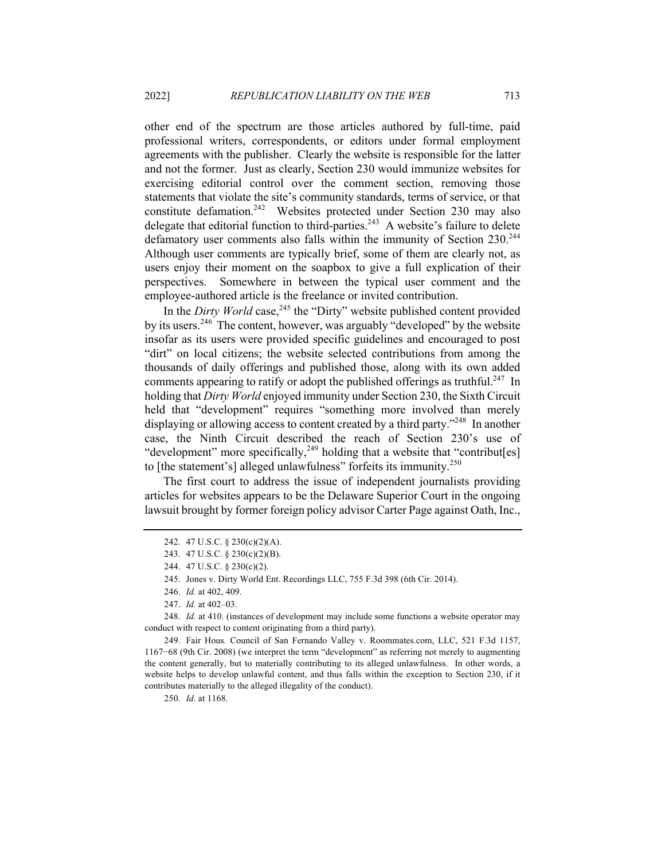other end of the spectrum are those articles authored by full-time, paid professional writers, correspondents, or editors under formal employment agreements with the publisher. Clearly the website is responsible for the latter and not the former. Just as clearly, Section 230 would immunize websites for exercising editorial control over the comment section, removing those statements that violate the site's community standards, terms of service, or that constitute defamation.<sup>242</sup> Websites protected under Section 230 may also delegate that editorial function to third-parties.<sup>243</sup> A website's failure to delete defamatory user comments also falls within the immunity of Section 230.<sup>244</sup> Although user comments are typically brief, some of them are clearly not, as users enjoy their moment on the soapbox to give a full explication of their perspectives. Somewhere in between the typical user comment and the employee-authored article is the freelance or invited contribution.

In the *Dirty World* case,<sup>245</sup> the "Dirty" website published content provided by its users.<sup>246</sup> The content, however, was arguably "developed" by the website insofar as its users were provided specific guidelines and encouraged to post "dirt" on local citizens; the website selected contributions from among the thousands of daily offerings and published those, along with its own added comments appearing to ratify or adopt the published offerings as truthful.<sup>247</sup> In holding that *Dirty World* enjoyed immunity under Section 230, the Sixth Circuit held that "development" requires "something more involved than merely displaying or allowing access to content created by a third party."<sup>248</sup> In another case, the Ninth Circuit described the reach of Section 230's use of "development" more specifically,  $249$  holding that a website that "contribut[es] to [the statement's] alleged unlawfulness" forfeits its immunity.<sup>250</sup>

The first court to address the issue of independent journalists providing articles for websites appears to be the Delaware Superior Court in the ongoing lawsuit brought by former foreign policy advisor Carter Page against Oath, Inc.,

249. Fair Hous. Council of San Fernando Valley v. Roommates.com, LLC, 521 F.3d 1157, 1167−68 (9th Cir. 2008) (we interpret the term "development" as referring not merely to augmenting the content generally, but to materially contributing to its alleged unlawfulness. In other words, a website helps to develop unlawful content, and thus falls within the exception to Section 230, if it contributes materially to the alleged illegality of the conduct).

250. *Id*. at 1168.

<sup>242.</sup> 47 U.S.C. § 230(c)(2)(A).

<sup>243.</sup> 47 U.S.C. § 230(c)(2)(B).

<sup>244.</sup> 47 U.S.C. § 230(c)(2).

<sup>245.</sup> Jones v. Dirty World Ent. Recordings LLC, 755 F.3d 398 (6th Cir. 2014).

<sup>246.</sup> *Id.* at 402, 409.

<sup>247.</sup> *Id.* at 402–03.

<sup>248.</sup> *Id.* at 410. (instances of development may include some functions a website operator may conduct with respect to content originating from a third party).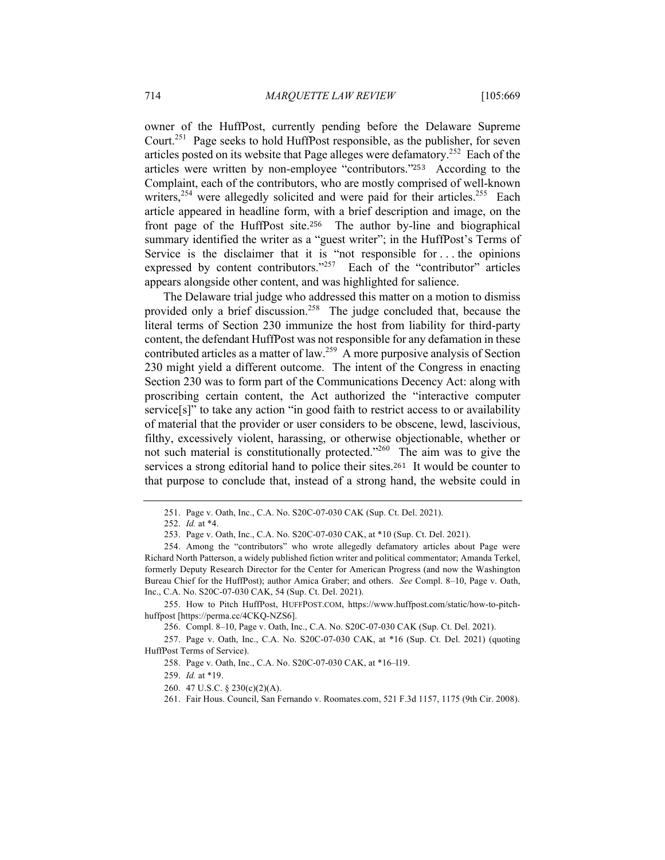owner of the HuffPost, currently pending before the Delaware Supreme Court.<sup>251</sup> Page seeks to hold HuffPost responsible, as the publisher, for seven articles posted on its website that Page alleges were defamatory.252 Each of the articles were written by non-employee "contributors."253 According to the Complaint, each of the contributors, who are mostly comprised of well-known writers,<sup>254</sup> were allegedly solicited and were paid for their articles.<sup>255</sup> Each article appeared in headline form, with a brief description and image, on the front page of the HuffPost site.256 The author by-line and biographical summary identified the writer as a "guest writer"; in the HuffPost's Terms of Service is the disclaimer that it is "not responsible for . . . the opinions expressed by content contributors."<sup>257</sup> Each of the "contributor" articles appears alongside other content, and was highlighted for salience.

The Delaware trial judge who addressed this matter on a motion to dismiss provided only a brief discussion.<sup>258</sup> The judge concluded that, because the literal terms of Section 230 immunize the host from liability for third-party content, the defendant HuffPost was not responsible for any defamation in these contributed articles as a matter of law.<sup>259</sup> A more purposive analysis of Section 230 might yield a different outcome. The intent of the Congress in enacting Section 230 was to form part of the Communications Decency Act: along with proscribing certain content, the Act authorized the "interactive computer service[s]" to take any action "in good faith to restrict access to or availability of material that the provider or user considers to be obscene, lewd, lascivious, filthy, excessively violent, harassing, or otherwise objectionable, whether or not such material is constitutionally protected."<sup>260</sup> The aim was to give the services a strong editorial hand to police their sites.261 It would be counter to that purpose to conclude that, instead of a strong hand, the website could in

255. How to Pitch HuffPost, HUFFPOST.COM, https://www.huffpost.com/static/how-to-pitchhuffpost [https://perma.cc/4CKQ-NZS6].

256. Compl. 8–10, Page v. Oath, Inc., C.A. No. S20C-07-030 CAK (Sup. Ct. Del. 2021).

257. Page v. Oath, Inc., C.A. No. S20C-07-030 CAK, at \*16 (Sup. Ct. Del. 2021) (quoting HuffPost Terms of Service).

258. Page v. Oath, Inc., C.A. No. S20C-07-030 CAK, at \*16–l19.

259. *Id.* at \*19.

260. 47 U.S.C. § 230(c)(2)(A).

261. Fair Hous. Council, San Fernando v. Roomates.com, 521 F.3d 1157, 1175 (9th Cir. 2008).

<sup>251.</sup> Page v. Oath, Inc., C.A. No. S20C-07-030 CAK (Sup. Ct. Del. 2021).

<sup>252.</sup> *Id.* at \*4.

<sup>253.</sup> Page v. Oath, Inc., C.A. No. S20C-07-030 CAK, at \*10 (Sup. Ct. Del. 2021).

<sup>254.</sup> Among the "contributors" who wrote allegedly defamatory articles about Page were Richard North Patterson, a widely published fiction writer and political commentator; Amanda Terkel, formerly Deputy Research Director for the Center for American Progress (and now the Washington Bureau Chief for the HuffPost); author Amica Graber; and others. *See* Compl. 8–10, Page v. Oath, Inc., C.A. No. S20C-07-030 CAK, 54 (Sup. Ct. Del. 2021).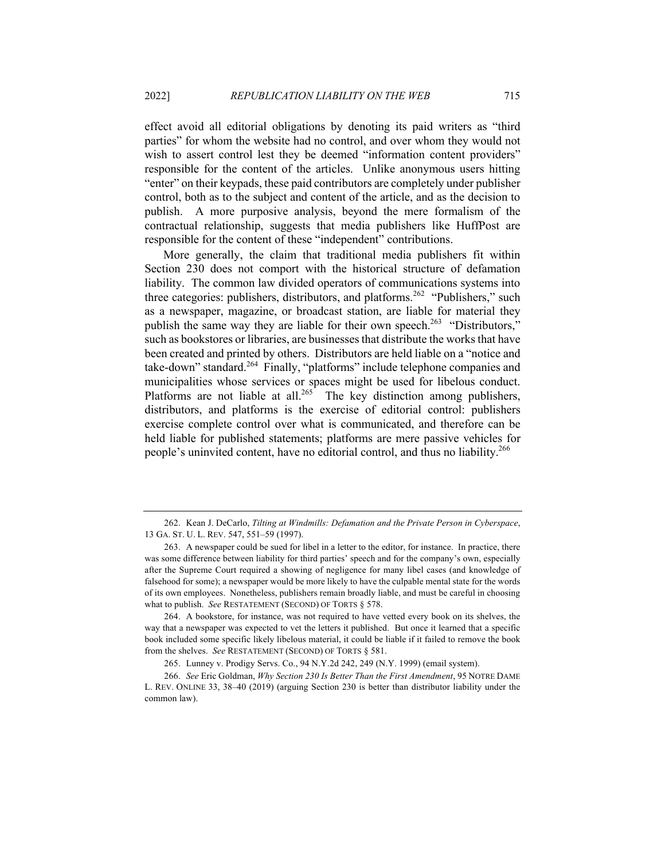effect avoid all editorial obligations by denoting its paid writers as "third parties" for whom the website had no control, and over whom they would not wish to assert control lest they be deemed "information content providers" responsible for the content of the articles. Unlike anonymous users hitting "enter" on their keypads, these paid contributors are completely under publisher control, both as to the subject and content of the article, and as the decision to publish. A more purposive analysis, beyond the mere formalism of the contractual relationship, suggests that media publishers like HuffPost are responsible for the content of these "independent" contributions.

More generally, the claim that traditional media publishers fit within Section 230 does not comport with the historical structure of defamation liability. The common law divided operators of communications systems into three categories: publishers, distributors, and platforms.<sup>262</sup> "Publishers," such as a newspaper, magazine, or broadcast station, are liable for material they publish the same way they are liable for their own speech.<sup>263</sup> "Distributors," such as bookstores or libraries, are businesses that distribute the works that have been created and printed by others. Distributors are held liable on a "notice and take-down" standard.<sup>264</sup> Finally, "platforms" include telephone companies and municipalities whose services or spaces might be used for libelous conduct. Platforms are not liable at all.<sup>265</sup> The key distinction among publishers, distributors, and platforms is the exercise of editorial control: publishers exercise complete control over what is communicated, and therefore can be held liable for published statements; platforms are mere passive vehicles for people's uninvited content, have no editorial control, and thus no liability.<sup>266</sup>

<sup>262.</sup> Kean J. DeCarlo, *Tilting at Windmills: Defamation and the Private Person in Cyberspace*, 13 GA. ST. U. L. REV. 547, 551–59 (1997).

<sup>263.</sup> A newspaper could be sued for libel in a letter to the editor, for instance. In practice, there was some difference between liability for third parties' speech and for the company's own, especially after the Supreme Court required a showing of negligence for many libel cases (and knowledge of falsehood for some); a newspaper would be more likely to have the culpable mental state for the words of its own employees. Nonetheless, publishers remain broadly liable, and must be careful in choosing what to publish. *See* RESTATEMENT (SECOND) OF TORTS § 578.

<sup>264.</sup> A bookstore, for instance, was not required to have vetted every book on its shelves, the way that a newspaper was expected to vet the letters it published. But once it learned that a specific book included some specific likely libelous material, it could be liable if it failed to remove the book from the shelves. *See* RESTATEMENT (SECOND) OF TORTS § 581.

<sup>265.</sup> Lunney v. Prodigy Servs. Co., 94 N.Y.2d 242, 249 (N.Y. 1999) (email system).

<sup>266.</sup> *See* Eric Goldman, *Why Section 230 Is Better Than the First Amendment*, 95 NOTRE DAME L. REV. ONLINE 33, 38–40 (2019) (arguing Section 230 is better than distributor liability under the common law).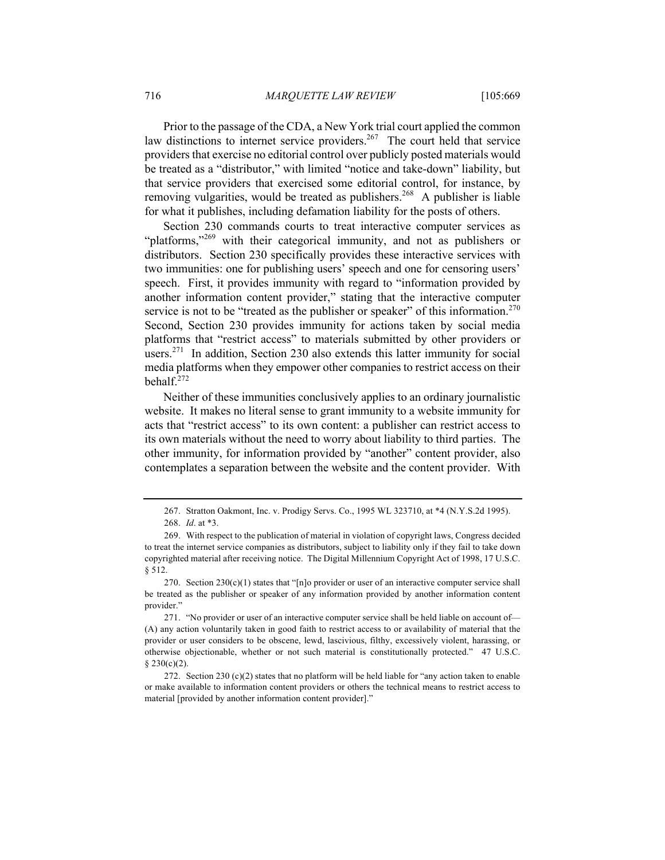Prior to the passage of the CDA, a New York trial court applied the common law distinctions to internet service providers.<sup>267</sup> The court held that service providers that exercise no editorial control over publicly posted materials would be treated as a "distributor," with limited "notice and take-down" liability, but that service providers that exercised some editorial control, for instance, by removing vulgarities, would be treated as publishers.<sup>268</sup> A publisher is liable for what it publishes, including defamation liability for the posts of others.

Section 230 commands courts to treat interactive computer services as "platforms,"<sup>269</sup> with their categorical immunity, and not as publishers or distributors. Section 230 specifically provides these interactive services with two immunities: one for publishing users' speech and one for censoring users' speech. First, it provides immunity with regard to "information provided by another information content provider," stating that the interactive computer service is not to be "treated as the publisher or speaker" of this information.<sup>270</sup> Second, Section 230 provides immunity for actions taken by social media platforms that "restrict access" to materials submitted by other providers or users.<sup>271</sup> In addition, Section 230 also extends this latter immunity for social media platforms when they empower other companies to restrict access on their behalf.272

Neither of these immunities conclusively applies to an ordinary journalistic website. It makes no literal sense to grant immunity to a website immunity for acts that "restrict access" to its own content: a publisher can restrict access to its own materials without the need to worry about liability to third parties. The other immunity, for information provided by "another" content provider, also contemplates a separation between the website and the content provider. With

<sup>267.</sup> Stratton Oakmont, Inc. v. Prodigy Servs. Co., 1995 WL 323710, at \*4 (N.Y.S.2d 1995).

<sup>268.</sup> *Id*. at \*3.

<sup>269.</sup> With respect to the publication of material in violation of copyright laws, Congress decided to treat the internet service companies as distributors, subject to liability only if they fail to take down copyrighted material after receiving notice. The Digital Millennium Copyright Act of 1998, 17 U.S.C. § 512.

<sup>270.</sup> Section  $230(c)(1)$  states that "[n]o provider or user of an interactive computer service shall be treated as the publisher or speaker of any information provided by another information content provider."

<sup>271.</sup> "No provider or user of an interactive computer service shall be held liable on account of— (A) any action voluntarily taken in good faith to restrict access to or availability of material that the provider or user considers to be obscene, lewd, lascivious, filthy, excessively violent, harassing, or otherwise objectionable, whether or not such material is constitutionally protected." 47 U.S.C. § 230(c)(2).

<sup>272.</sup> Section 230 (c)(2) states that no platform will be held liable for "any action taken to enable or make available to information content providers or others the technical means to restrict access to material [provided by another information content provider]."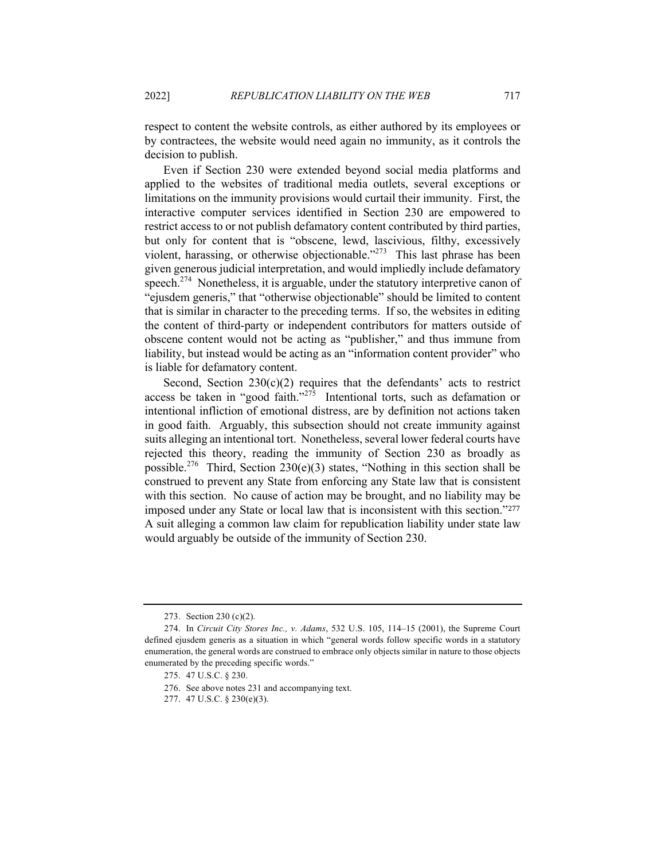respect to content the website controls, as either authored by its employees or by contractees, the website would need again no immunity, as it controls the decision to publish.

Even if Section 230 were extended beyond social media platforms and applied to the websites of traditional media outlets, several exceptions or limitations on the immunity provisions would curtail their immunity. First, the interactive computer services identified in Section 230 are empowered to restrict access to or not publish defamatory content contributed by third parties, but only for content that is "obscene, lewd, lascivious, filthy, excessively violent, harassing, or otherwise objectionable."<sup>273</sup> This last phrase has been given generous judicial interpretation, and would impliedly include defamatory speech.<sup>274</sup> Nonetheless, it is arguable, under the statutory interpretive canon of "ejusdem generis," that "otherwise objectionable" should be limited to content that is similar in character to the preceding terms. If so, the websites in editing the content of third-party or independent contributors for matters outside of obscene content would not be acting as "publisher," and thus immune from liability, but instead would be acting as an "information content provider" who is liable for defamatory content.

Second, Section  $230(c)(2)$  requires that the defendants' acts to restrict access be taken in "good faith."<sup>275</sup> Intentional torts, such as defamation or intentional infliction of emotional distress, are by definition not actions taken in good faith. Arguably, this subsection should not create immunity against suits alleging an intentional tort. Nonetheless, several lower federal courts have rejected this theory, reading the immunity of Section 230 as broadly as possible.<sup>276</sup> Third, Section 230(e)(3) states, "Nothing in this section shall be construed to prevent any State from enforcing any State law that is consistent with this section. No cause of action may be brought, and no liability may be imposed under any State or local law that is inconsistent with this section."<sup>277</sup> A suit alleging a common law claim for republication liability under state law would arguably be outside of the immunity of Section 230.

<sup>273.</sup> Section 230 (c)(2).

<sup>274.</sup> In *Circuit City Stores Inc., v. Adams*, 532 U.S. 105, 114–15 (2001), the Supreme Court defined ejusdem generis as a situation in which "general words follow specific words in a statutory enumeration, the general words are construed to embrace only objects similar in nature to those objects enumerated by the preceding specific words."

<sup>275.</sup> 47 U.S.C. § 230.

<sup>276.</sup> See above notes 231 and accompanying text.

<sup>277.</sup> 47 U.S.C. § 230(e)(3).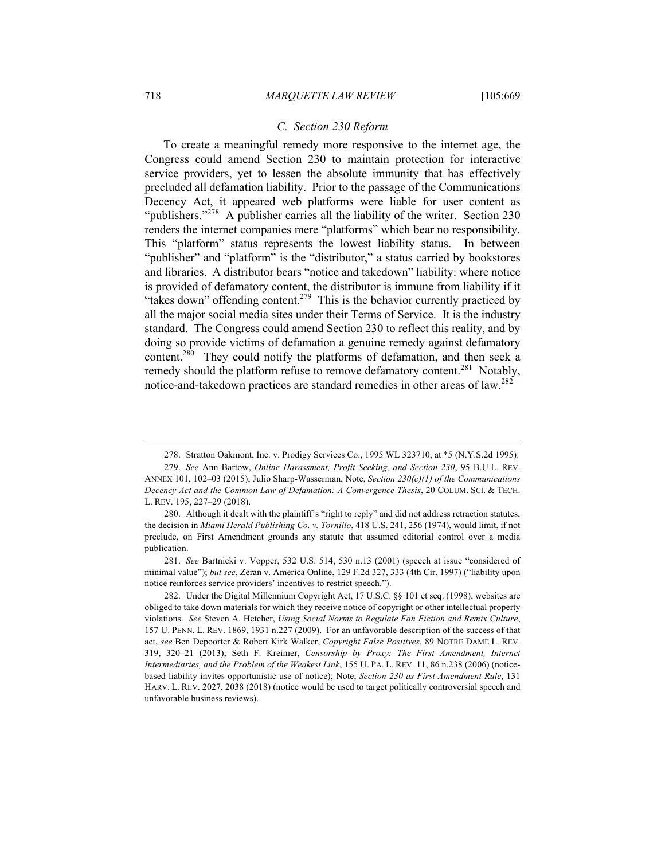#### *C. Section 230 Reform*

To create a meaningful remedy more responsive to the internet age, the Congress could amend Section 230 to maintain protection for interactive service providers, yet to lessen the absolute immunity that has effectively precluded all defamation liability. Prior to the passage of the Communications Decency Act, it appeared web platforms were liable for user content as "publishers."<sup>278</sup> A publisher carries all the liability of the writer. Section 230 renders the internet companies mere "platforms" which bear no responsibility. This "platform" status represents the lowest liability status. In between "publisher" and "platform" is the "distributor," a status carried by bookstores and libraries. A distributor bears "notice and takedown" liability: where notice is provided of defamatory content, the distributor is immune from liability if it "takes down" offending content.<sup>279</sup> This is the behavior currently practiced by all the major social media sites under their Terms of Service. It is the industry standard. The Congress could amend Section 230 to reflect this reality, and by doing so provide victims of defamation a genuine remedy against defamatory content.<sup>280</sup> They could notify the platforms of defamation, and then seek a remedy should the platform refuse to remove defamatory content.<sup>281</sup> Notably, notice-and-takedown practices are standard remedies in other areas of law.<sup>282</sup>

<sup>278.</sup> Stratton Oakmont, Inc. v. Prodigy Services Co., 1995 WL 323710, at \*5 (N.Y.S.2d 1995).

<sup>279.</sup> *See* Ann Bartow, *Online Harassment, Profit Seeking, and Section 230*, 95 B.U.L. REV. ANNEX 101, 102–03 (2015); Julio Sharp-Wasserman, Note, *Section 230(c)(1) of the Communications Decency Act and the Common Law of Defamation: A Convergence Thesis*, 20 COLUM. SCI. & TECH. L. REV. 195, 227–29 (2018).

<sup>280.</sup> Although it dealt with the plaintiff's "right to reply" and did not address retraction statutes, the decision in *Miami Herald Publishing Co. v. Tornillo*, 418 U.S. 241, 256 (1974), would limit, if not preclude, on First Amendment grounds any statute that assumed editorial control over a media publication.

<sup>281.</sup> *See* Bartnicki v. Vopper, 532 U.S. 514, 530 n.13 (2001) (speech at issue "considered of minimal value"); *but see*, Zeran v. America Online, 129 F.2d 327, 333 (4th Cir. 1997) ("liability upon notice reinforces service providers' incentives to restrict speech.").

<sup>282.</sup> Under the Digital Millennium Copyright Act, 17 U.S.C. §§ 101 et seq. (1998), websites are obliged to take down materials for which they receive notice of copyright or other intellectual property violations. *See* Steven A. Hetcher, *Using Social Norms to Regulate Fan Fiction and Remix Culture*, 157 U. PENN. L. REV. 1869, 1931 n.227 (2009). For an unfavorable description of the success of that act, *see* Ben Depoorter & Robert Kirk Walker, *Copyright False Positives*, 89 NOTRE DAME L. REV. 319, 320–21 (2013); Seth F. Kreimer, *Censorship by Proxy: The First Amendment, Internet Intermediaries, and the Problem of the Weakest Link*, 155 U. PA. L. REV. 11, 86 n.238 (2006) (noticebased liability invites opportunistic use of notice); Note, *Section 230 as First Amendment Rule*, 131 HARV. L. REV. 2027, 2038 (2018) (notice would be used to target politically controversial speech and unfavorable business reviews).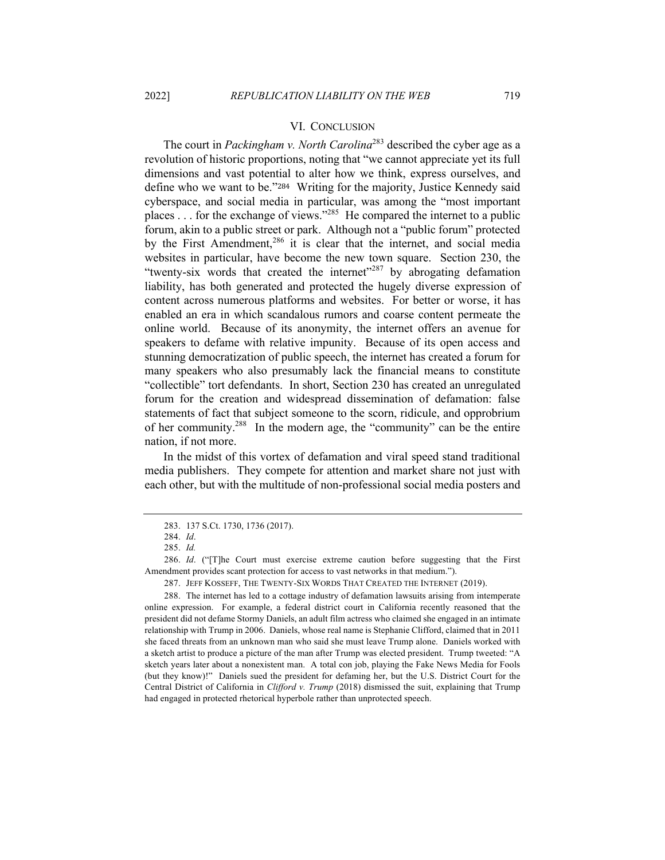# VI. CONCLUSION

The court in *Packingham v. North Carolina*<sup>283</sup> described the cyber age as a revolution of historic proportions, noting that "we cannot appreciate yet its full dimensions and vast potential to alter how we think, express ourselves, and define who we want to be."284 Writing for the majority, Justice Kennedy said cyberspace, and social media in particular, was among the "most important places . . . for the exchange of views."285 He compared the internet to a public forum, akin to a public street or park. Although not a "public forum" protected by the First Amendment,<sup>286</sup> it is clear that the internet, and social media websites in particular, have become the new town square. Section 230, the "twenty-six words that created the internet"<sup>287</sup> by abrogating defamation liability, has both generated and protected the hugely diverse expression of content across numerous platforms and websites. For better or worse, it has enabled an era in which scandalous rumors and coarse content permeate the online world. Because of its anonymity, the internet offers an avenue for speakers to defame with relative impunity. Because of its open access and stunning democratization of public speech, the internet has created a forum for many speakers who also presumably lack the financial means to constitute "collectible" tort defendants. In short, Section 230 has created an unregulated forum for the creation and widespread dissemination of defamation: false statements of fact that subject someone to the scorn, ridicule, and opprobrium of her community.<sup>288</sup> In the modern age, the "community" can be the entire nation, if not more.

In the midst of this vortex of defamation and viral speed stand traditional media publishers. They compete for attention and market share not just with each other, but with the multitude of non-professional social media posters and

<sup>283.</sup> 137 S.Ct. 1730, 1736 (2017).

<sup>284.</sup> *Id*.

<sup>285.</sup> *Id.*

<sup>286.</sup> *Id*. ("[T]he Court must exercise extreme caution before suggesting that the First Amendment provides scant protection for access to vast networks in that medium.").

<sup>287.</sup> JEFF KOSSEFF, THE TWENTY-SIX WORDS THAT CREATED THE INTERNET (2019).

<sup>288.</sup> The internet has led to a cottage industry of defamation lawsuits arising from intemperate online expression. For example, a federal district court in California recently reasoned that the president did not defame Stormy Daniels, an adult film actress who claimed she engaged in an intimate relationship with Trump in 2006. Daniels, whose real name is Stephanie Clifford, claimed that in 2011 she faced threats from an unknown man who said she must leave Trump alone. Daniels worked with a sketch artist to produce a picture of the man after Trump was elected president. Trump tweeted: "A sketch years later about a nonexistent man. A total con job, playing the Fake News Media for Fools (but they know)!" Daniels sued the president for defaming her, but the U.S. District Court for the Central District of California in *Clifford v. Trump* (2018) dismissed the suit, explaining that Trump had engaged in protected rhetorical hyperbole rather than unprotected speech.